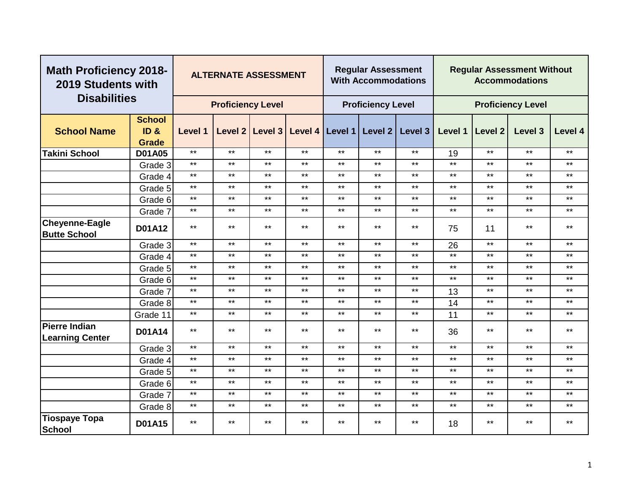| <b>Math Proficiency 2018-</b><br>2019 Students with |                                       |              | <b>ALTERNATE ASSESSMENT</b> |              |       |       | <b>Regular Assessment</b><br><b>With Accommodations</b> |         |         |         | <b>Regular Assessment Without</b><br><b>Accommodations</b> |              |
|-----------------------------------------------------|---------------------------------------|--------------|-----------------------------|--------------|-------|-------|---------------------------------------------------------|---------|---------|---------|------------------------------------------------------------|--------------|
| <b>Disabilities</b>                                 |                                       |              | <b>Proficiency Level</b>    |              |       |       | <b>Proficiency Level</b>                                |         |         |         | <b>Proficiency Level</b>                                   |              |
| <b>School Name</b>                                  | <b>School</b><br>ID &<br><b>Grade</b> | Level 1      | Level 2                     | Level 3      |       |       | Level 4   Level 1   Level 2                             | Level 3 | Level 1 | Level 2 | Level 3                                                    | Level 4      |
| <b>Takini School</b>                                | <b>D01A05</b>                         | $***$        | $***$                       | $***$        | $***$ | $***$ | $***$                                                   | $***$   | 19      | $***$   | $***$                                                      | $***$        |
|                                                     | Grade 3                               | $***$        | $***$                       | $***$        | $***$ | $***$ | $***$                                                   | $***$   | $***$   | $***$   | $***$                                                      | $***$        |
|                                                     | Grade 4                               | $***$        | $***$                       | $***$        | $***$ | $***$ | $***$                                                   | $***$   | $***$   | $***$   | $***$                                                      | $***$        |
|                                                     | Grade 5                               | $***$        | $***$                       | $***$        | $***$ | $***$ | $***$                                                   | $***$   | $***$   | $***$   | $***$                                                      | $***$        |
|                                                     | Grade 6                               | $***$        | $***$                       | $\star\star$ | $***$ | $***$ | $***$                                                   | $***$   | $***$   | $***$   | $***$                                                      | $\star\star$ |
|                                                     | Grade 7                               | $***$        | $***$                       | $***$        | $***$ | $***$ | $***$                                                   | $***$   | $***$   | $***$   | $***$                                                      | $***$        |
| <b>Cheyenne-Eagle</b><br><b>Butte School</b>        | <b>D01A12</b>                         | $***$        | $***$                       | $***$        | $***$ | $***$ | $***$                                                   | $***$   | 75      | 11      | $***$                                                      | $***$        |
|                                                     | Grade 3                               | $***$        | $***$                       | $***$        | $***$ | $***$ | $***$                                                   | $***$   | 26      | $***$   | $***$                                                      | $***$        |
|                                                     | Grade 4                               | $***$        | $***$                       | $\star\star$ | $***$ | $***$ | $***$                                                   | $***$   | $***$   | $***$   | $***$                                                      | $***$        |
|                                                     | Grade 5                               | $***$        | $***$                       | $***$        | $***$ | $***$ | $***$                                                   | $***$   | $***$   | $***$   | $***$                                                      | $\star\star$ |
|                                                     | Grade 6                               | $***$        | $***$                       | $***$        | $***$ | $***$ | $***$                                                   | $***$   | $***$   | $***$   | $***$                                                      | $***$        |
|                                                     | Grade 7                               | $***$        | $***$                       | $***$        | $***$ | $***$ | $***$                                                   | $***$   | 13      | $***$   | $***$                                                      | $***$        |
|                                                     | Grade 8                               | $***$        | $***$                       | $***$        | $***$ | $***$ | $***$                                                   | $***$   | 14      | $***$   | $***$                                                      | $***$        |
|                                                     | Grade 11                              | $***$        | $***$                       | $***$        | $***$ | $***$ | $***$                                                   | $***$   | 11      | $***$   | $***$                                                      | $***$        |
| <b>Pierre Indian</b><br><b>Learning Center</b>      | <b>D01A14</b>                         | $***$        | $***$                       | $***$        | $***$ | $***$ | $***$                                                   | $***$   | 36      | $***$   | $***$                                                      | $***$        |
|                                                     | Grade 3                               | $***$        | $***$                       | $***$        | $***$ | $***$ | $***$                                                   | $***$   | $***$   | $***$   | $***$                                                      | $***$        |
|                                                     | Grade 4                               | $\star\star$ | $***$                       | $***$        | $***$ | $***$ | $***$                                                   | $***$   | $***$   | $***$   | $\star\star$                                               | $***$        |
|                                                     | Grade 5                               | $***$        | $***$                       | $\star\star$ | $***$ | $***$ | $***$                                                   | $***$   | $***$   | $***$   | $***$                                                      | $***$        |
|                                                     | Grade 6                               | $***$        | $***$                       | $***$        | $***$ | $***$ | $***$                                                   | $***$   | $***$   | $***$   | $***$                                                      | $***$        |
|                                                     | Grade 7                               | $***$        | $***$                       | $***$        | $***$ | $***$ | $***$                                                   | $***$   | $***$   | $***$   | $***$                                                      | $\star\star$ |
|                                                     | Grade 8                               | $***$        | $***$                       | $***$        | $***$ | $***$ | $***$                                                   | $***$   | $***$   | $***$   | $***$                                                      | $***$        |
| <b>Tiospaye Topa</b><br><b>School</b>               | <b>D01A15</b>                         | $***$        | $***$                       | $***$        | $***$ | $***$ | $***$                                                   | $***$   | 18      | $***$   | $***$                                                      | $***$        |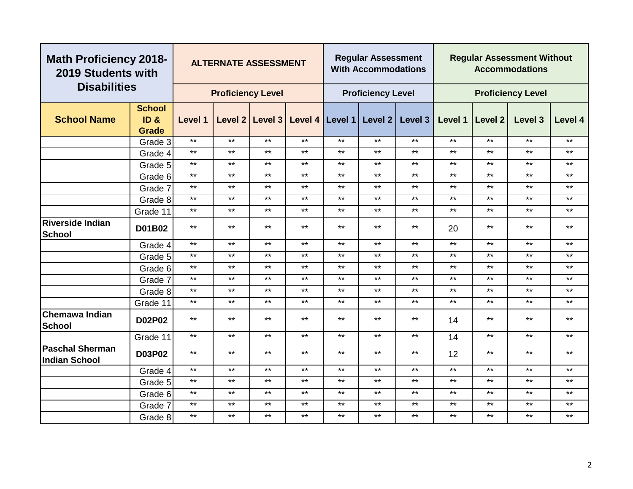| <b>Math Proficiency 2018-</b><br>2019 Students with |                         |              |                          | <b>ALTERNATE ASSESSMENT</b> |                                         |       | <b>Regular Assessment</b><br><b>With Accommodations</b> |         |         |              | <b>Regular Assessment Without</b><br><b>Accommodations</b> |         |
|-----------------------------------------------------|-------------------------|--------------|--------------------------|-----------------------------|-----------------------------------------|-------|---------------------------------------------------------|---------|---------|--------------|------------------------------------------------------------|---------|
| <b>Disabilities</b>                                 |                         |              | <b>Proficiency Level</b> |                             |                                         |       | <b>Proficiency Level</b>                                |         |         |              | <b>Proficiency Level</b>                                   |         |
| <b>School Name</b>                                  | <b>School</b><br>ID &   | Level 1      |                          |                             | Level 2 Level 3 Level 4 Level 1 Level 2 |       |                                                         | Level 3 | Level 1 | Level 2      | Level 3                                                    | Level 4 |
|                                                     | <b>Grade</b><br>Grade 3 | $***$        | $***$                    | $***$                       | $***$                                   | $***$ | $***$                                                   | $***$   | $***$   | $***$        | $***$                                                      | $***$   |
|                                                     | Grade 4                 | $***$        | $***$                    | $***$                       | $***$                                   | $***$ | $***$                                                   | $***$   | $***$   | $***$        | $***$                                                      | $***$   |
|                                                     | Grade 5                 | $***$        | $***$                    | $***$                       | $***$                                   | $***$ | $***$                                                   | $***$   | $***$   | $***$        | $***$                                                      | $***$   |
|                                                     | Grade 6                 | $***$        | $***$                    | $***$                       | $***$                                   | $***$ | $***$                                                   | $***$   | $***$   | $\star\star$ | $***$                                                      | $***$   |
|                                                     | Grade 7                 | $***$        | $***$                    | $***$                       | $***$                                   | $***$ | $***$                                                   | $***$   | $***$   | $***$        | $***$                                                      | $***$   |
|                                                     | Grade 8                 | $***$        | $***$                    | $***$                       | $***$                                   | $***$ | $***$                                                   | $***$   | $***$   | $***$        | $***$                                                      | $***$   |
|                                                     | Grade 11                | $***$        | $***$                    | $***$                       | $***$                                   | $***$ | $***$                                                   | $***$   | $***$   | $***$        | $***$                                                      | $***$   |
| <b>Riverside Indian</b><br><b>School</b>            | D01B02                  | $***$        | $***$<br>$***$<br>$***$  |                             | $***$                                   | $***$ | $***$                                                   | $***$   | 20      | $***$        | $***$                                                      | $***$   |
|                                                     | Grade 4                 | $\star\star$ |                          | $***$                       | $\star\star$                            | $***$ | $\star\star$                                            | $***$   | $***$   | $***$        | $***$                                                      | $***$   |
|                                                     | Grade 5                 | $***$        | $***$                    | $***$                       | $***$                                   | $***$ | $***$                                                   | $***$   | $***$   | $***$        | $***$                                                      | $***$   |
|                                                     | Grade 6                 | $***$        | $***$                    | $***$                       | $***$                                   | $***$ | $***$                                                   | $***$   | $***$   | $***$        | $***$                                                      | $***$   |
|                                                     | Grade 7                 | $***$        | $***$                    | $***$                       | $***$                                   | $***$ | $***$                                                   | $***$   | $***$   | $***$        | $***$                                                      | $***$   |
|                                                     | Grade 8                 | $***$        | $***$                    | $***$                       | $***$                                   | $***$ | $***$                                                   | $***$   | $***$   | $***$        | $***$                                                      | $***$   |
|                                                     | Grade 11                | $***$        | $***$                    | $***$                       | $***$                                   | $***$ | $***$                                                   | $***$   | $***$   | $***$        | $***$                                                      | $***$   |
| <b>Chemawa Indian</b><br>School                     | <b>D02P02</b>           | $***$        | $***$                    | $***$                       | $***$                                   | $***$ | $***$                                                   | $***$   | 14      | $***$        | $***$                                                      | $***$   |
|                                                     | Grade 11                | $***$        | $***$                    | $***$                       | $***$                                   | $***$ | $***$                                                   | $***$   | 14      | $***$        | $***$                                                      | $***$   |
| <b>Paschal Sherman</b><br><b>Indian School</b>      | <b>D03P02</b>           | $***$        | $***$                    | $***$                       | $***$                                   | $***$ | $***$                                                   | $***$   | 12      | $***$        | $***$                                                      | $***$   |
|                                                     | Grade 4                 | $***$        | $***$                    | $***$                       | $***$                                   | $***$ | $***$                                                   | $***$   | $***$   | $***$        | $***$                                                      | $***$   |
|                                                     | Grade 5                 | $***$        | $***$                    | $***$                       | $***$                                   | $***$ | $***$                                                   | $***$   | $***$   | $***$        | $***$                                                      | $***$   |
|                                                     | Grade 6                 | $***$        | $***$                    | $***$                       | $***$                                   | $***$ | $***$                                                   | $***$   | $***$   | $***$        | $***$                                                      | $***$   |
|                                                     | Grade 7                 | $***$        | $***$                    | $***$                       | $***$                                   | $***$ | $\star\star$                                            | $***$   | $***$   | $\star\star$ | $***$                                                      | $***$   |
|                                                     | Grade 8                 | $***$        | $***$                    | $***$                       | $***$                                   | $***$ | $***$                                                   | $***$   | $***$   | $\star\star$ | $***$                                                      | $***$   |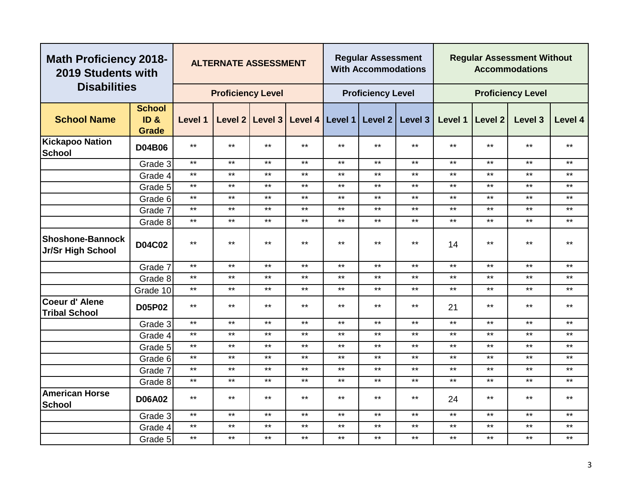| <b>Math Proficiency 2018-</b><br>2019 Students with |                                                  |              | <b>ALTERNATE ASSESSMENT</b> |                 |       |                 | <b>Regular Assessment</b><br><b>With Accommodations</b> |         |         |              | <b>Regular Assessment Without</b><br><b>Accommodations</b> |              |
|-----------------------------------------------------|--------------------------------------------------|--------------|-----------------------------|-----------------|-------|-----------------|---------------------------------------------------------|---------|---------|--------------|------------------------------------------------------------|--------------|
| <b>Disabilities</b>                                 |                                                  |              | <b>Proficiency Level</b>    |                 |       |                 | <b>Proficiency Level</b>                                |         |         |              | <b>Proficiency Level</b>                                   |              |
| <b>School Name</b>                                  | <b>School</b><br>ID <sub>8</sub><br><b>Grade</b> | Level 1      |                             | Level 2 Level 3 |       | Level 4 Level 1 | Level 2                                                 | Level 3 | Level 1 | Level 2      | Level 3                                                    | Level 4      |
| Kickapoo Nation<br>School                           | <b>D04B06</b>                                    | $***$        | $***$                       | $***$           | $***$ | $***$           | $***$                                                   | $***$   | $***$   | $***$        | $***$                                                      | $***$        |
|                                                     | Grade 3                                          | $***$        | $***$                       | $***$           | $***$ | $***$           | $***$                                                   | $***$   | $***$   | $***$        | $***$                                                      | $***$        |
|                                                     | Grade 4                                          | $***$        | $***$                       | $***$           | $***$ | $***$           | $***$                                                   | $***$   | $***$   | $***$        | $***$                                                      | $***$        |
|                                                     | Grade 5                                          | $\star\star$ | $***$                       | $\star\star$    | $***$ | $***$           | $***$                                                   | $***$   | $***$   | $***$        | $***$                                                      | $***$        |
|                                                     | Grade 6                                          | $***$        | $***$                       | $***$           | $***$ | $***$           | $***$                                                   | $***$   | $***$   | $***$        | $***$                                                      | $***$        |
|                                                     | Grade 7                                          | $***$        | $***$                       | $***$           | $***$ | $***$           | $***$                                                   | $***$   | $***$   | $***$        | $***$                                                      | $***$        |
|                                                     | Grade 8                                          | $***$        | $***$                       | $***$           | $***$ | $***$           | $***$                                                   | $***$   | $***$   | $***$        | $***$                                                      | $***$        |
| <b>Shoshone-Bannock</b><br>Jr/Sr High School        | <b>D04C02</b>                                    | $***$        | $***$                       | $***$           | $***$ | $***$           | $***$                                                   | $***$   | 14      | $***$        | $***$                                                      | $***$        |
|                                                     | Grade 7                                          | $***$        | $***$                       | $***$           | $***$ | $***$           | $***$                                                   | $***$   | $***$   | $***$        | $***$                                                      | $***$        |
|                                                     | Grade 8                                          | $***$        | $***$                       | $***$           | $***$ | $***$           | $***$                                                   | $***$   | $***$   | $***$        | $\star\star$                                               | $***$        |
|                                                     | Grade 10                                         | $***$        | $***$                       | $***$           | $***$ | $***$           | $***$                                                   | $***$   | $***$   | $***$        | $\star\star$                                               | $\star\star$ |
| Coeur d'Alene<br><b>Tribal School</b>               | <b>D05P02</b>                                    | $***$        | $***$                       | $***$           | $***$ | $***$           | $***$                                                   | $***$   | 21      | $***$        | $***$                                                      | $***$        |
|                                                     | Grade 3                                          | $***$        | $***$                       | $***$           | $***$ | $***$           | $***$                                                   | $***$   | $***$   | $***$        | $***$                                                      | $***$        |
|                                                     | Grade 4                                          | $***$        | $***$                       | $***$           | $***$ | $***$           | $***$                                                   | $***$   | $***$   | $***$        | $***$                                                      | $***$        |
|                                                     | Grade 5                                          | $***$        | $***$                       | $***$           | $***$ | $***$           | $***$                                                   | $***$   | $***$   | $***$        | $***$                                                      | $***$        |
|                                                     | Grade 6                                          | $***$        | $***$                       | $***$           | $***$ | $***$           | $***$                                                   | $***$   | $***$   | $\star\star$ | $***$                                                      | $\star\star$ |
|                                                     | Grade 7                                          | $***$        | $***$                       | $***$           | $***$ | $***$           | $***$                                                   | $***$   | $***$   | $***$        | $***$                                                      | $***$        |
|                                                     | Grade 8                                          | $***$        | $***$                       | $***$           | $***$ | $***$           | $***$                                                   | $***$   | $***$   | $\star\star$ | $***$                                                      | $***$        |
| <b>American Horse</b><br><b>School</b>              | <b>D06A02</b>                                    | $***$        | $***$                       | $***$           | $***$ | $***$           | $***$                                                   | $***$   | 24      | $***$        | $***$                                                      | **           |
|                                                     | Grade 3                                          | $***$        | $***$                       | $***$           | $***$ | $***$           | $***$                                                   | $***$   | $***$   | $***$        | $***$                                                      | $***$        |
|                                                     | Grade 4                                          | $***$        | $***$                       | $***$           | $***$ | $***$           | $***$                                                   | $***$   | $***$   | $***$        | $***$                                                      | $***$        |
|                                                     | Grade 5                                          | $***$        | $***$                       | $***$           | $***$ | $***$           | $***$                                                   | $***$   | $***$   | $***$        | $***$                                                      | $***$        |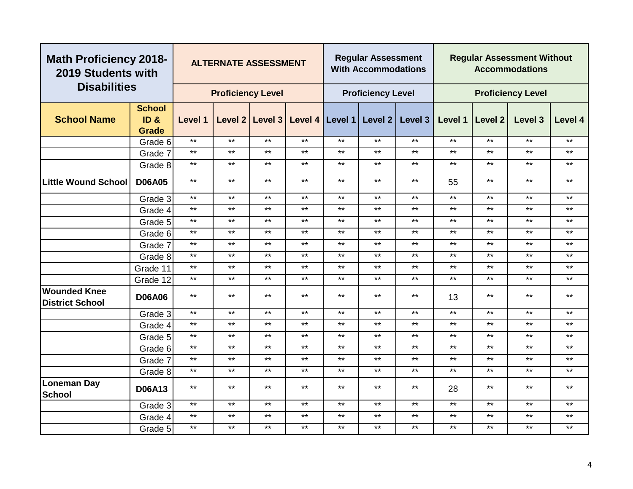|                                               | <b>Math Proficiency 2018-</b><br>2019 Students with<br><b>Disabilities</b> |              | <b>ALTERNATE ASSESSMENT</b> |                 |              |              | <b>Regular Assessment</b><br><b>With Accommodations</b> |              |              |              | <b>Regular Assessment Without</b><br><b>Accommodations</b> |              |
|-----------------------------------------------|----------------------------------------------------------------------------|--------------|-----------------------------|-----------------|--------------|--------------|---------------------------------------------------------|--------------|--------------|--------------|------------------------------------------------------------|--------------|
|                                               |                                                                            |              | <b>Proficiency Level</b>    |                 |              |              | <b>Proficiency Level</b>                                |              |              |              | <b>Proficiency Level</b>                                   |              |
| <b>School Name</b>                            | <b>School</b><br>ID <sub>&amp;</sub><br><b>Grade</b>                       | Level 1      |                             | Level 2 Level 3 |              |              | Level 4   Level 1   Level 2                             | Level 3      | Level 1      | Level 2      | Level 3                                                    | Level 4      |
|                                               | Grade 6                                                                    | $***$        | $***$                       | $***$           | $***$        | $***$        | $***$                                                   | $***$        | $***$        | $***$        | $***$                                                      | $***$        |
|                                               | Grade 7                                                                    | $***$        | $***$                       | $***$           | $***$        | $***$        | $***$                                                   | $***$        | $***$        | $***$        | $***$                                                      | $***$        |
|                                               | Grade 8                                                                    | $\star\star$ | $***$                       | $***$           | $\star\star$ | $***$        | $***$                                                   | $***$        | $***$        | $\star\star$ | $***$                                                      | $\star\star$ |
| <b>Little Wound School</b>                    | <b>D06A05</b>                                                              | $\star\star$ | $***$                       | $***$           | $***$        | $***$        | $***$                                                   | $***$        | 55           | $***$        | $***$                                                      | $***$        |
|                                               | Grade 3                                                                    | $***$        | $***$                       | $***$           | $***$        | $***$        | $***$                                                   | $***$        | $***$        | $***$        | $***$                                                      | $***$        |
|                                               | Grade 4                                                                    | $***$        | $***$                       | $***$           | $***$        | $***$        | $***$                                                   | $***$        | $***$        | $***$        | $***$                                                      | $***$        |
|                                               | Grade 5                                                                    | $***$        | $***$                       | $***$           | $***$        | $***$        | $***$                                                   | $***$        | $***$        | $***$        | $***$                                                      | $***$        |
|                                               | Grade 6                                                                    | $***$        | $***$                       | $***$           | $***$        | $***$        | $***$                                                   | $***$        | $***$        | $***$        | $***$                                                      | $***$        |
|                                               | Grade 7                                                                    | $***$        | $***$                       | $***$           | $***$        | $***$        | $***$                                                   | $***$        | $***$        | $***$        | $***$                                                      | $***$        |
|                                               | Grade 8                                                                    | $***$        | $***$                       | $***$           | $\star\star$ | $***$        | $***$                                                   | $***$        | $***$        | $***$        | $***$                                                      | $\star\star$ |
|                                               | Grade 11                                                                   | $\star\star$ | $***$                       | $\star\star$    | $***$        | $\star\star$ | $***$                                                   | $***$        | $***$        | $***$        | $***$                                                      | $***$        |
|                                               | Grade 12                                                                   | $\star\star$ | $***$                       | $***$           | $***$        | $***$        | $***$                                                   | $***$        | $***$        | $***$        | $***$                                                      | $***$        |
| <b>Wounded Knee</b><br><b>District School</b> | <b>D06A06</b>                                                              | $***$        | $***$                       | $***$           | $***$        | $***$        | $***$                                                   | $***$        | 13           | $***$        | $***$                                                      | $***$        |
|                                               | Grade 3                                                                    | $***$        | $***$                       | $***$           | $***$        | $***$        | $***$                                                   | $***$        | $\star\star$ | $***$        | $***$                                                      | $***$        |
|                                               | Grade 4                                                                    | $***$        | $***$                       | $***$           | $***$        | $***$        | $***$                                                   | $***$        | $***$        | $***$        | $***$                                                      | $***$        |
|                                               | Grade 5                                                                    | $***$        | $***$                       | $***$           | $***$        | $***$        | $***$                                                   | $***$        | $***$        | $***$        | $***$                                                      | $***$        |
|                                               | Grade 6                                                                    | $***$        | $***$                       | $***$           | $***$        | $***$        | $***$                                                   | $***$        | $***$        | $***$        | $***$                                                      | $***$        |
|                                               | Grade 7                                                                    | $***$        | $***$                       | $***$           | $***$        | $***$        | $***$                                                   | $***$        | $***$        | $***$        | $***$                                                      | $***$        |
|                                               | Grade 8                                                                    | $\star\star$ | $***$                       | $\star\star$    | $***$        | $***$        | $***$                                                   | $\star\star$ | $***$        | $\star\star$ | $***$                                                      | $\star\star$ |
| <b>Loneman Day</b><br><b>School</b>           | <b>D06A13</b>                                                              | $***$        | $***$                       | $***$           | $***$        | $***$        | $***$                                                   | $***$        | 28           | $***$        | $***$                                                      | $***$        |
|                                               | Grade 3                                                                    | $\star\star$ | $***$                       | $***$           | $***$        | $***$        | $***$                                                   | $***$        | $***$        | $***$        | $***$                                                      | $***$        |
|                                               | Grade 4                                                                    | $***$        | $***$                       | $***$           | $***$        | $***$        | $***$                                                   | $***$        | $***$        | $***$        | $***$                                                      | $\star\star$ |
|                                               | Grade 5                                                                    | $***$        | $***$                       | $***$           | $***$        | $\star\star$ | $***$                                                   | $***$        | $***$        | $***$        | $***$                                                      | $\star\star$ |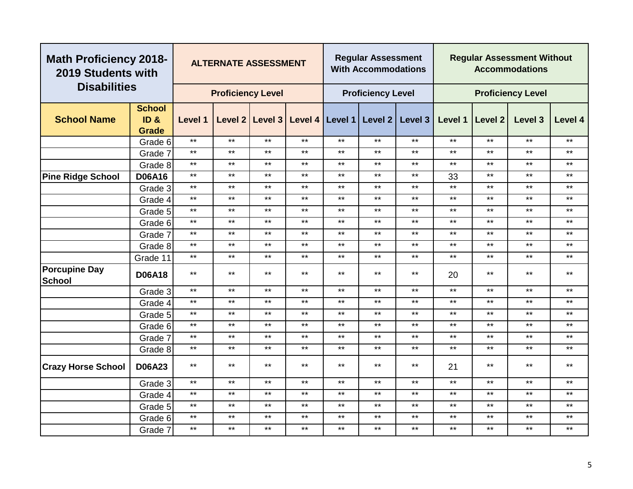|                                       | <b>Math Proficiency 2018-</b><br>2019 Students with<br><b>Disabilities</b> |         | <b>ALTERNATE ASSESSMENT</b> |              |         |         | <b>Regular Assessment</b><br><b>With Accommodations</b> |              |         |                | <b>Regular Assessment Without</b><br><b>Accommodations</b> |         |
|---------------------------------------|----------------------------------------------------------------------------|---------|-----------------------------|--------------|---------|---------|---------------------------------------------------------|--------------|---------|----------------|------------------------------------------------------------|---------|
|                                       |                                                                            |         | <b>Proficiency Level</b>    |              |         |         | <b>Proficiency Level</b>                                |              |         |                | <b>Proficiency Level</b>                                   |         |
|                                       | <b>School</b>                                                              |         |                             |              |         |         |                                                         |              |         |                |                                                            |         |
| <b>School Name</b>                    | ID <sub>8</sub>                                                            | Level 1 | Level 2                     | Level 3      | Level 4 | Level 1 | Level 2                                                 | Level 3      | Level 1 | <b>Level 2</b> | Level 3                                                    | Level 4 |
|                                       | <b>Grade</b>                                                               | $***$   | $***$                       | $***$        | $***$   | $***$   |                                                         | $***$        | $***$   | $***$          |                                                            |         |
|                                       | Grade 6                                                                    |         |                             |              |         |         | $***$                                                   |              |         |                | $***$                                                      | $***$   |
|                                       | Grade 7                                                                    | $***$   | $***$                       | $***$        | $***$   | $***$   | $***$                                                   | $***$        | $***$   | $***$          | $***$                                                      | $***$   |
|                                       | Grade 8                                                                    | $***$   | $***$                       | $***$        | $***$   | $***$   | $***$                                                   | $***$        | $***$   | $***$          | $***$                                                      | $***$   |
| <b>Pine Ridge School</b>              | <b>D06A16</b>                                                              | $***$   | $***$                       | $***$        | $***$   | $***$   | $***$                                                   | $***$        | 33      | $***$          | $***$                                                      | $***$   |
|                                       | Grade 3                                                                    | $***$   | $***$                       | $***$        | $***$   | $***$   | $***$                                                   | $***$        | $***$   | $***$          | $***$                                                      | $***$   |
|                                       | Grade 4                                                                    | $***$   | $***$                       | $***$        | $***$   | $***$   | $***$                                                   | $***$        | $***$   | $***$          | $***$                                                      | $***$   |
|                                       | Grade 5                                                                    | $***$   | $***$                       | $***$        | $***$   | $***$   | $***$                                                   | $***$        | $***$   | $***$          | $***$                                                      | $***$   |
|                                       | Grade 6                                                                    | $***$   | $***$                       | $***$        | $***$   | $***$   | $***$                                                   | $***$        | $***$   | $***$          | $***$                                                      | $***$   |
|                                       | Grade 7                                                                    | $***$   | $***$                       | $***$        | $***$   | $***$   | $***$                                                   | $***$        | $***$   | $***$          | $***$                                                      | $***$   |
|                                       | Grade 8                                                                    | $***$   | $***$                       | $\star\star$ | $***$   | $***$   | $***$                                                   | $\star\star$ | $***$   | $\star\star$   | $***$                                                      | $***$   |
|                                       | Grade 11                                                                   | $***$   | $***$                       | $\star\star$ | $***$   | $***$   | $***$                                                   | $\star\star$ | $***$   | $***$          | $***$                                                      | $***$   |
| <b>Porcupine Day</b><br><b>School</b> | <b>D06A18</b>                                                              | $***$   | $***$                       | $***$        | $***$   | $***$   | $***$                                                   | $***$        | 20      | $***$          | $***$                                                      | $***$   |
|                                       | Grade 3                                                                    | $***$   | $***$                       | $***$        | $***$   | $***$   | $***$                                                   | $***$        | $***$   | $***$          | $***$                                                      | $***$   |
|                                       | Grade 4                                                                    | $***$   | $***$                       | $***$        | $***$   | $***$   | $***$                                                   | $***$        | $***$   | $***$          | $***$                                                      | $***$   |
|                                       | Grade 5                                                                    | $***$   | $***$                       | $***$        | $***$   | $***$   | $***$                                                   | $***$        | $***$   | $***$          | $***$                                                      | $***$   |
|                                       | Grade 6                                                                    | $***$   | $***$                       | $***$        | $***$   | $***$   | $***$                                                   | $***$        | $***$   | $***$          | $***$                                                      | $***$   |
|                                       | Grade 7                                                                    | $***$   | $***$                       | $***$        | $***$   | $***$   | $***$                                                   | $***$        | $***$   | $***$          | $***$                                                      | $***$   |
|                                       | Grade 8                                                                    | $***$   | $***$                       | $***$        | $***$   | $***$   | $***$                                                   | $***$        | $***$   | $***$          | $***$                                                      | $***$   |
| <b>Crazy Horse School</b>             | <b>D06A23</b>                                                              | $***$   | $***$                       | $***$        | $***$   | $***$   | $***$                                                   | $***$        | 21      | $***$          | $***$                                                      | $***$   |
|                                       | Grade 3                                                                    | $***$   | $***$                       | $***$        | $***$   | $***$   | $***$                                                   | $***$        | $***$   | $***$          | $***$                                                      | $***$   |
|                                       | Grade 4                                                                    | $***$   | $***$                       | $***$        | $***$   | $***$   | $***$                                                   | $***$        | $***$   | $***$          | $***$                                                      | $***$   |
|                                       | Grade 5                                                                    | $***$   | $***$                       | $***$        | $***$   | $***$   | $***$                                                   | $***$        | $***$   | $***$          | $***$                                                      | $***$   |
|                                       | Grade 6                                                                    | $***$   | $***$                       | $***$        | $***$   | $***$   | $***$                                                   | $***$        | $***$   | $***$          | $***$                                                      | $***$   |
|                                       | Grade 7                                                                    | $***$   | $***$                       | $***$        | $***$   | $***$   | $***$                                                   | $***$        | $***$   | $***$          | $***$                                                      | $***$   |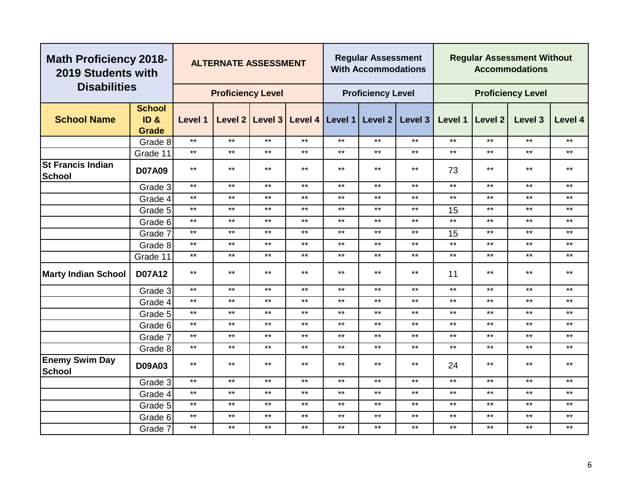|                                           | <b>Math Proficiency 2018-</b><br>2019 Students with<br><b>Disabilities</b> |         | <b>ALTERNATE ASSESSMENT</b> |              |                                       |              | <b>Regular Assessment</b><br><b>With Accommodations</b> |                     |         |              | <b>Regular Assessment Without</b><br><b>Accommodations</b> |              |
|-------------------------------------------|----------------------------------------------------------------------------|---------|-----------------------------|--------------|---------------------------------------|--------------|---------------------------------------------------------|---------------------|---------|--------------|------------------------------------------------------------|--------------|
|                                           |                                                                            |         | <b>Proficiency Level</b>    |              |                                       |              | <b>Proficiency Level</b>                                |                     |         |              | <b>Proficiency Level</b>                                   |              |
| <b>School Name</b>                        | <b>School</b><br>ID <sub>8</sub><br><b>Grade</b>                           | Level 1 |                             |              | Level 2   Level 3   Level 4   Level 1 |              |                                                         | Level $2$   Level 3 | Level 1 | Level 2      | Level 3                                                    | Level 4      |
|                                           | Grade 8                                                                    | $***$   | $***$                       | $***$        | $***$                                 | $***$        | $***$                                                   | $***$               | $***$   | $***$        | $***$                                                      | $***$        |
|                                           | Grade 11                                                                   | $***$   | $***$                       | $***$        | $***$                                 | $***$        | $***$                                                   | $***$               | $***$   | $***$        | $***$                                                      | $***$        |
| <b>St Francis Indian</b><br><b>School</b> | <b>D07A09</b>                                                              | $***$   | $***$                       | $***$        | $***$                                 | $***$        | $***$                                                   | $***$               | 73      | $***$        | $***$                                                      | $***$        |
|                                           | Grade 3                                                                    | $***$   | $***$                       | $***$        | $***$                                 | $\star\star$ | $***$                                                   | $***$               | $***$   | $***$        | $***$                                                      | $***$        |
|                                           | Grade 4                                                                    | $***$   | $***$                       | $***$        | $***$                                 | $***$        | $***$                                                   | $***$               | $***$   | $***$        | $\star\star$                                               | $***$        |
|                                           | Grade 5                                                                    | $***$   | $***$                       | $***$        | $***$                                 | $***$        | $***$                                                   | $***$               | 15      | $\star\star$ | $***$                                                      | $\star\star$ |
|                                           | Grade 6                                                                    | $***$   | $***$                       | $***$        | $***$                                 | $***$        | $***$                                                   | $***$               | $***$   | $***$        | $***$                                                      | $***$        |
|                                           | Grade 7                                                                    | $***$   | $***$                       | $***$        | $***$                                 | $***$        | $***$                                                   | $***$               | 15      | $***$        | $***$                                                      | $***$        |
|                                           | Grade 8                                                                    | $***$   | $***$                       | $***$        | $***$                                 | $***$        | $***$                                                   | $***$               | $***$   | $***$        | $***$                                                      | $***$        |
|                                           | Grade 11                                                                   | $***$   | $***$                       | $***$        | $***$                                 | $***$        | $***$                                                   | $***$               | $***$   | $***$        | $***$                                                      | $\star\star$ |
| <b>Marty Indian School</b>                | <b>D07A12</b>                                                              | $***$   | $***$                       | $***$        | $***$                                 | $***$        | $***$                                                   | $***$               | 11      | $***$        | $***$                                                      | $\star\star$ |
|                                           | Grade 3                                                                    | $***$   | $***$                       | $***$        | $***$                                 | $***$        | $***$                                                   | $***$               | $***$   | $***$        | $***$                                                      | $***$        |
|                                           | Grade 4                                                                    | $***$   | $***$                       | $***$        | $***$                                 | $***$        | $***$                                                   | $***$               | $***$   | $***$        | $***$                                                      | $***$        |
|                                           | Grade 5                                                                    | $***$   | $***$                       | $***$        | $***$                                 | $***$        | $***$                                                   | $***$               | $***$   | $***$        | $***$                                                      | $***$        |
|                                           | Grade 6                                                                    | $***$   | $***$                       | $***$        | $***$                                 | $***$        | $***$                                                   | $***$               | $***$   | $***$        | $***$                                                      | $***$        |
|                                           | Grade 7                                                                    | $***$   | $***$                       | $***$        | $***$                                 | $***$        | $***$                                                   | $***$               | $***$   | $***$        | $***$                                                      | $***$        |
|                                           | Grade 8                                                                    | $***$   | $***$                       | $***$        | $***$                                 | $***$        | $***$                                                   | $***$               | $***$   | $***$        | $***$                                                      | $***$        |
| <b>Enemy Swim Day</b><br><b>School</b>    | <b>D09A03</b>                                                              | $***$   | $***$                       | $***$        | $***$                                 | $***$        | $***$                                                   | $***$               | 24      | $***$        | $***$                                                      | $***$        |
|                                           | Grade 3                                                                    | $***$   | $***$                       | $\star\star$ | $***$                                 | $***$        | $***$                                                   | $***$               | $***$   | $***$        | $***$                                                      | $\star\star$ |
|                                           | Grade 4                                                                    | $***$   | $***$                       | $***$        | $***$                                 | $***$        | $***$                                                   | $***$               | $***$   | $\star\star$ | $***$                                                      | $***$        |
|                                           | Grade 5                                                                    | $***$   | $***$                       | $***$        | $***$                                 | $***$        | $***$                                                   | $***$               | $***$   | $***$        | $***$                                                      | $***$        |
|                                           | Grade 6                                                                    | $***$   | $***$                       | $***$        | $***$                                 | $***$        | $***$                                                   | $***$               | $***$   | $***$        | $***$                                                      | $\star\star$ |
|                                           | Grade 7                                                                    | $***$   | $***$                       | $***$        | $***$                                 | $***$        | $***$                                                   | $***$               | $***$   | $\star\star$ | $\star\star$                                               | $\star\star$ |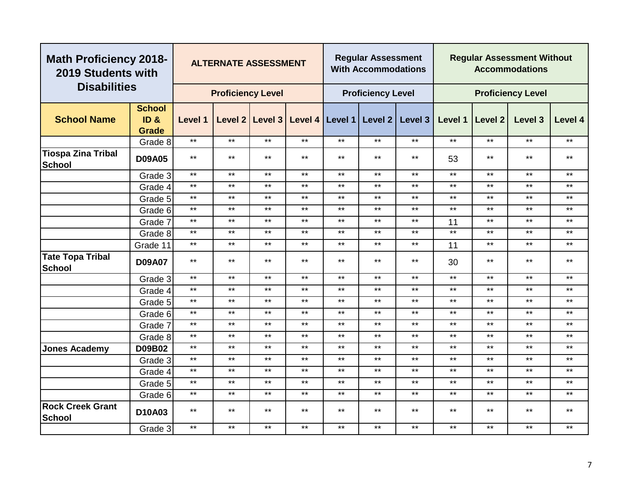|                                            | <b>Math Proficiency 2018-</b><br>2019 Students with<br><b>Disabilities</b> |         | <b>ALTERNATE ASSESSMENT</b> |                   |                   |       | <b>Regular Assessment</b><br><b>With Accommodations</b> |         |         |              | <b>Regular Assessment Without</b><br><b>Accommodations</b> |         |
|--------------------------------------------|----------------------------------------------------------------------------|---------|-----------------------------|-------------------|-------------------|-------|---------------------------------------------------------|---------|---------|--------------|------------------------------------------------------------|---------|
|                                            |                                                                            |         | <b>Proficiency Level</b>    |                   |                   |       | <b>Proficiency Level</b>                                |         |         |              | <b>Proficiency Level</b>                                   |         |
| <b>School Name</b>                         | <b>School</b><br>ID <sub>8</sub><br>Grade                                  | Level 1 |                             | Level 2   Level 3 | Level 4   Level 1 |       | Level 2                                                 | Level 3 | Level 1 | Level 2      | Level 3                                                    | Level 4 |
|                                            | Grade 8                                                                    | $***$   | $***$                       | $***$             | $***$             | $***$ | $***$                                                   | $***$   | $***$   | $***$        | $***$                                                      | $***$   |
| <b>Tiospa Zina Tribal</b><br><b>School</b> | <b>D09A05</b>                                                              | $***$   | $***$                       | $***$             | $***$             | $***$ | $***$                                                   | $***$   | 53      | $***$        | $***$                                                      | $***$   |
|                                            | Grade 3                                                                    | $***$   | $\star\star$                | $***$             | $***$             | $***$ | $\star\star$                                            | $***$   | $***$   | $***$        | $***$                                                      | $***$   |
|                                            | Grade 4                                                                    | $***$   | $***$                       | $***$             | $***$             | $***$ | $***$                                                   | $***$   | $***$   | $***$        | $***$                                                      | $***$   |
|                                            | Grade 5                                                                    | $***$   | $***$                       | $***$             | $***$             | $***$ | $\star\star$                                            | $***$   | $***$   | $***$        | $***$                                                      | $***$   |
|                                            | Grade 6                                                                    | $***$   | $***$                       | $***$             | $***$             | $***$ | $***$                                                   | $***$   | $***$   | $***$        | $***$                                                      | $***$   |
|                                            | Grade 7                                                                    | $***$   | $***$                       | $***$             | $***$             | $***$ | $***$                                                   | $***$   | 11      | $***$        | $***$                                                      | $***$   |
|                                            | Grade 8                                                                    | $***$   | $***$                       | $***$             | $***$             | $***$ | $***$                                                   | $***$   | $***$   | $***$        | $***$                                                      | $***$   |
|                                            | Grade 11                                                                   | $***$   | $***$                       | $\star\star$      | $***$             | $***$ | $***$                                                   | $***$   | 11      | $***$        | $***$                                                      | $***$   |
| <b>Tate Topa Tribal</b><br><b>School</b>   | <b>D09A07</b>                                                              | $***$   | $***$                       | $***$             | $***$             | $***$ | $***$                                                   | $***$   | 30      | $***$        | $***$                                                      | $***$   |
|                                            | Grade 3                                                                    | $***$   | $***$                       | $***$             | $***$             | $***$ | $***$                                                   | $***$   | $***$   | $***$        | $***$                                                      | $***$   |
|                                            | Grade 4                                                                    | $***$   | $***$                       | $***$             | $***$             | $***$ | $\star\star$                                            | $***$   | $***$   | $***$        | $***$                                                      | $***$   |
|                                            | Grade 5                                                                    | $***$   | $***$                       | $\star\star$      | $\star\star$      | $***$ | $\star\star$                                            | $***$   | $***$   | $***$        | $\star\star$                                               | $***$   |
|                                            | Grade 6                                                                    | $***$   | $***$                       | $***$             | $***$             | $***$ | $***$                                                   | $***$   | $***$   | $\star\star$ | $***$                                                      | $***$   |
|                                            | Grade 7                                                                    | $***$   | $***$                       | $***$             | $***$             | $***$ | $***$                                                   | $***$   | $***$   | $***$        | $***$                                                      | $***$   |
|                                            | Grade 8                                                                    | $***$   | $***$                       | $***$             | $***$             | $***$ | $***$                                                   | $***$   | $***$   | $***$        | $***$                                                      | $***$   |
| <b>Jones Academy</b>                       | <b>D09B02</b>                                                              | $***$   | $***$                       | $***$             | $***$             | $***$ | $\star\star$                                            | $***$   | $***$   | $***$        | $\star\star$                                               | $***$   |
|                                            | Grade 3                                                                    | $***$   | $***$                       | $***$             | $***$             | $***$ | $***$                                                   | $***$   | $***$   | $***$        | $***$                                                      | $***$   |
|                                            | Grade 4                                                                    | $***$   | $\star\star$                | $***$             | $***$             | $***$ | $***$                                                   | $***$   | $***$   | $***$        | $***$                                                      | $***$   |
|                                            | Grade 5                                                                    | $***$   | $***$                       | $***$             | $***$             | $***$ | $***$                                                   | $***$   | $***$   | $***$        | $***$                                                      | $***$   |
|                                            | Grade 6                                                                    | $***$   | $***$                       | $***$             | $\star\star$      | $***$ | $\star\star$                                            | $***$   | $***$   | $***$        | $***$                                                      | $***$   |
| <b>Rock Creek Grant</b><br><b>School</b>   | D10A03                                                                     | $***$   | $***$                       | $***$             | $***$             | $***$ | $***$                                                   | $***$   | $***$   | $***$        | $***$                                                      | $***$   |
|                                            | Grade 3                                                                    | $***$   | $***$                       | $***$             | $***$             | $***$ | $***$                                                   | $***$   | $***$   | $\star\star$ | $***$                                                      | $***$   |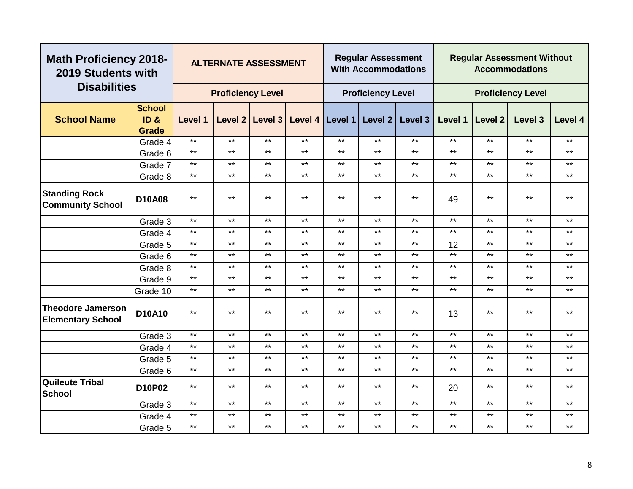| <b>Math Proficiency 2018-</b><br>2019 Students with  |                                                  |              | <b>ALTERNATE ASSESSMENT</b> |                 |                 |       | <b>Regular Assessment</b><br><b>With Accommodations</b> |              |         |                | <b>Regular Assessment Without</b><br><b>Accommodations</b> |         |
|------------------------------------------------------|--------------------------------------------------|--------------|-----------------------------|-----------------|-----------------|-------|---------------------------------------------------------|--------------|---------|----------------|------------------------------------------------------------|---------|
| <b>Disabilities</b>                                  |                                                  |              | <b>Proficiency Level</b>    |                 |                 |       | <b>Proficiency Level</b>                                |              |         |                | <b>Proficiency Level</b>                                   |         |
| <b>School Name</b>                                   | <b>School</b><br>ID <sub>8</sub><br><b>Grade</b> | Level 1      |                             | Level 2 Level 3 | Level 4 Level 1 |       | Level 2                                                 | Level 3      | Level 1 | <b>Level 2</b> | Level <sub>3</sub>                                         | Level 4 |
|                                                      | Grade 4                                          | $***$        | $***$                       | $***$           | $***$           | $***$ | $***$                                                   | $***$        | $***$   | $***$          | $***$                                                      | $***$   |
|                                                      | Grade 6                                          | $***$        | $***$                       | $***$           | $***$           | $***$ | $***$                                                   | $***$        | $***$   | $***$          | $***$                                                      | $***$   |
|                                                      | Grade 7                                          | $***$        | $***$                       | $***$           | $***$           | $***$ | $***$                                                   | $\star\star$ | $***$   | $***$          | $***$                                                      | $***$   |
|                                                      | Grade 8                                          | $***$        | $***$                       | $***$           | $***$           | $***$ | $***$                                                   | $***$        | $***$   | $***$          | $***$                                                      | $***$   |
| <b>Standing Rock</b><br><b>Community School</b>      | <b>D10A08</b>                                    | $***$        | $***$                       | $***$           | $***$           | $***$ | $***$                                                   | $***$        | 49      | $***$          | $***$                                                      | $***$   |
|                                                      | Grade 3                                          | $\star\star$ | $***$                       | $***$           | $***$           | $***$ | $***$                                                   | $***$        | $***$   | $\star\star$   | $\star\star$                                               | $***$   |
|                                                      | Grade 4                                          | $***$        | $***$                       | $***$           | $***$           | $***$ | $***$                                                   | $***$        | $***$   | $***$          | $***$                                                      | $***$   |
|                                                      | Grade 5                                          | $***$        | $***$                       | $***$           | $***$           | $***$ | $***$                                                   | $***$        | 12      | $***$          | $***$                                                      | $***$   |
|                                                      | Grade 6                                          | $***$        | $***$                       | $***$           | $***$           | $***$ | $***$                                                   | $***$        | $***$   | $***$          | $***$                                                      | $***$   |
|                                                      | Grade 8                                          | $***$        | $***$                       | $***$           | $***$           | $***$ | $***$                                                   | $***$        | $***$   | $\star\star$   | $***$                                                      | $***$   |
|                                                      | Grade 9                                          | $***$        | $***$                       | $***$           | $***$           | $***$ | $***$                                                   | $***$        | $***$   | $***$          | $***$                                                      | $***$   |
|                                                      | Grade 10                                         | $\star\star$ | $***$                       | $***$           | $***$           | $***$ | $***$                                                   | $***$        | $***$   | $***$          | $***$                                                      | $***$   |
| <b>Theodore Jamerson</b><br><b>Elementary School</b> | D10A10                                           | $***$        | $***$                       | $***$           | $***$           | $***$ | $***$                                                   | $***$        | 13      | $***$          | $***$                                                      | $***$   |
|                                                      | Grade 3                                          | $***$        | $***$                       | $***$           | $***$           | $***$ | $***$                                                   | $***$        | $***$   | $***$          | $\star\star$                                               | $***$   |
|                                                      | Grade 4                                          | $\star\star$ | $***$                       | $***$           | $***$           | $***$ | $***$                                                   | $***$        | $***$   | $***$          | $***$                                                      | $***$   |
|                                                      | Grade 5                                          | $***$        | $***$                       | $***$           | $***$           | $***$ | $\star\star$                                            | $***$        | $***$   | $***$          | $***$                                                      | $***$   |
|                                                      | Grade 6                                          | $***$        | $***$                       | $***$           | $***$           | $***$ | $***$                                                   | $\star\star$ | $***$   | $\star\star$   | $***$                                                      | $***$   |
| <b>Quileute Tribal</b><br><b>School</b>              | D10P02                                           | $***$        | $***$                       | $***$           | $\star\star$    | $***$ | $***$                                                   | $***$        | 20      | $***$          | $***$                                                      | $***$   |
|                                                      | Grade 3                                          | $\star\star$ | $***$                       | $***$           | $***$           | $***$ | $***$                                                   | $***$        | $***$   | $***$          | $***$                                                      | $***$   |
|                                                      | Grade 4                                          | $***$        | $***$                       | $***$           | $***$           | $***$ | $***$                                                   | $***$        | $***$   | $***$          | $***$                                                      | $***$   |
|                                                      | Grade 5                                          | $***$        | $***$                       | $***$           | $***$           | $***$ | $***$                                                   | $***$        | $***$   | $***$          | $***$                                                      | $***$   |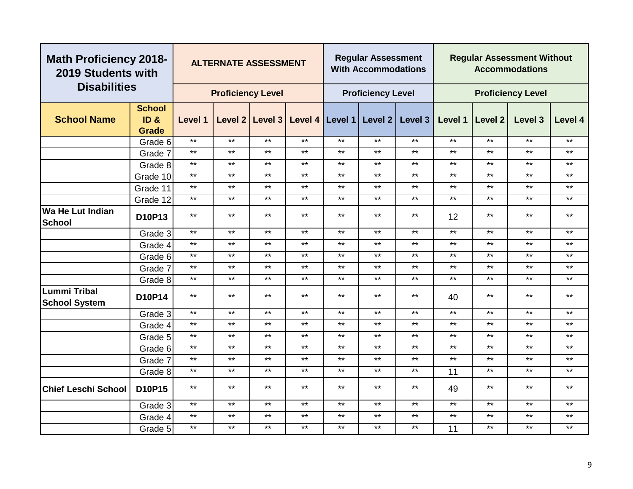| <b>Math Proficiency 2018-</b><br>2019 Students with |                                                      |              | <b>ALTERNATE ASSESSMENT</b> |                 |                 |       | <b>Regular Assessment</b><br><b>With Accommodations</b> |         |         |         | <b>Regular Assessment Without</b><br><b>Accommodations</b> |              |
|-----------------------------------------------------|------------------------------------------------------|--------------|-----------------------------|-----------------|-----------------|-------|---------------------------------------------------------|---------|---------|---------|------------------------------------------------------------|--------------|
| <b>Disabilities</b>                                 |                                                      |              | <b>Proficiency Level</b>    |                 |                 |       | <b>Proficiency Level</b>                                |         |         |         | <b>Proficiency Level</b>                                   |              |
| <b>School Name</b>                                  | <b>School</b><br>ID <sub>&amp;</sub><br><b>Grade</b> | Level 1      |                             | Level 2 Level 3 | Level 4 Level 1 |       | Level 2                                                 | Level 3 | Level 1 | Level 2 | Level 3                                                    | Level 4      |
|                                                     | Grade 6                                              | $***$        | $***$                       | $***$           | $***$           | $***$ | $***$                                                   | $***$   | $***$   | $***$   | $***$                                                      | $***$        |
|                                                     | Grade 7                                              | $***$        | $***$                       | $***$           | $***$           | $***$ | $***$                                                   | $***$   | $***$   | $***$   | $***$                                                      | $***$        |
|                                                     | Grade 8                                              | $***$        | $***$                       | $***$           | $***$           | $***$ | $***$                                                   | $***$   | $***$   | $***$   | $***$                                                      | $***$        |
|                                                     | Grade 10                                             | $***$        | $***$                       | $***$           | $***$           | $***$ | $***$                                                   | $***$   | $***$   | $***$   | $***$                                                      | $***$        |
|                                                     | Grade 11                                             | $***$        | $***$                       | $***$           | $***$           | $***$ | $***$                                                   | $***$   | $***$   | $***$   | $***$                                                      | $***$        |
|                                                     | Grade 12                                             | $\star\star$ | $***$                       | $***$           | $***$           | $***$ | $***$                                                   | $***$   | $***$   | $***$   | $***$                                                      | $***$        |
| <b>Wa He Lut Indian</b><br>School                   | D10P13                                               | $***$        | $***$                       | $***$           | $***$           | $***$ | $***$                                                   | $***$   | 12      | $***$   | $***$                                                      | $***$        |
|                                                     | Grade 3                                              | $***$        | $***$                       | $***$           | $***$           | $***$ | $***$                                                   | $***$   | $***$   | $***$   | $\star\star$                                               | $***$        |
|                                                     | Grade 4                                              | $***$        | $***$                       | $***$           | $***$           | $***$ | $***$                                                   | $***$   | $***$   | $***$   | $***$                                                      | $***$        |
|                                                     | Grade 6                                              | $***$        | $***$                       | $***$           | $***$           | $***$ | $***$                                                   | $***$   | $***$   | $***$   | $***$                                                      | $***$        |
|                                                     | Grade 7                                              | $***$        | $***$                       | $***$           | $***$           | $***$ | $***$                                                   | $***$   | $***$   | $***$   | $***$                                                      | $***$        |
|                                                     | Grade 8                                              | $***$        | $***$                       | $***$           | $***$           | $***$ | $\star\star$                                            | $***$   | $***$   | $***$   | $\star\star$                                               | $***$        |
| <b>Lummi Tribal</b><br><b>School System</b>         | D10P14                                               | $***$        | $***$                       | $***$           | $***$           | $***$ | $***$                                                   | $***$   | 40      | $***$   | $***$                                                      | $***$        |
|                                                     | Grade 3                                              | $***$        | $***$                       | $\star\star$    | $***$           | $***$ | $***$                                                   | $***$   | $***$   | $***$   | $***$                                                      | $***$        |
|                                                     | Grade 4                                              | $***$        | $***$                       | $***$           | $***$           | $***$ | $***$                                                   | $***$   | $***$   | $***$   | $***$                                                      | $***$        |
|                                                     | Grade 5                                              | $***$        | $***$                       | $***$           | $***$           | $***$ | $***$                                                   | $***$   | $***$   | $***$   | $***$                                                      | $***$        |
|                                                     | Grade 6                                              | $***$        | $***$                       | $***$           | $***$           | $***$ | $***$                                                   | $***$   | $***$   | $***$   | $***$                                                      | $***$        |
|                                                     | Grade 7                                              | $***$        | $***$                       | $***$           | $***$           | $***$ | $***$                                                   | $***$   | $***$   | $***$   | $***$                                                      | $***$        |
|                                                     | Grade 8                                              | $\star\star$ | $***$                       | $\star\star$    | $\star\star$    | $***$ | $***$                                                   | $***$   | 11      | $***$   | $\star\star$                                               | $\star\star$ |
| <b>Chief Leschi School</b>                          | D10P15                                               | $\star\star$ | $**$                        | $***$           | $**$            | $***$ | $**$                                                    | $***$   | 49      | $***$   | $***$                                                      | $***$        |
|                                                     | Grade 3                                              | $***$        | $***$                       | $***$           | $***$           | $***$ | $***$                                                   | $***$   | $***$   | $***$   | $***$                                                      | $***$        |
|                                                     | Grade 4                                              | $***$        | $***$                       | $***$           | $***$           | $***$ | $***$                                                   | $***$   | $***$   | $***$   | $***$                                                      | $***$        |
|                                                     | Grade 5                                              | $***$        | $***$                       | $***$           | $***$           | $***$ | $***$                                                   | $***$   | 11      | $***$   | $***$                                                      | $***$        |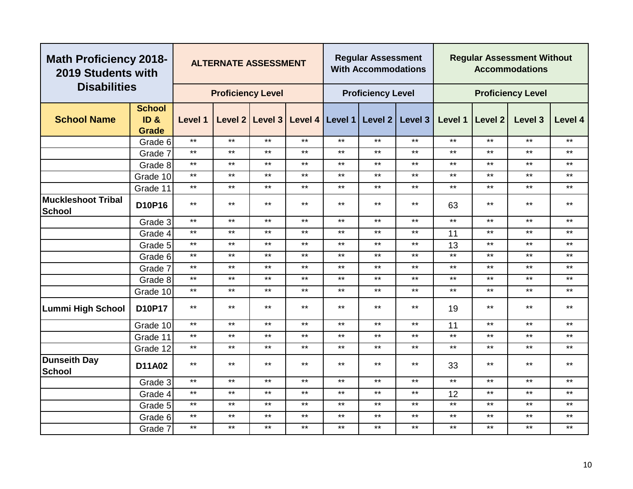|                                            | <b>Math Proficiency 2018-</b><br>2019 Students with<br><b>Disabilities</b> |              | <b>ALTERNATE ASSESSMENT</b> |       |       |              | <b>Regular Assessment</b><br><b>With Accommodations</b> |                                                 |              |              | <b>Regular Assessment Without</b><br><b>Accommodations</b> |              |
|--------------------------------------------|----------------------------------------------------------------------------|--------------|-----------------------------|-------|-------|--------------|---------------------------------------------------------|-------------------------------------------------|--------------|--------------|------------------------------------------------------------|--------------|
|                                            |                                                                            |              | <b>Proficiency Level</b>    |       |       |              | <b>Proficiency Level</b>                                |                                                 |              |              | <b>Proficiency Level</b>                                   |              |
| <b>School Name</b>                         | <b>School</b><br>ID <sub>8</sub><br><b>Grade</b>                           | Level 1      |                             |       |       |              |                                                         | Level 2 Level 3 Level 4 Level 1 Level 2 Level 3 | Level 1      | Level 2      | Level 3                                                    | Level 4      |
|                                            | Grade 6                                                                    | $***$        | $***$                       | $***$ | $***$ | $***$        | $***$                                                   | $***$                                           | $***$        | $***$        | $***$                                                      | $***$        |
|                                            | Grade 7                                                                    | $***$        | $***$                       | $***$ | $***$ | $***$        | $***$                                                   | $***$                                           | $***$        | $***$        | $***$                                                      | $***$        |
|                                            | Grade 8                                                                    | $***$        | $***$                       | $***$ | $***$ | $***$        | $***$                                                   | $***$                                           | $***$        | $***$        | $***$                                                      | $***$        |
|                                            | Grade 10                                                                   | $***$        | $***$                       | $***$ | $***$ | $\star\star$ | $***$                                                   | $***$                                           | $***$        | $\star\star$ | $***$                                                      | $***$        |
|                                            | Grade 11                                                                   | $***$        | $***$                       | $***$ | $***$ | $***$        | $***$                                                   | $***$                                           | $***$        | $***$        | $***$                                                      | $***$        |
| <b>Muckleshoot Tribal</b><br><b>School</b> | D10P16                                                                     | $***$        | $***$                       | $***$ | $***$ | $***$        | $***$                                                   | $***$                                           | 63           | $***$        | $***$                                                      | $\star\star$ |
|                                            | Grade 3                                                                    | $***$        | $***$                       | $***$ | $***$ | $***$        | $***$                                                   | $***$                                           | $***$        | $***$        | $***$                                                      | $***$        |
|                                            | Grade 4                                                                    | $***$        | $***$                       | $***$ | $***$ | $***$        | $***$                                                   | $***$                                           | 11           | $***$        | $***$                                                      | $***$        |
|                                            | Grade 5                                                                    | $***$        | $***$                       | $***$ | $***$ | $***$        | $***$                                                   | $***$                                           | 13           | $***$        | $***$                                                      | $***$        |
|                                            | Grade 6                                                                    | $***$        | $***$                       | $***$ | $***$ | $***$        | $***$                                                   | $***$                                           | $***$        | $***$        | $***$                                                      | $\star\star$ |
|                                            | Grade 7                                                                    | $\star\star$ | $***$                       | $***$ | $***$ | $***$        | $***$                                                   | $***$                                           | $***$        | $***$        | $***$                                                      | $***$        |
|                                            | Grade 8                                                                    | $\star\star$ | $***$                       | $***$ | $***$ | $***$        | $***$                                                   | $***$                                           | $***$        | $***$        | $***$                                                      | $\star\star$ |
|                                            | Grade 10                                                                   | $***$        | $***$                       | $***$ | $***$ | $***$        | $***$                                                   | $***$                                           | $***$        | $***$        | $***$                                                      | $***$        |
| <b>Lummi High School</b>                   | D10P17                                                                     | $***$        | $***$                       | $***$ | $***$ | $***$        | $***$                                                   | $***$                                           | 19           | $***$        | $\star\star$                                               | $***$        |
|                                            | Grade 10                                                                   | $***$        | $***$                       | $***$ | $***$ | $***$        | $***$                                                   | $***$                                           | 11           | $\star\star$ | $***$                                                      | $***$        |
|                                            | Grade 11                                                                   | $***$        | $***$                       | $***$ | $***$ | $***$        | $***$                                                   | $***$                                           | $***$        | $***$        | $***$                                                      | $***$        |
|                                            | Grade 12                                                                   | $***$        | $***$                       | $***$ | $***$ | $***$        | $***$                                                   | $***$                                           | $***$        | $***$        | $***$                                                      | $***$        |
| <b>Dunseith Day</b><br><b>School</b>       | D11A02                                                                     | $***$        | $***$                       | $***$ | $***$ | $***$        | $***$                                                   | $***$                                           | 33           | $***$        | $***$                                                      | $***$        |
|                                            | Grade 3                                                                    | $***$        | $***$                       | $***$ | $***$ | $***$        | $***$                                                   | $***$                                           | $\star\star$ | $***$        | $***$                                                      | $\star\star$ |
|                                            | Grade 4                                                                    | $***$        | $***$                       | $***$ | $***$ | $***$        | $***$                                                   | $***$                                           | 12           | $\star\star$ | $***$                                                      | $***$        |
|                                            | Grade 5                                                                    | $***$        | $***$                       | $***$ | $***$ | $***$        | $***$                                                   | $***$                                           | $***$        | $***$        | $***$                                                      | $***$        |
|                                            | Grade 6                                                                    | $***$        | $***$                       | $***$ | $***$ | $***$        | $***$                                                   | $***$                                           | $***$        | $***$        | $***$                                                      | $\star\star$ |
|                                            | Grade 7                                                                    | $***$        | $***$                       | $***$ | $***$ | $***$        | $***$                                                   | $***$                                           | $***$        | $\star\star$ | $\star\star$                                               | $\star\star$ |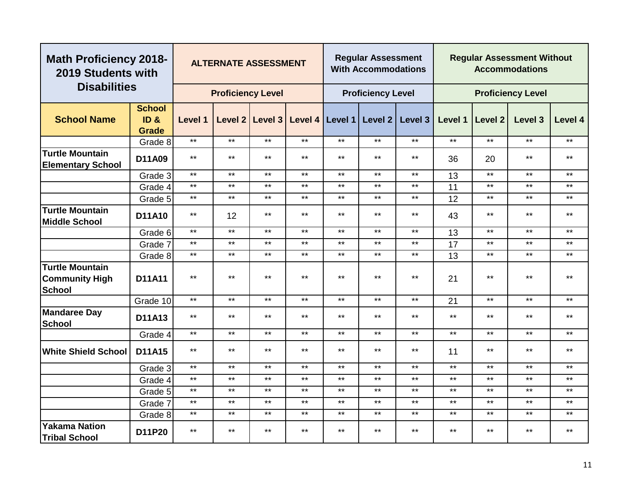|                                                                  | <b>Math Proficiency 2018-</b><br>2019 Students with<br><b>Disabilities</b> |              | <b>ALTERNATE ASSESSMENT</b> |                   |       |              | <b>Regular Assessment</b><br><b>With Accommodations</b> |                                 |              |         | <b>Regular Assessment Without</b><br><b>Accommodations</b> |              |
|------------------------------------------------------------------|----------------------------------------------------------------------------|--------------|-----------------------------|-------------------|-------|--------------|---------------------------------------------------------|---------------------------------|--------------|---------|------------------------------------------------------------|--------------|
|                                                                  |                                                                            |              | <b>Proficiency Level</b>    |                   |       |              | <b>Proficiency Level</b>                                |                                 |              |         | <b>Proficiency Level</b>                                   |              |
| <b>School Name</b>                                               | <b>School</b><br>ID <sub>&amp;</sub><br><b>Grade</b>                       | Level 1      |                             | Level 2   Level 3 |       |              |                                                         | Level 4 Level 1 Level 2 Level 3 | Level 1      | Level 2 | Level 3                                                    | Level 4      |
|                                                                  | Grade 8                                                                    | $***$        | $***$                       | $***$             | $***$ | $***$        | $***$                                                   | $\star\star$                    | $***$        | $***$   | $***$                                                      | $***$        |
| <b>Turtle Mountain</b><br><b>Elementary School</b>               | D11A09                                                                     | $***$        | $***$                       | $***$             | $***$ | $***$        | $\star\star$                                            | $\star\star$                    | 36           | 20      | $***$                                                      | $***$        |
|                                                                  | Grade 3                                                                    | $***$        | $***$                       | $***$             | $***$ | $***$        | $***$                                                   | $***$                           | 13           | $***$   | $***$                                                      | $***$        |
|                                                                  | Grade 4                                                                    | $***$        | $***$                       | $***$             | $***$ | $***$        | $***$                                                   | $***$                           | 11           | $***$   | $***$                                                      | $***$        |
|                                                                  | Grade 5                                                                    | $\star\star$ | $***$                       | $***$             | $***$ | $\star\star$ | $***$                                                   | $\star\star$                    | 12           | $***$   | $***$                                                      | $***$        |
| <b>Turtle Mountain</b><br><b>Middle School</b>                   | D11A10                                                                     | $\star\star$ | 12                          | $***$             | $***$ | $***$        | $***$                                                   | $***$                           | 43           | $***$   | $***$                                                      | $***$        |
|                                                                  | Grade 6                                                                    | $***$        | $***$                       | $***$             | $***$ | $***$        | $***$                                                   | $***$                           | 13           | $***$   | $***$                                                      | $***$        |
|                                                                  | Grade 7                                                                    | $***$        | $***$                       | $***$             | $***$ | $***$        | $***$                                                   | $***$                           | 17           | $***$   | $***$                                                      | $***$        |
|                                                                  | Grade 8                                                                    | $***$        | $***$                       | $***$             | $***$ | $***$        | $***$                                                   | $***$                           | 13           | $***$   | $***$                                                      | $***$        |
| <b>Turtle Mountain</b><br><b>Community High</b><br><b>School</b> | D11A11                                                                     | $***$        | $***$                       | $***$             | $***$ | $***$        | $***$                                                   | $***$                           | 21           | $***$   | $***$                                                      | $***$        |
|                                                                  | Grade 10                                                                   | $***$        | $***$                       | $***$             | $***$ | $***$        | $***$                                                   | $***$                           | 21           | $***$   | $***$                                                      | $***$        |
| <b>Mandaree Day</b><br><b>School</b>                             | D11A13                                                                     | $\star\star$ | $***$                       | $***$             | $***$ | $***$        | $***$                                                   | $***$                           | $***$        | $***$   | $***$                                                      | $***$        |
|                                                                  | Grade 4                                                                    | $\star\star$ | $\star\star$                | $***$             | $***$ | $***$        | $\star\star$                                            | $***$                           | $***$        | $***$   | $***$                                                      | $\star\star$ |
| <b>White Shield School</b>                                       | D11A15                                                                     | $***$        | $***$                       | $***$             | $***$ | $***$        | $***$                                                   | $***$                           | 11           | $***$   | $***$                                                      | $***$        |
|                                                                  | Grade 3                                                                    | $\star\star$ | $***$                       | $***$             | $***$ | $***$        | $***$                                                   | $***$                           | $\star\star$ | $***$   | $***$                                                      | $***$        |
|                                                                  | Grade 4                                                                    | $***$        | $***$                       | $***$             | $***$ | $***$        | $***$                                                   | $***$                           | $***$        | $***$   | $***$                                                      | $***$        |
|                                                                  | Grade 5                                                                    | $***$        | $***$                       | $***$             | $***$ | $***$        | $***$                                                   | $***$                           | $***$        | $***$   | $***$                                                      | $***$        |
|                                                                  | Grade 7                                                                    | $***$        | $***$                       | $***$             | $***$ | $***$        | $***$                                                   | $***$                           | $***$        | $***$   | $***$                                                      | $***$        |
|                                                                  | Grade 8                                                                    | $***$        | $***$                       | $***$             | $***$ | $***$        | $\star\star$                                            | $***$                           | $***$        | $***$   | $***$                                                      | $***$        |
| <b>Yakama Nation</b><br><b>Tribal School</b>                     | D11P20                                                                     | $***$        | $***$                       | $***$             | $***$ | $***$        | $***$                                                   | $***$                           | $***$        | $***$   | $***$                                                      | $***$        |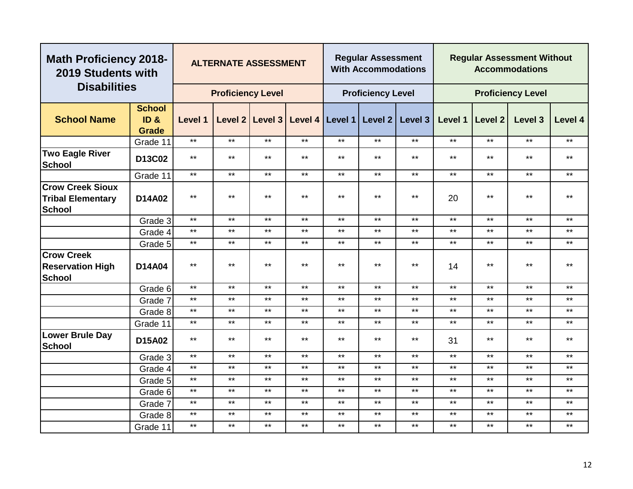|                                                                      | <b>Math Proficiency 2018-</b><br>2019 Students with<br><b>Disabilities</b> |                | <b>ALTERNATE ASSESSMENT</b> |         |                 |       | <b>Regular Assessment</b><br><b>With Accommodations</b> |         |         |         | <b>Regular Assessment Without</b><br><b>Accommodations</b> |         |
|----------------------------------------------------------------------|----------------------------------------------------------------------------|----------------|-----------------------------|---------|-----------------|-------|---------------------------------------------------------|---------|---------|---------|------------------------------------------------------------|---------|
|                                                                      |                                                                            |                | <b>Proficiency Level</b>    |         |                 |       | <b>Proficiency Level</b>                                |         |         |         | <b>Proficiency Level</b>                                   |         |
| <b>School Name</b>                                                   | <b>School</b><br>ID <sub>&amp;</sub><br><b>Grade</b>                       | <b>Level 1</b> | Level 2                     | Level 3 | Level 4 Level 1 |       | Level 2                                                 | Level 3 | Level 1 | Level 2 | Level 3                                                    | Level 4 |
|                                                                      | Grade 11                                                                   | $***$          | $***$                       | $***$   | $***$           | $***$ | $***$                                                   | $***$   | $***$   | $***$   | $***$                                                      | $***$   |
| <b>Two Eagle River</b><br><b>School</b>                              | D13C02                                                                     | $***$          | $***$                       | $***$   | $***$           | $***$ | $***$                                                   | $***$   | $***$   | $***$   | $***$                                                      | $***$   |
|                                                                      | Grade 11                                                                   | $***$          | $***$                       | $***$   | $***$           | $***$ | $***$                                                   | $***$   | $***$   | $***$   | $***$                                                      | $***$   |
| <b>Crow Creek Sioux</b><br><b>Tribal Elementary</b><br><b>School</b> | D14A02                                                                     | $***$          | $***$                       | $***$   | $***$           | $***$ | $***$                                                   | $***$   | 20      | $***$   | $***$                                                      | $***$   |
|                                                                      | Grade 3                                                                    | $***$          | $***$                       | $***$   | $***$           | $***$ | $***$                                                   | $***$   | $***$   | $***$   | $***$                                                      | $***$   |
|                                                                      | Grade 4                                                                    | $***$          | $***$                       | $***$   | $***$           | $***$ | $***$                                                   | $***$   | $***$   | $***$   | $***$                                                      | $***$   |
|                                                                      | Grade 5                                                                    | $***$          | $***$                       | $***$   | $***$           | $***$ | $***$                                                   | $***$   | $***$   | $***$   | $\star\star$                                               | $***$   |
| <b>Crow Creek</b><br><b>Reservation High</b><br><b>School</b>        | D14A04                                                                     | $***$          | $***$                       | $***$   | $***$           | $***$ | $***$                                                   | $***$   | 14      | $***$   | $***$                                                      | $***$   |
|                                                                      | Grade 6                                                                    | $***$          | $***$                       | $***$   | $***$           | $***$ | $***$                                                   | $***$   | $***$   | $***$   | $***$                                                      | $***$   |
|                                                                      | Grade 7                                                                    | $***$          | $***$                       | $***$   | $***$           | $***$ | $***$                                                   | $***$   | $***$   | $***$   | $***$                                                      | $***$   |
|                                                                      | Grade 8                                                                    | $***$          | $***$                       | $***$   | $***$           | $***$ | $***$                                                   | $***$   | $***$   | $***$   | $***$                                                      | $***$   |
|                                                                      | Grade 11                                                                   | $***$          | $***$                       | $***$   | $***$           | $***$ | $***$                                                   | $***$   | $***$   | $***$   | $***$                                                      | $***$   |
| <b>Lower Brule Day</b><br><b>School</b>                              | D15A02                                                                     | $***$          | $***$                       | $***$   | $***$           | $***$ | $***$                                                   | $***$   | 31      | $***$   | $***$                                                      | $***$   |
|                                                                      | Grade 3                                                                    | $***$          | $***$                       | $***$   | $***$           | $***$ | $***$                                                   | $***$   | $***$   | $***$   | $***$                                                      | $***$   |
|                                                                      | Grade 4                                                                    | $***$          | $***$                       | $***$   | $***$           | $***$ | $***$                                                   | $***$   | $***$   | $***$   | $***$                                                      | $***$   |
|                                                                      | Grade 5                                                                    | $***$          | $***$                       | $***$   | $***$           | $***$ | $***$                                                   | $***$   | $***$   | $***$   | $***$                                                      | $***$   |
|                                                                      | Grade 6                                                                    | $\star\star$   | $***$                       | $***$   | $***$           | $***$ | $***$                                                   | $***$   | $***$   | $***$   | $***$                                                      | $***$   |
|                                                                      | Grade 7                                                                    | $***$          | $***$                       | $***$   | $***$           | $***$ | $***$                                                   | $***$   | $***$   | $***$   | $***$                                                      | $***$   |
|                                                                      | Grade 8                                                                    | $***$          | $***$                       | $***$   | $***$           | $***$ | $***$                                                   | $***$   | $***$   | $***$   | $***$                                                      | $***$   |
|                                                                      | Grade 11                                                                   | $***$          | $***$                       | $***$   | $***$           | $***$ | $***$                                                   | $***$   | $***$   | $***$   | $***$                                                      | $***$   |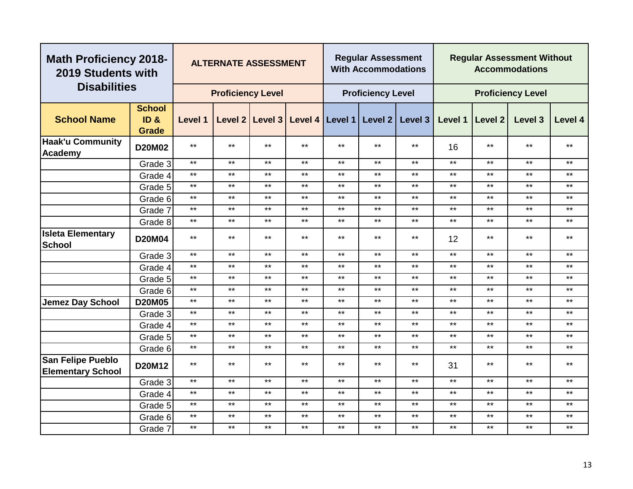| <b>Math Proficiency 2018-</b><br>2019 Students with  |                                                  |         | <b>ALTERNATE ASSESSMENT</b> |              |       |                   | <b>Regular Assessment</b><br><b>With Accommodations</b> |              |         |              | <b>Regular Assessment Without</b><br><b>Accommodations</b> |         |
|------------------------------------------------------|--------------------------------------------------|---------|-----------------------------|--------------|-------|-------------------|---------------------------------------------------------|--------------|---------|--------------|------------------------------------------------------------|---------|
| <b>Disabilities</b>                                  |                                                  |         | <b>Proficiency Level</b>    |              |       |                   | <b>Proficiency Level</b>                                |              |         |              | <b>Proficiency Level</b>                                   |         |
| <b>School Name</b>                                   | <b>School</b><br>ID <sub>8</sub><br><b>Grade</b> | Level 1 | Level 2                     | Level 3      |       | Level 4   Level 1 | Level 2                                                 | Level 3      | Level 1 | Level 2      | Level 3                                                    | Level 4 |
| Haak'u Community<br>Academy                          | D20M02                                           | $***$   | $***$                       | $***$        | $***$ | $***$             | $***$                                                   | $***$        | 16      | $***$        | $***$                                                      | $***$   |
|                                                      | Grade 3                                          | $***$   | $***$                       | $***$        | $***$ | $***$             | $***$                                                   | $***$        | $***$   | $***$        | $***$                                                      | $***$   |
|                                                      | Grade 4                                          | $***$   | $***$                       | $***$        | $***$ | $***$             | $***$                                                   | $***$        | $***$   | $***$        | $***$                                                      | $***$   |
|                                                      | Grade 5                                          | $***$   | $***$                       | $***$        | $***$ | $***$             | $***$                                                   | $***$        | $***$   | $***$        | $***$                                                      | $***$   |
|                                                      | Grade 6                                          | $***$   | $***$                       | $***$        | $***$ | $***$             | $***$                                                   | $***$        | $***$   | $\star\star$ | $\star\star$                                               | $***$   |
|                                                      | Grade 7                                          | $***$   | $***$                       | $***$        | $***$ | $***$             | $***$                                                   | $***$        | $***$   | $***$        | $***$                                                      | $***$   |
|                                                      | Grade 8                                          | $***$   | $***$                       | $***$        | $***$ | $***$             | $***$                                                   | $***$        | $***$   | $***$        | $***$                                                      | $***$   |
| <b>Isleta Elementary</b><br><b>School</b>            | <b>D20M04</b>                                    | $***$   | $***$                       | $***$        | $***$ | $***$             | $***$                                                   | $\star\star$ | 12      | $\star\star$ | $***$                                                      | $***$   |
|                                                      | Grade 3                                          | $***$   | $***$                       | $***$        | $***$ | $***$             | $***$                                                   | $***$        | $***$   | $***$        | $***$                                                      | $***$   |
|                                                      | Grade 4                                          | $***$   | $***$                       | $***$        | $***$ | $***$             | $***$                                                   | $***$        | $***$   | $***$        | $***$                                                      | $***$   |
|                                                      | Grade 5                                          | $***$   | $***$                       | $***$        | $***$ | $***$             | $***$                                                   | $***$        | $***$   | $***$        | $***$                                                      | $***$   |
|                                                      | Grade 6                                          | $***$   | $***$                       | $***$        | $***$ | $***$             | $***$                                                   | $***$        | $***$   | $***$        | $***$                                                      | $***$   |
| <b>Jemez Day School</b>                              | <b>D20M05</b>                                    | $***$   | $***$                       | $***$        | $***$ | $***$             | $***$                                                   | $***$        | $***$   | $***$        | $***$                                                      | $***$   |
|                                                      | Grade 3                                          | $***$   | $***$                       | $***$        | $***$ | $***$             | $***$                                                   | $***$        | $***$   | $***$        | $***$                                                      | $***$   |
|                                                      | Grade 4                                          | $***$   | $***$                       | $***$        | $***$ | $***$             | $***$                                                   | $***$        | $***$   | $***$        | $***$                                                      | $***$   |
|                                                      | Grade 5                                          | $***$   | $***$                       | $***$        | $***$ | $***$             | $***$                                                   | $***$        | $***$   | $***$        | $***$                                                      | $***$   |
|                                                      | Grade 6                                          | $***$   | $***$                       | $***$        | $***$ | $***$             | $***$                                                   | $\star\star$ | $***$   | $\star\star$ | $***$                                                      | **      |
| <b>San Felipe Pueblo</b><br><b>Elementary School</b> | D20M12                                           | $***$   | $***$                       | $***$        | $***$ | $***$             | $***$                                                   | $***$        | 31      | $***$        | $***$                                                      | $***$   |
|                                                      | Grade 3                                          | $***$   | $***$                       | $***$        | $***$ | $***$             | $***$                                                   | $***$        | $***$   | $***$        | $***$                                                      | $***$   |
|                                                      | Grade 4                                          | $***$   | $***$                       | $\star\star$ | $***$ | $***$             | $***$                                                   | $\star\star$ | $***$   | $***$        | $***$                                                      | $***$   |
|                                                      | Grade 5                                          | $***$   | $***$                       | $***$        | $***$ | $***$             | $***$                                                   | $***$        | $***$   | $***$        | $***$                                                      | $***$   |
|                                                      | Grade 6                                          | $***$   | $***$                       | $***$        | $***$ | $***$             | $***$                                                   | $\star\star$ | $***$   | $\star\star$ | $***$                                                      | $***$   |
|                                                      | Grade 7                                          | $***$   | $***$                       | $***$        | $***$ | $***$             | $***$                                                   | $***$        | $***$   | $***$        | $\star\star$                                               | $***$   |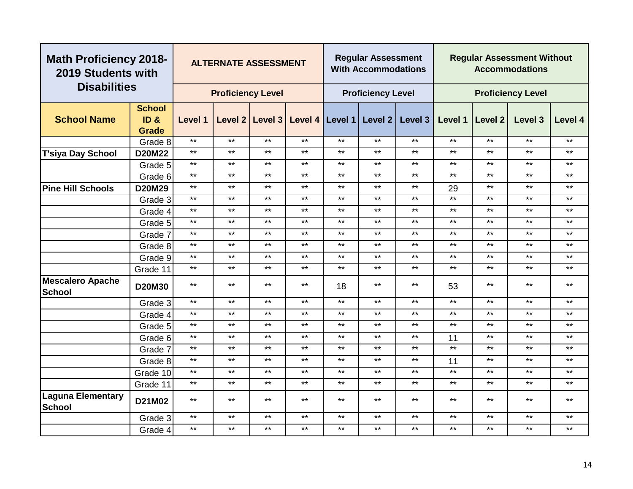| <b>Math Proficiency 2018-</b><br>2019 Students with |                 |              |                          | <b>ALTERNATE ASSESSMENT</b> |       |              | <b>Regular Assessment</b><br><b>With Accommodations</b> |         |         |                | <b>Regular Assessment Without</b><br><b>Accommodations</b> |              |
|-----------------------------------------------------|-----------------|--------------|--------------------------|-----------------------------|-------|--------------|---------------------------------------------------------|---------|---------|----------------|------------------------------------------------------------|--------------|
| <b>Disabilities</b>                                 |                 |              | <b>Proficiency Level</b> |                             |       |              | <b>Proficiency Level</b>                                |         |         |                | <b>Proficiency Level</b>                                   |              |
|                                                     | <b>School</b>   |              |                          |                             |       |              |                                                         |         |         |                |                                                            |              |
| <b>School Name</b>                                  | ID <sub>8</sub> | Level 1      | Level 2                  | Level 3                     |       |              | Level 4   Level 1   Level 2                             | Level 3 | Level 1 | <b>Level 2</b> | Level 3                                                    | Level 4      |
|                                                     | <b>Grade</b>    |              |                          |                             |       |              |                                                         |         |         |                |                                                            |              |
|                                                     | Grade 8         | $***$        | $***$                    | $***$                       | $***$ | $***$        | $***$                                                   | $***$   | $***$   | $***$          | $***$                                                      | $***$        |
| <b>T'siya Day School</b>                            | <b>D20M22</b>   | $***$        | $***$                    | $***$                       | $***$ | $***$        | $***$                                                   | $***$   | $***$   | $***$          | $***$                                                      | $\star\star$ |
|                                                     | Grade 5         | $***$        | $***$                    | $***$                       | $***$ | $***$        | $***$                                                   | $***$   | $***$   | $***$          | $***$                                                      | $***$        |
|                                                     | Grade 6         | $***$        | $***$                    | $***$                       | $***$ | $***$        | $***$                                                   | $***$   | $***$   | $***$          | $***$                                                      | $***$        |
| <b>Pine Hill Schools</b>                            | D20M29          | $***$        | $***$                    | $***$                       | $***$ | $***$        | $***$                                                   | $***$   | 29      | $***$          | $***$                                                      | $***$        |
|                                                     | Grade 3         | $***$        | $***$                    | $***$                       | $***$ | $***$        | $***$                                                   | $***$   | $***$   | $***$          | $***$                                                      | $***$        |
|                                                     | Grade 4         | $***$        | $***$                    | $***$                       | $***$ | $***$        | $***$                                                   | $***$   | $***$   | $***$          | $***$                                                      | $***$        |
|                                                     | Grade 5         | $***$        | $***$                    | $***$                       | $***$ | $***$        | $***$                                                   | $***$   | $***$   | $***$          | $***$                                                      | $***$        |
|                                                     | Grade 7         | $***$        | $***$                    | $***$                       | $***$ | $***$        | $***$                                                   | $***$   | $***$   | $***$          | $***$                                                      | $***$        |
|                                                     | Grade 8         | $***$        | $***$                    | $***$                       | $***$ | $***$        | $***$                                                   | $***$   | $***$   | $***$          | $***$                                                      | $***$        |
|                                                     | Grade 9         | $***$        | $***$                    | $***$                       | $***$ | $***$        | $***$                                                   | $***$   | $***$   | $***$          | $***$                                                      | $***$        |
|                                                     | Grade 11        | $\star\star$ | $***$                    | $***$                       | $***$ | $***$        | $***$                                                   | $***$   | $***$   | $***$          | $\star\star$                                               | $***$        |
| <b>Mescalero Apache</b><br><b>School</b>            | <b>D20M30</b>   | $***$        | $***$                    | $***$                       | $***$ | 18           | $***$                                                   | $***$   | 53      | $***$          | $***$                                                      | $***$        |
|                                                     | Grade 3         | $***$        | $***$                    | $***$                       | $***$ | $***$        | $***$                                                   | $***$   | $***$   | $***$          | $***$                                                      | $***$        |
|                                                     | Grade 4         | $***$        | $***$                    | $***$                       | $***$ | $***$        | $***$                                                   | $***$   | $***$   | $***$          | $***$                                                      | $***$        |
|                                                     | Grade 5         | $***$        | $***$                    | $***$                       | $***$ | $***$        | $***$                                                   | $***$   | $***$   | $***$          | $***$                                                      | $***$        |
|                                                     | Grade 6         | $***$        | $***$                    | $***$                       | $***$ | $***$        | $***$                                                   | $***$   | 11      | $***$          | $***$                                                      | $***$        |
|                                                     | Grade 7         | $***$        | $***$                    | $***$                       | $***$ | $***$        | $***$                                                   | $***$   | $***$   | $***$          | $***$                                                      | $***$        |
|                                                     | Grade 8         | $***$        | $***$                    | $***$                       | $***$ | $***$        | $***$                                                   | $***$   | 11      | $***$          | $***$                                                      | $***$        |
|                                                     | Grade 10        | $***$        | $***$                    | $***$                       | $***$ | $***$        | $***$                                                   | $***$   | $***$   | $***$          | $***$                                                      | $***$        |
|                                                     | Grade 11        | $***$        | $***$                    | $***$                       | $***$ | $***$        | $***$                                                   | $***$   | $***$   | $***$          | $***$                                                      | $***$        |
| <b>Laguna Elementary</b><br><b>School</b>           | D21M02          | $***$        | $***$                    | $***$                       | $***$ | $***$        | **                                                      | $***$   | $***$   | $***$          | $***$                                                      | $***$        |
|                                                     | Grade 3         | $\star\star$ | $***$                    | $***$                       | $***$ | $***$        | $***$                                                   | $***$   | $***$   | $***$          | $***$                                                      | **           |
|                                                     | Grade 4         | $***$        | $***$                    | $***$                       | $***$ | $\star\star$ | $***$                                                   | $***$   | $***$   | $***$          | $***$                                                      | $***$        |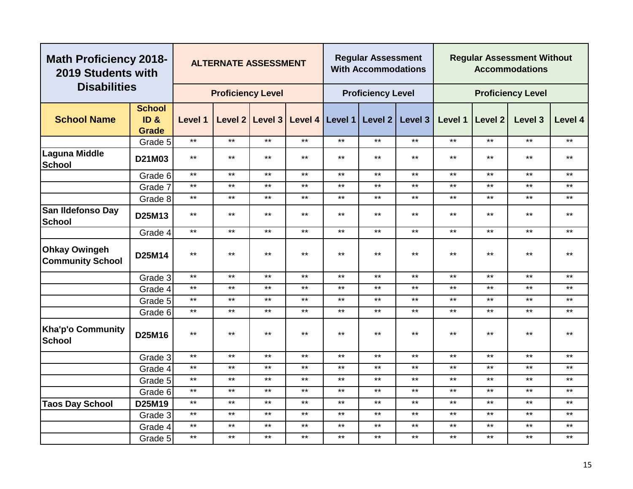| <b>Math Proficiency 2018-</b><br>2019 Students with<br><b>Disabilities</b> |                                       |              | <b>ALTERNATE ASSESSMENT</b> |       |       |              | <b>Regular Assessment</b><br><b>With Accommodations</b> |                                                           |         |              | <b>Regular Assessment Without</b><br><b>Accommodations</b> |              |
|----------------------------------------------------------------------------|---------------------------------------|--------------|-----------------------------|-------|-------|--------------|---------------------------------------------------------|-----------------------------------------------------------|---------|--------------|------------------------------------------------------------|--------------|
|                                                                            |                                       |              | <b>Proficiency Level</b>    |       |       |              | <b>Proficiency Level</b>                                |                                                           |         |              | <b>Proficiency Level</b>                                   |              |
| <b>School Name</b>                                                         | <b>School</b><br>ID &<br><b>Grade</b> | Level 1      |                             |       |       |              |                                                         | Level 2   Level 3   Level 4   Level 1   Level 2   Level 3 | Level 1 | Level 2      | Level 3                                                    | Level 4      |
|                                                                            | Grade 5                               | $***$        | $***$                       | $***$ | $***$ | $***$        | $***$                                                   | $***$                                                     | $***$   | $***$        | $***$                                                      | $***$        |
| <b>Laguna Middle</b><br><b>School</b>                                      | D21M03                                | $***$        | $***$                       | $***$ | $***$ | $***$        | $***$                                                   | $***$                                                     | $***$   | $***$        | $***$                                                      | $***$        |
|                                                                            | Grade 6                               | $***$        | $***$                       | $***$ | $***$ | $***$        | $***$                                                   | $***$                                                     | $***$   | $***$        | $***$                                                      | $***$        |
|                                                                            | Grade 7                               | $\star\star$ | $***$                       | $***$ | $***$ | $***$        | $***$                                                   | $***$                                                     | $***$   | $***$        | $***$                                                      | $***$        |
|                                                                            | Grade 8                               | $\star\star$ | $***$                       | $***$ | $***$ | $***$        | $***$                                                   | $***$                                                     | $***$   | $***$        | $***$                                                      | $***$        |
| San Ildefonso Day<br><b>School</b>                                         | D25M13                                | $\star\star$ | $***$                       | $***$ | $***$ | $\star\star$ | $***$                                                   | $***$                                                     | $***$   | $\star\star$ | $***$                                                      | $\star\star$ |
|                                                                            | Grade 4                               | $***$        | $***$                       | $***$ | $***$ | $***$        | $***$                                                   | $***$                                                     | $***$   | $***$        | $***$                                                      | $***$        |
| <b>Ohkay Owingeh</b><br><b>Community School</b>                            | D25M14                                | $***$        | $***$                       | $***$ | $***$ | $\star\star$ | $***$                                                   | $***$                                                     | $***$   | $\star\star$ | $***$                                                      | $\star\star$ |
|                                                                            | Grade 3                               | $***$        | $***$                       | $***$ | $***$ | $***$        | $***$                                                   | $***$                                                     | $***$   | $\star\star$ | $***$                                                      | $\star\star$ |
|                                                                            | Grade 4                               | $\star\star$ | $***$                       | $***$ | $***$ | $***$        | $***$                                                   | $***$                                                     | $***$   | $***$        | $***$                                                      | $***$        |
|                                                                            | Grade 5                               | $***$        | $***$                       | $***$ | $***$ | $***$        | $***$                                                   | $***$                                                     | $***$   | $***$        | $***$                                                      | $***$        |
|                                                                            | Grade 6                               | $***$        | $***$                       | $***$ | $***$ | $***$        | $***$                                                   | $***$                                                     | $***$   | $***$        | $***$                                                      | $***$        |
| <b>Kha'p'o Community</b><br><b>School</b>                                  | D25M16                                | $***$        | $***$                       | $***$ | $***$ | $***$        | $***$                                                   | $***$                                                     | $***$   | $***$        | $***$                                                      | $***$        |
|                                                                            | Grade 3                               | $***$        | $***$                       | $***$ | $***$ | $***$        | $***$                                                   | $***$                                                     | $***$   | $***$        | $***$                                                      | $***$        |
|                                                                            | Grade 4                               | $***$        | $***$                       | $***$ | $***$ | $***$        | $***$                                                   | $***$                                                     | $***$   | $***$        | $***$                                                      | $***$        |
|                                                                            | Grade 5                               | $***$        | $***$                       | $***$ | $***$ | $\star\star$ | $***$                                                   | $***$                                                     | $***$   | $***$        | $***$                                                      | $***$        |
|                                                                            | Grade 6                               | $***$        | $***$                       | $***$ | $***$ | $***$        | $***$                                                   | $***$                                                     | $***$   | $***$        | $***$                                                      | $***$        |
| <b>Taos Day School</b>                                                     | D25M19                                | $***$        | $***$                       | $***$ | $***$ | $***$        | $***$                                                   | $***$                                                     | $***$   | $***$        | $***$                                                      | $***$        |
|                                                                            | Grade 3                               | $***$        | $***$                       | $***$ | $***$ | $\star\star$ | $***$                                                   | $***$                                                     | $***$   | $***$        | $***$                                                      | $***$        |
|                                                                            | Grade 4                               | $***$        | $***$                       | $***$ | $***$ | $***$        | $***$                                                   | $***$                                                     | $***$   | $***$        | $***$                                                      | $***$        |
|                                                                            | Grade 5                               | $***$        | $***$                       | $***$ | $***$ | $***$        | $***$                                                   | $***$                                                     | $***$   | $***$        | $***$                                                      | $***$        |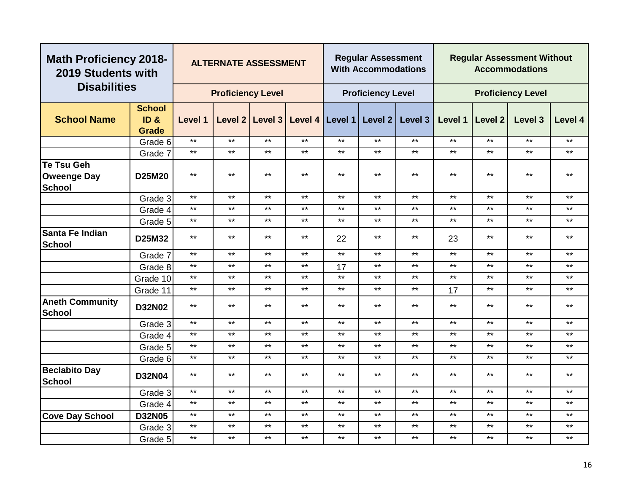| <b>Math Proficiency 2018-</b><br>2019 Students with |                                       |              |                          | <b>ALTERNATE ASSESSMENT</b>             |       |       | <b>Regular Assessment</b><br><b>With Accommodations</b> |              |         |         | <b>Regular Assessment Without</b><br><b>Accommodations</b> |              |
|-----------------------------------------------------|---------------------------------------|--------------|--------------------------|-----------------------------------------|-------|-------|---------------------------------------------------------|--------------|---------|---------|------------------------------------------------------------|--------------|
| <b>Disabilities</b>                                 |                                       |              | <b>Proficiency Level</b> |                                         |       |       | <b>Proficiency Level</b>                                |              |         |         | <b>Proficiency Level</b>                                   |              |
| <b>School Name</b>                                  | <b>School</b><br>ID &<br><b>Grade</b> | Level 1      |                          | Level 2 Level 3 Level 4 Level 1 Level 2 |       |       |                                                         | Level 3      | Level 1 | Level 2 | Level 3                                                    | Level 4      |
|                                                     | Grade 6                               | $\star\star$ | $\star\star$             | $***$                                   | $***$ | $***$ | $***$                                                   | $***$        | $***$   | $***$   | $***$                                                      | $***$        |
|                                                     | Grade 7                               | $***$        | $***$                    | $***$                                   | $***$ | $***$ | $***$                                                   | $***$        | $***$   | $***$   | $***$                                                      | $***$        |
| Te Tsu Geh<br><b>Oweenge Day</b><br>School          | D25M20                                | $***$        | $***$                    | $***$                                   | $***$ | $***$ | $***$                                                   | $***$        | $***$   | $***$   | $***$                                                      | $***$        |
|                                                     | Grade 3                               | $\star\star$ | $***$                    | $***$                                   | $***$ | $***$ | $***$                                                   | $***$        | $***$   | $***$   | $***$                                                      | $***$        |
|                                                     | Grade 4                               | $***$        | $***$                    | $***$                                   | $***$ | $***$ | $***$                                                   | $***$        | $***$   | $***$   | $***$                                                      | $***$        |
|                                                     | Grade 5                               | $***$        | $***$                    | $***$                                   | $***$ | $***$ | $***$                                                   | $***$        | $***$   | $***$   | $***$                                                      | $***$        |
| Santa Fe Indian<br>School                           | D25M32                                | $***$        | $***$                    | $***$                                   | $***$ | 22    | $***$                                                   | $***$        | 23      | $***$   | $***$                                                      | $***$        |
|                                                     | Grade 7                               | $***$        | $***$                    | $***$                                   | $***$ | $***$ | $***$                                                   | $***$        | $***$   | $***$   | $***$                                                      | $***$        |
|                                                     | Grade 8                               | $***$        | $***$                    | $***$                                   | $***$ | 17    | $***$                                                   | $***$        | $***$   | $***$   | $***$                                                      | $***$        |
|                                                     | Grade 10                              | $***$        | $***$                    | $***$                                   | $***$ | $***$ | $***$                                                   | $***$        | $***$   | $***$   | $***$                                                      | $***$        |
|                                                     | Grade 11                              | $\star\star$ | $***$                    | $***$                                   | $***$ | $***$ | $***$                                                   | $\star\star$ | 17      | $***$   | $***$                                                      | $***$        |
| <b>Aneth Community</b><br><b>School</b>             | <b>D32N02</b>                         | $***$        | $***$                    | $***$                                   | $***$ | $***$ | $***$                                                   | $***$        | $***$   | $***$   | $***$                                                      | $***$        |
|                                                     | Grade 3                               | $***$        | $***$                    | $***$                                   | $***$ | $***$ | $***$                                                   | $***$        | $***$   | $***$   | $***$                                                      | $***$        |
|                                                     | Grade 4                               | $***$        | $***$                    | $***$                                   | $***$ | $***$ | $***$                                                   | $***$        | $***$   | $***$   | $***$                                                      | $***$        |
|                                                     | Grade 5                               | $***$        | $***$                    | $***$                                   | $***$ | $***$ | $***$                                                   | $***$        | $***$   | $***$   | $***$                                                      | $***$        |
|                                                     | Grade 6                               | $\star\star$ | $***$                    | $***$                                   | $***$ | $***$ | $***$                                                   | $***$        | $***$   | $***$   | $***$                                                      | $\star\star$ |
| <b>Beclabito Day</b><br>School                      | <b>D32N04</b>                         | $***$        | $***$                    | $***$                                   | $***$ | $***$ | $***$                                                   | $***$        | $***$   | $***$   | $***$                                                      | $***$        |
|                                                     | Grade 3                               | $***$        | $***$                    | $***$                                   | $***$ | $***$ | $***$                                                   | $***$        | $***$   | $***$   | $***$                                                      | $***$        |
|                                                     | Grade 4                               | $***$        | $***$                    | $***$                                   | $***$ | $***$ | $***$                                                   | $***$        | $***$   | $***$   | $***$                                                      | $***$        |
| <b>Cove Day School</b>                              | <b>D32N05</b>                         | $***$        | $***$                    | $***$                                   | $***$ | $***$ | $***$                                                   | $***$        | $***$   | $***$   | $***$                                                      | $***$        |
|                                                     | Grade 3                               | $***$        | $***$                    | $***$                                   | $***$ | $***$ | $***$                                                   | $***$        | $***$   | $***$   | $***$                                                      | $***$        |
|                                                     | Grade 5                               | $***$        | $***$                    | $***$                                   | $***$ | $***$ | $***$                                                   | $***$        | $***$   | $***$   | $***$                                                      | $***$        |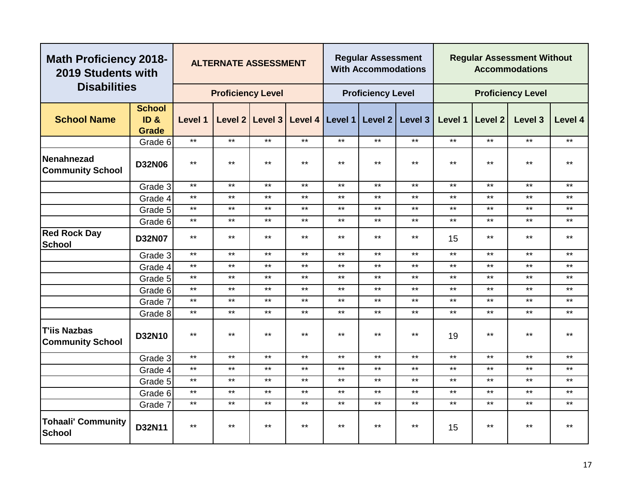| <b>Math Proficiency 2018-</b><br>2019 Students with |                                       |              | <b>ALTERNATE ASSESSMENT</b> |              |                                         |       | <b>Regular Assessment</b><br><b>With Accommodations</b> |         |         |              | <b>Regular Assessment Without</b><br><b>Accommodations</b> |              |
|-----------------------------------------------------|---------------------------------------|--------------|-----------------------------|--------------|-----------------------------------------|-------|---------------------------------------------------------|---------|---------|--------------|------------------------------------------------------------|--------------|
| <b>Disabilities</b>                                 |                                       |              | <b>Proficiency Level</b>    |              |                                         |       | <b>Proficiency Level</b>                                |         |         |              | <b>Proficiency Level</b>                                   |              |
| <b>School Name</b>                                  | <b>School</b><br>ID &<br><b>Grade</b> | Level 1      |                             |              | Level 2 Level 3 Level 4 Level 1 Level 2 |       |                                                         | Level 3 | Level 1 | Level 2      | Level 3                                                    | Level 4      |
|                                                     | Grade 6                               | $***$        | $***$                       | $***$        | $***$                                   | $***$ | $***$                                                   | $***$   | $***$   | $***$        | $***$                                                      | $***$        |
| Nenahnezad<br><b>Community School</b>               | <b>D32N06</b>                         | $\star\star$ | $***$                       | $***$        | $***$                                   | $***$ | $***$                                                   | $***$   | $***$   | $***$        | $***$                                                      | $***$        |
|                                                     | Grade 3                               | $***$        | $***$                       | $***$        | $***$                                   | $***$ | $***$                                                   | $***$   | $***$   | $***$        | $***$                                                      | $***$        |
|                                                     | Grade 4                               | $***$        | $***$                       | $***$        | $***$                                   | $***$ | $***$                                                   | $***$   | $***$   | $***$        | $***$                                                      | $***$        |
|                                                     | Grade 5                               | $\star\star$ | $***$                       | $***$        | $***$                                   | $***$ | $***$                                                   | $***$   | $***$   | $***$        | $***$                                                      | $***$        |
|                                                     | Grade 6                               | $\star\star$ | $***$                       | $***$        | $***$                                   | $***$ | $***$                                                   | $***$   | $***$   | $***$        | $***$                                                      | $***$        |
| <b>Red Rock Day</b><br><b>School</b>                | <b>D32N07</b>                         | $\star\star$ | $***$                       | $***$        | $***$                                   | $***$ | $***$                                                   | $***$   | 15      | $\star\star$ | $***$                                                      | $***$        |
|                                                     | Grade 3                               | $***$        | $***$                       | $***$        | $***$                                   | $***$ | $***$                                                   | $***$   | $***$   | $***$        | $***$                                                      | $***$        |
|                                                     | Grade 4                               | $***$        | $***$                       | $\star\star$ | $***$                                   | $***$ | $***$                                                   | $***$   | $***$   | $\star\star$ | $***$                                                      | $\star\star$ |
|                                                     | Grade 5                               | $***$        | $***$                       | $***$        | $***$                                   | $***$ | $***$                                                   | $***$   | $***$   | $***$        | $***$                                                      | $***$        |
|                                                     | Grade 6                               | $***$        | $***$                       | $***$        | $***$                                   | $***$ | $***$                                                   | $***$   | $***$   | $***$        | $***$                                                      | $***$        |
|                                                     | Grade 7                               | $***$        | $***$                       | $***$        | $***$                                   | $***$ | $***$                                                   | $***$   | $***$   | $***$        | $***$                                                      | $***$        |
|                                                     | Grade 8                               | $\star\star$ | $***$                       | $\star\star$ | $***$                                   | $***$ | $***$                                                   | $***$   | $***$   | $***$        | $***$                                                      | $***$        |
| T'iis Nazbas<br><b>Community School</b>             | D32N10                                | $\star\star$ | $***$                       | $***$        | $***$                                   | $***$ | $***$                                                   | $***$   | 19      | $***$        | $***$                                                      | $***$        |
|                                                     | Grade 3                               | $***$        | $***$                       | $***$        | $***$                                   | $***$ | $***$                                                   | $***$   | $***$   | $***$        | $***$                                                      | $***$        |
|                                                     | Grade 4                               | $***$        | $***$                       | $***$        | $***$                                   | $***$ | $***$                                                   | $***$   | $***$   | $***$        | $***$                                                      | $***$        |
|                                                     | Grade 5                               | $\star\star$ | $***$                       | $***$        | $***$                                   | $***$ | $***$                                                   | $***$   | $***$   | $***$        | $***$                                                      | $***$        |
|                                                     | Grade 6                               | $***$        | $***$                       | $***$        | $***$                                   | $***$ | $***$                                                   | $***$   | $***$   | $***$        | $***$                                                      | $***$        |
|                                                     | Grade 7                               | $***$        | $***$                       | $***$        | $***$                                   | $***$ | $***$                                                   | $***$   | $***$   | $\star\star$ | $***$                                                      | $***$        |
| <b>Tohaali' Community</b><br>School                 | D32N11                                | $\star\star$ | $***$                       | $***$        | $***$                                   | $***$ | $***$                                                   | $***$   | 15      | $***$        | $***$                                                      | $\star\star$ |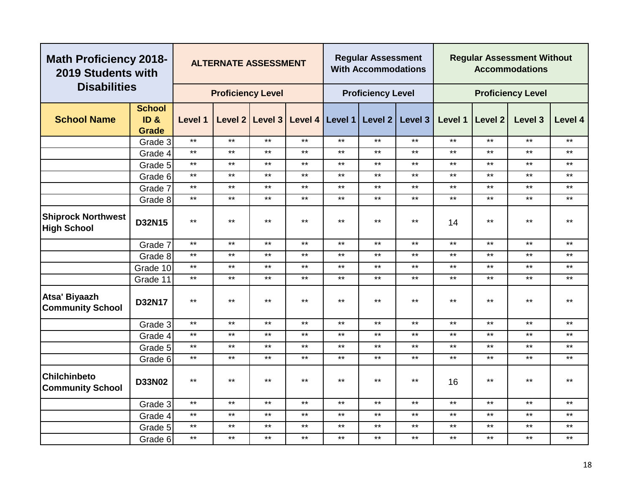| <b>Math Proficiency 2018-</b><br>2019 Students with |                                                  |              | <b>ALTERNATE ASSESSMENT</b> |              |       |              | <b>Regular Assessment</b><br><b>With Accommodations</b> |              |         |              | <b>Regular Assessment Without</b><br><b>Accommodations</b> |              |
|-----------------------------------------------------|--------------------------------------------------|--------------|-----------------------------|--------------|-------|--------------|---------------------------------------------------------|--------------|---------|--------------|------------------------------------------------------------|--------------|
| <b>Disabilities</b>                                 |                                                  |              | <b>Proficiency Level</b>    |              |       |              | <b>Proficiency Level</b>                                |              |         |              | <b>Proficiency Level</b>                                   |              |
| <b>School Name</b>                                  | <b>School</b><br>ID <sub>8</sub><br><b>Grade</b> | Level 1      |                             |              |       |              | Level 2 Level 3 Level 4 Level 1 Level 2                 | Level 3      | Level 1 | Level 2      | Level 3                                                    | Level 4      |
|                                                     | Grade 3                                          | $***$        | $***$                       | $***$        | $***$ | $\star\star$ | $***$                                                   | $***$        | $***$   | $***$        | $***$                                                      | $\star\star$ |
|                                                     | Grade 4                                          | $***$        | $***$                       | $***$        | $***$ | $***$        | $***$                                                   | $***$        | $***$   | $***$        | $***$                                                      | $***$        |
|                                                     | Grade 5                                          | $***$        | $***$                       | $***$        | $***$ | $***$        | $***$                                                   | $***$        | $***$   | $***$        | $***$                                                      | $***$        |
|                                                     | Grade 6                                          | $***$        | $***$                       | $\star\star$ | $***$ | $***$        | $***$                                                   | $***$        | $***$   | $\star\star$ | $\star\star$                                               | $***$        |
|                                                     | Grade 7                                          | $***$        | $***$                       | $***$        | $***$ | $***$        | $***$                                                   | $***$        | $***$   | $***$        | $***$                                                      | $***$        |
|                                                     | Grade 8                                          | $***$        | $***$                       | $\star\star$ | $***$ | $***$        | $***$                                                   | $***$        | $***$   | $***$        | $***$                                                      | $***$        |
| <b>Shiprock Northwest</b><br><b>High School</b>     | D32N15                                           | $***$        | $***$                       | $***$        | $***$ | $***$        | $***$                                                   | $***$        | 14      | $***$        | $\star\star$                                               | $***$        |
|                                                     | Grade 7                                          | $\star\star$ | $***$                       | $***$        | $***$ | $***$        | $***$                                                   | $***$        | $***$   | $***$        | $***$                                                      | $***$        |
|                                                     | Grade 8                                          | $***$        | $***$                       | $***$        | $***$ | $***$        | $***$                                                   | $***$        | $***$   | $***$        | $***$                                                      | $***$        |
|                                                     | Grade 10                                         | $***$        | $***$                       | $***$        | $***$ | $***$        | $***$                                                   | $***$        | $***$   | $***$        | $***$                                                      | $***$        |
|                                                     | Grade 11                                         | $\star\star$ | $***$                       | $***$        | $***$ | $***$        | $***$                                                   | $***$        | $***$   | $***$        | $***$                                                      | $***$        |
| Atsa' Biyaazh<br><b>Community School</b>            | D32N17                                           | $***$        | $***$                       | $***$        | $***$ | $***$        | $***$                                                   | $***$        | $***$   | $***$        | $***$                                                      | $***$        |
|                                                     | Grade 3                                          | $***$        | $***$                       | $***$        | $***$ | $\star\star$ | $***$                                                   | $\star\star$ | $***$   | $***$        | $***$                                                      | $***$        |
|                                                     | Grade 4                                          | $***$        | $\star\star$                | $***$        | $***$ | $***$        | $***$                                                   | $***$        | $***$   | $***$        | $\star\star$                                               | $***$        |
|                                                     | Grade 5                                          | $\star\star$ | $***$                       | $***$        | $***$ | $***$        | $***$                                                   | $***$        | $***$   | $***$        | $***$                                                      | $***$        |
|                                                     | Grade 6                                          | $\star\star$ | $***$                       | $***$        | $***$ | $***$        | $***$                                                   | $***$        | $***$   | $***$        | $***$                                                      | $***$        |
| <b>Chilchinbeto</b><br><b>Community School</b>      | <b>D33N02</b>                                    | $***$        | $***$                       | $***$        | $***$ | $***$        | $***$                                                   | $***$        | 16      | $***$        | $***$                                                      | $***$        |
|                                                     | Grade 3                                          | $***$        | $***$                       | $***$        | $***$ | $***$        | $***$                                                   | $***$        | $***$   | $***$        | $***$                                                      | $***$        |
|                                                     | Grade 4                                          | $***$        | $***$                       | $***$        | $***$ | $\star\star$ | $***$                                                   | $***$        | $***$   | $***$        | $***$                                                      | $***$        |
|                                                     | Grade 5                                          | $\star\star$ | $***$                       | $***$        | $***$ | $\star\star$ | $***$                                                   | $***$        | $***$   | $***$        | $***$                                                      | $***$        |
|                                                     | Grade 6                                          | $***$        | $***$                       | $***$        | $***$ | $***$        | $***$                                                   | $***$        | $***$   | $***$        | $\star\star$                                               | $***$        |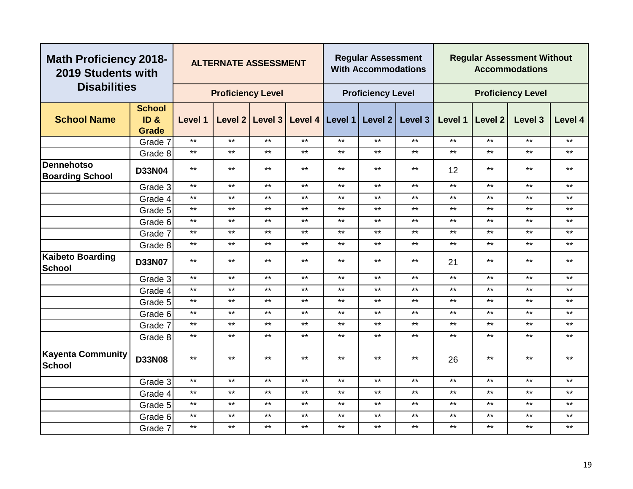| <b>Math Proficiency 2018-</b><br>2019 Students with |                                                      |              | <b>ALTERNATE ASSESSMENT</b> |              |                 |              | <b>Regular Assessment</b><br><b>With Accommodations</b> |         |         |              | <b>Regular Assessment Without</b><br><b>Accommodations</b> |         |
|-----------------------------------------------------|------------------------------------------------------|--------------|-----------------------------|--------------|-----------------|--------------|---------------------------------------------------------|---------|---------|--------------|------------------------------------------------------------|---------|
| <b>Disabilities</b>                                 |                                                      |              | <b>Proficiency Level</b>    |              |                 |              | <b>Proficiency Level</b>                                |         |         |              | <b>Proficiency Level</b>                                   |         |
| <b>School Name</b>                                  | <b>School</b><br>ID <sub>&amp;</sub><br><b>Grade</b> | Level 1      | Level 2                     | Level 3      | Level 4 Level 1 |              | Level 2                                                 | Level 3 | Level 1 | Level 2      | Level 3                                                    | Level 4 |
|                                                     | Grade 7                                              | $***$        | $***$                       | $***$        | $***$           | $***$        | $***$                                                   | $***$   | $***$   | $***$        | $***$                                                      | $***$   |
|                                                     | Grade 8                                              | $***$        | $***$                       | $***$        | $***$           | $***$        | $***$                                                   | $***$   | $***$   | $***$        | $***$                                                      | $***$   |
| <b>Dennehotso</b><br><b>Boarding School</b>         | <b>D33N04</b>                                        | $***$        | $***$                       | $***$        | $***$           | $***$        | $***$                                                   | $***$   | 12      | $***$        | $***$                                                      | $***$   |
|                                                     | Grade 3                                              | $***$        | $***$                       | $***$        | $***$           | $***$        | $***$                                                   | $***$   | $***$   | $***$        | $***$                                                      | $***$   |
|                                                     | Grade 4                                              | $***$        | $***$                       | $***$        | $\star\star$    | $***$        | $***$                                                   | $***$   | $***$   | $***$        | $***$                                                      | $***$   |
|                                                     | Grade 5                                              | $***$        | $***$                       | $***$        | $***$           | $***$        | $***$                                                   | $***$   | $***$   | $***$        | $***$                                                      | $***$   |
|                                                     | Grade 6                                              | $***$        | $***$                       | $***$        | $***$           | $***$        | $***$                                                   | $***$   | $***$   | $***$        | $***$                                                      | $***$   |
|                                                     | Grade 7                                              | $***$        | $***$                       | $***$        | $***$           | $***$        | $***$                                                   | $***$   | $***$   | $***$        | $***$                                                      | $***$   |
|                                                     | Grade 8                                              | $***$        | $***$                       | $***$        | $***$           | $***$        | $***$                                                   | $***$   | $***$   | $***$        | $***$                                                      | $***$   |
| <b>Kaibeto Boarding</b><br><b>School</b>            | <b>D33N07</b>                                        | $***$        | $***$                       | $***$        | $***$           | $***$        | $***$                                                   | $***$   | 21      | $***$        | $***$                                                      | $***$   |
|                                                     | Grade 3                                              | $***$        | $***$                       | $\star\star$ | $***$           | $***$        | $***$                                                   | $***$   | $***$   | $***$        | $***$                                                      | $***$   |
|                                                     | Grade 4                                              | $***$        | $***$                       | $***$        | $***$           | $***$        | $***$                                                   | $***$   | $***$   | $***$        | $***$                                                      | $***$   |
|                                                     | Grade 5                                              | $***$        | $***$                       | $***$        | $***$           | $***$        | $***$                                                   | $***$   | $***$   | $***$        | $***$                                                      | $***$   |
|                                                     | Grade 6                                              | $***$        | $***$                       | $***$        | $***$           | $***$        | $***$                                                   | $***$   | $***$   | $***$        | $***$                                                      | $***$   |
|                                                     | Grade 7                                              | $***$        | $***$                       | $***$        | $***$           | $***$        | $***$                                                   | $***$   | $***$   | $***$        | $***$                                                      | $***$   |
|                                                     | Grade 8                                              | $***$        | $***$                       | $***$        | $***$           | $***$        | $***$                                                   | $***$   | $***$   | $***$        | $***$                                                      | $***$   |
| <b>Kayenta Community</b><br><b>School</b>           | <b>D33N08</b>                                        | $***$        | $***$                       | $\star\star$ | $\star\star$    | $\star\star$ | $***$                                                   | $***$   | 26      | $***$        | $***$                                                      | $***$   |
|                                                     | Grade 3                                              | $***$        | $***$                       | $***$        | $\star\star$    | $***$        | $***$                                                   | $***$   | $***$   | $***$        | $***$                                                      | $***$   |
|                                                     | Grade 4                                              | $***$        | $***$                       | $***$        | $***$           | $***$        | $***$                                                   | $***$   | $***$   | $***$        | $***$                                                      | $***$   |
|                                                     | Grade 5                                              | $\star\star$ | $***$                       | $***$        | $***$           | $***$        | $***$                                                   | $***$   | $***$   | $\star\star$ | $***$                                                      | $***$   |
|                                                     | Grade 6                                              | $***$        | $***$                       | $***$        | $***$           | $***$        | $***$                                                   | $***$   | $***$   | $***$        | $***$                                                      | $***$   |
|                                                     | Grade 7                                              | $***$        | $***$                       | $***$        | $***$           | $***$        | $***$                                                   | $***$   | $***$   | $***$        | $***$                                                      | $***$   |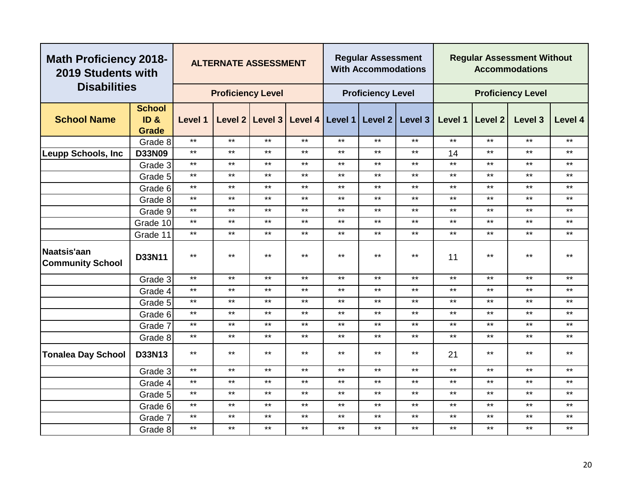|                                        | <b>Math Proficiency 2018-</b><br>2019 Students with<br><b>Disabilities</b> |         | <b>ALTERNATE ASSESSMENT</b> |                 |       |                   | <b>Regular Assessment</b><br><b>With Accommodations</b> |              |         |              | <b>Regular Assessment Without</b><br><b>Accommodations</b> |         |
|----------------------------------------|----------------------------------------------------------------------------|---------|-----------------------------|-----------------|-------|-------------------|---------------------------------------------------------|--------------|---------|--------------|------------------------------------------------------------|---------|
|                                        |                                                                            |         | <b>Proficiency Level</b>    |                 |       |                   | <b>Proficiency Level</b>                                |              |         |              | <b>Proficiency Level</b>                                   |         |
|                                        | <b>School</b>                                                              |         |                             |                 |       |                   |                                                         |              |         |              |                                                            |         |
| <b>School Name</b>                     | ID <sub>&amp;</sub>                                                        | Level 1 |                             | Level 2 Level 3 |       | Level 4   Level 1 | Level 2                                                 | Level 3      | Level 1 | Level 2      | Level 3                                                    | Level 4 |
|                                        | <b>Grade</b>                                                               |         |                             |                 |       |                   |                                                         |              |         |              |                                                            |         |
|                                        | Grade 8                                                                    | $***$   | $***$                       | $***$           | $***$ | $***$             | $***$                                                   | $***$        | $***$   | $\star\star$ | $***$                                                      | $***$   |
| <b>Leupp Schools, Inc</b>              | <b>D33N09</b>                                                              | $***$   | $***$                       | $***$           | $***$ | $***$             | $***$                                                   | $***$        | 14      | $\star\star$ | $***$                                                      | $***$   |
|                                        | Grade 3                                                                    | $***$   | $***$                       | $***$           | $***$ | $***$             | $***$                                                   | $***$        | $***$   | $\star\star$ | $***$                                                      | $***$   |
|                                        | Grade 5                                                                    | $***$   | $***$                       | $***$           | $***$ | $***$             | $***$                                                   | $***$        | $***$   | $\star\star$ | $***$                                                      | $***$   |
|                                        | Grade 6                                                                    | $***$   | $***$                       | $***$           | $***$ | $***$             | $***$                                                   | $***$        | $***$   | $***$        | $***$                                                      | $***$   |
|                                        | Grade 8                                                                    | $***$   | $***$                       | $***$           | $***$ | $***$             | $***$                                                   | $***$        | $***$   | $***$        | $***$                                                      | $***$   |
|                                        | Grade 9                                                                    | $***$   | $***$                       | $***$           | $***$ | $***$             | $***$                                                   | $***$        | $***$   | $***$        | $***$                                                      | $***$   |
|                                        | Grade 10                                                                   | $***$   | $***$                       | $***$           | $***$ | $***$             | $***$                                                   | $***$        | $***$   | $***$        | $\star\star$                                               | $***$   |
|                                        | Grade 11                                                                   | $***$   | $***$                       | $***$           | $***$ | $***$             | $***$                                                   | $***$        | $***$   | $***$        | $***$                                                      | $***$   |
| Naatsis'aan<br><b>Community School</b> | D33N11                                                                     | $***$   | $***$                       | $***$           | $***$ | $***$             | $***$                                                   | $***$        | 11      | $***$        | $\star\star$                                               | $***$   |
|                                        | Grade 3                                                                    | $***$   | $***$                       | $***$           | $***$ | $***$             | $***$                                                   | $***$        | $***$   | $\star\star$ | $***$                                                      | $***$   |
|                                        | Grade 4                                                                    | $***$   | $***$                       | $***$           | $***$ | $***$             | $***$                                                   | $***$        | $***$   | $***$        | $***$                                                      | $***$   |
|                                        | Grade 5                                                                    | $***$   | $***$                       | $***$           | $***$ | $***$             | $***$                                                   | $***$        | $***$   | $***$        | $***$                                                      | $***$   |
|                                        | Grade 6                                                                    | $***$   | $***$                       | $\star\star$    | $***$ | $***$             | $***$                                                   | $***$        | $***$   | $***$        | $***$                                                      | $***$   |
|                                        | Grade 7                                                                    | $***$   | $***$                       | $***$           | $***$ | $***$             | $***$                                                   | $***$        | $***$   | $***$        | $***$                                                      | $***$   |
|                                        | Grade 8                                                                    | $***$   | $***$                       | $***$           | $***$ | $***$             | $***$                                                   | $***$        | $***$   | $***$        | $***$                                                      | $***$   |
| <b>Tonalea Day School</b>              | D33N13                                                                     | $***$   | $***$                       | $***$           | $***$ | $***$             | $***$                                                   | $***$        | 21      | $***$        | $***$                                                      | $***$   |
|                                        | Grade 3                                                                    | $***$   | $***$                       | $***$           | $***$ | $***$             | $***$                                                   | $***$        | $***$   | $***$        | $***$                                                      | $***$   |
|                                        | Grade 4                                                                    | $***$   | $***$                       | $***$           | $***$ | $***$             | $***$                                                   | $***$        | $***$   | $***$        | $***$                                                      | $***$   |
|                                        | Grade 5                                                                    | $***$   | $***$                       | $***$           | $***$ | $***$             | $***$                                                   | $***$        | $***$   | $***$        | $***$                                                      | $***$   |
|                                        | Grade 6                                                                    | $***$   | $***$                       | $***$           | $***$ | $***$             | $***$                                                   | $***$        | $***$   | $***$        | $***$                                                      | $***$   |
|                                        | Grade 7                                                                    | $***$   | $***$                       | $***$           | $***$ | $***$             | $***$                                                   | $\star\star$ | $***$   | $\star\star$ | $***$                                                      | $***$   |
|                                        | Grade 8                                                                    | $***$   | $***$                       | $***$           | $***$ | $***$             | $***$                                                   | $***$        | $***$   | $***$        | $***$                                                      | $***$   |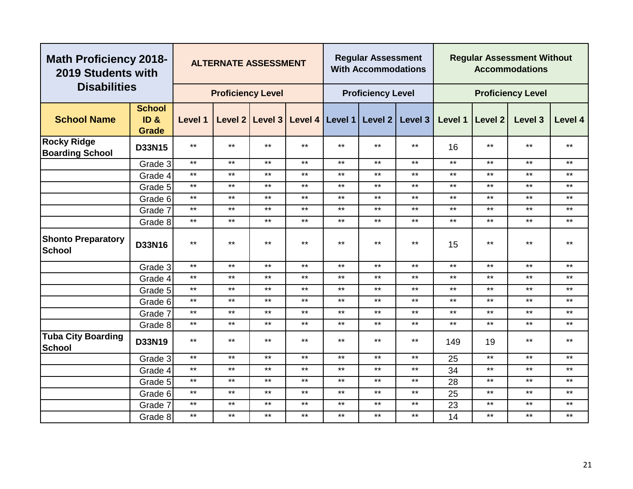| <b>Math Proficiency 2018-</b><br>2019 Students with |                               |              | <b>ALTERNATE ASSESSMENT</b> |         |       |                         | <b>Regular Assessment</b><br><b>With Accommodations</b> |         |         |                | <b>Regular Assessment Without</b><br><b>Accommodations</b> |              |
|-----------------------------------------------------|-------------------------------|--------------|-----------------------------|---------|-------|-------------------------|---------------------------------------------------------|---------|---------|----------------|------------------------------------------------------------|--------------|
| <b>Disabilities</b>                                 |                               |              | <b>Proficiency Level</b>    |         |       |                         | <b>Proficiency Level</b>                                |         |         |                | <b>Proficiency Level</b>                                   |              |
| <b>School Name</b>                                  | <b>School</b><br>ID&<br>Grade | Level 1      | Level 2                     | Level 3 |       | Level 4 Level 1 Level 2 |                                                         | Level 3 | Level 1 | <b>Level 2</b> | Level 3                                                    | Level 4      |
| <b>Rocky Ridge</b><br><b>Boarding School</b>        | D33N15                        | $***$        | $***$                       | $***$   | $***$ | $***$                   | $***$                                                   | $***$   | 16      | $***$          | $***$                                                      | **           |
|                                                     | Grade 3                       | $\star\star$ | $***$                       | $***$   | $***$ | $***$                   | $***$                                                   | $***$   | $***$   | $***$          | $***$                                                      | $***$        |
|                                                     | Grade 4                       | $***$        | $***$                       | $***$   | $***$ | $***$                   | $***$                                                   | $***$   | $***$   | $***$          | $***$                                                      | $***$        |
|                                                     | Grade 5                       | $***$        | $***$                       | $***$   | $***$ | $***$                   | $***$                                                   | $***$   | $***$   | $***$          | $***$                                                      | $***$        |
|                                                     | Grade 6                       | $***$        | $***$                       | $***$   | $***$ | $***$                   | $***$                                                   | $***$   | $***$   | $***$          | $***$                                                      | $***$        |
|                                                     | Grade 7                       | $***$        | $***$                       | $***$   | $***$ | $***$                   | $***$                                                   | $***$   | $***$   | $***$          | $***$                                                      | $***$        |
|                                                     | Grade 8                       | $***$        | $***$                       | $***$   | $***$ | $***$                   | $***$                                                   | $***$   | $***$   | $***$          | $***$                                                      | $***$        |
| <b>Shonto Preparatory</b><br><b>School</b>          | D33N16                        | $***$        | $***$                       | $***$   | $***$ | $***$                   | $***$                                                   | $***$   | 15      | $***$          | $***$                                                      | $***$        |
|                                                     | Grade 3                       | $***$        | $***$                       | $***$   | $***$ | $***$                   | $***$                                                   | $***$   | $***$   | $***$          | $***$                                                      | $***$        |
|                                                     | Grade 4                       | $***$        | $***$                       | $***$   | $***$ | $***$                   | $***$                                                   | $***$   | $***$   | $***$          | $\star\star$                                               | $***$        |
|                                                     | Grade 5                       | $***$        | $***$                       | $***$   | $***$ | $***$                   | $***$                                                   | $***$   | $***$   | $***$          | $***$                                                      | $***$        |
|                                                     | Grade 6                       | $***$        | $***$                       | $***$   | $***$ | $***$                   | $***$                                                   | $***$   | $***$   | $***$          | $***$                                                      | $\star\star$ |
|                                                     | Grade 7                       | $***$        | $***$                       | $***$   | $***$ | $***$                   | $***$                                                   | $***$   | $***$   | $***$          | $***$                                                      | $\star\star$ |
|                                                     | Grade 8                       | $***$        | $***$                       | $***$   | $***$ | $***$                   | $***$                                                   | $***$   | $***$   | $***$          | $***$                                                      | $***$        |
| <b>Tuba City Boarding</b><br>School                 | D33N19                        | $***$        | $***$                       | $***$   | $***$ | $***$                   | $***$                                                   | $***$   | 149     | 19             | $***$                                                      | $***$        |
|                                                     | Grade 3                       | $***$        | $***$                       | $***$   | $***$ | $***$                   | $***$                                                   | $***$   | 25      | $***$          | $***$                                                      | $***$        |
|                                                     | Grade 4                       | $***$        | $***$                       | $***$   | $***$ | $***$                   | $***$                                                   | $***$   | 34      | $***$          | $***$                                                      | $***$        |
|                                                     | Grade 5                       | $***$        | $***$                       | $***$   | $***$ | $***$                   | $***$                                                   | $***$   | 28      | $***$          | $***$                                                      | $***$        |
|                                                     | Grade 6                       | $***$        | $***$                       | $***$   | $***$ | $***$                   | $***$                                                   | $***$   | 25      | $***$          | $***$                                                      | $***$        |
|                                                     | Grade 7                       | $***$        | $***$                       | $***$   | $***$ | $***$                   | $***$                                                   | $***$   | 23      | $***$          | $***$                                                      | $***$        |
|                                                     | Grade 8                       | $***$        | $***$                       | $***$   | $***$ | $***$                   | $***$                                                   | $***$   | 14      | $***$          | $***$                                                      | $***$        |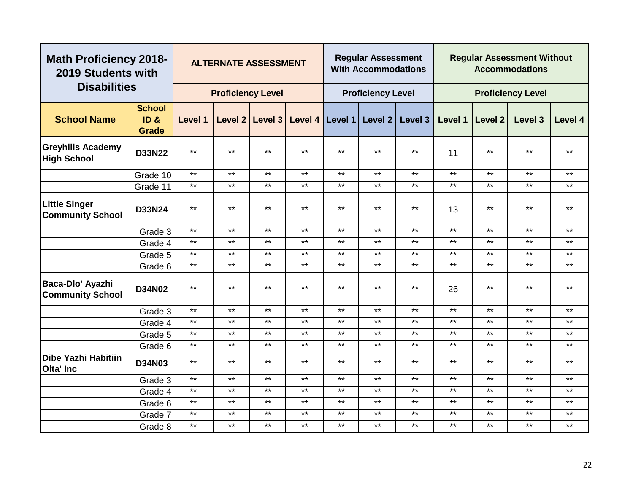| <b>Math Proficiency 2018-</b><br>2019 Students with |                                                      |                | <b>ALTERNATE ASSESSMENT</b> |              |         |         | <b>Regular Assessment</b><br><b>With Accommodations</b> |         |         |         | <b>Regular Assessment Without</b><br><b>Accommodations</b> |         |
|-----------------------------------------------------|------------------------------------------------------|----------------|-----------------------------|--------------|---------|---------|---------------------------------------------------------|---------|---------|---------|------------------------------------------------------------|---------|
| <b>Disabilities</b>                                 |                                                      |                | <b>Proficiency Level</b>    |              |         |         | <b>Proficiency Level</b>                                |         |         |         | <b>Proficiency Level</b>                                   |         |
| <b>School Name</b>                                  | <b>School</b><br>ID <sub>&amp;</sub><br><b>Grade</b> | <b>Level 1</b> | Level 2                     | Level 3      | Level 4 | Level 1 | Level <sub>2</sub>                                      | Level 3 | Level 1 | Level 2 | Level 3                                                    | Level 4 |
| <b>Greyhills Academy</b><br><b>High School</b>      | <b>D33N22</b>                                        | $***$          | $***$                       | $***$        | $***$   | $***$   | $***$                                                   | $***$   | 11      | $***$   | $***$                                                      | $***$   |
|                                                     | Grade 10                                             | $\star\star$   | $***$                       | $***$        | $***$   | $***$   | $\star\star$                                            | $***$   | $***$   | $***$   | $***$                                                      | $***$   |
|                                                     | Grade 11                                             | $***$          | $***$                       | $\star\star$ | $***$   | $***$   | $***$                                                   | $***$   | $***$   | $***$   | $***$                                                      | $***$   |
| <b>Little Singer</b><br><b>Community School</b>     | D33N24                                               | $***$          | $***$                       | $***$        | $***$   | $***$   | $***$                                                   | $***$   | 13      | $***$   | $***$                                                      | $***$   |
|                                                     | Grade 3                                              | $***$          | $***$                       | $***$        | $***$   | $***$   | $***$                                                   | $***$   | $***$   | $***$   | $***$                                                      | $***$   |
|                                                     | Grade 4                                              | $***$          | $***$                       | $***$        | $***$   | $***$   | $***$                                                   | $***$   | $***$   | $***$   | $***$                                                      | $***$   |
|                                                     | Grade 5                                              | $***$          | $***$                       | $***$        | $***$   | $***$   | $***$                                                   | $***$   | $***$   | $***$   | $***$                                                      | $***$   |
|                                                     | Grade 6                                              | $\star\star$   | $***$                       | $***$        | $***$   | $***$   | $***$                                                   | $***$   | $***$   | $***$   | $***$                                                      | $***$   |
| Baca-Dlo' Ayazhi<br><b>Community School</b>         | <b>D34N02</b>                                        | $***$          | $***$                       | $***$        | $***$   | $***$   | $***$                                                   | $***$   | 26      | $***$   | $***$                                                      | $***$   |
|                                                     | Grade 3                                              | $***$          | $***$                       | $***$        | $***$   | $***$   | $***$                                                   | $***$   | $***$   | $***$   | $***$                                                      | $***$   |
|                                                     | Grade 4                                              | $***$          | $***$                       | $***$        | $***$   | $***$   | $***$                                                   | $***$   | $***$   | $***$   | $***$                                                      | $***$   |
|                                                     | Grade 5                                              | $***$          | $***$                       | $***$        | $***$   | $***$   | $***$                                                   | $***$   | $***$   | $***$   | $***$                                                      | $***$   |
|                                                     | Grade 6                                              | $***$          | $***$                       | $***$        | $***$   | $***$   | $***$                                                   | $***$   | $***$   | $***$   | $***$                                                      | $***$   |
| <b>Dibe Yazhi Habitiin</b><br><b>Olta' Inc</b>      | <b>D34N03</b>                                        | $***$          | $***$                       | $***$        | $***$   | $***$   | $***$                                                   | $***$   | $***$   | $***$   | $***$                                                      | $***$   |
|                                                     | Grade 3                                              | $\star\star$   | $***$                       | $***$        | $***$   | $***$   | $***$                                                   | $***$   | $***$   | $***$   | $***$                                                      | $***$   |
|                                                     | Grade 4                                              | $***$          | $***$                       | $***$        | $***$   | $***$   | $***$                                                   | $***$   | $***$   | $***$   | $***$                                                      | $***$   |
|                                                     | Grade 6                                              | $***$          | $***$                       | $***$        | $***$   | $***$   | $***$                                                   | $***$   | $***$   | $***$   | $***$                                                      | $***$   |
|                                                     | Grade 7                                              | $***$          | $***$                       | $***$        | $***$   | $***$   | $***$                                                   | $***$   | $***$   | $***$   | $***$                                                      | $***$   |
|                                                     | Grade 8                                              | $***$          | $***$                       | $***$        | $***$   | $***$   | $***$                                                   | $***$   | $***$   | $***$   | $***$                                                      | $***$   |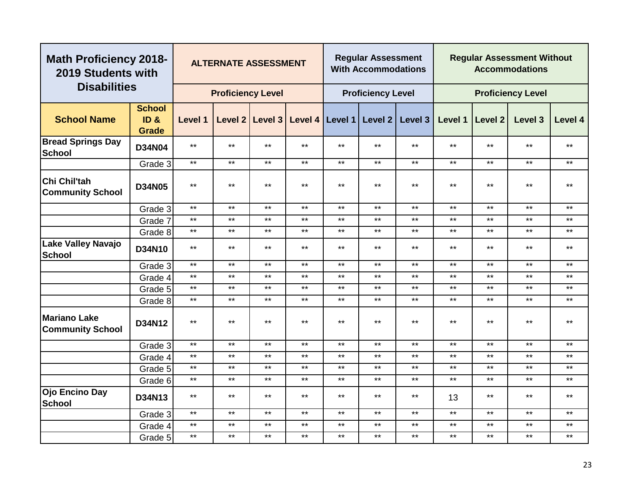| <b>Math Proficiency 2018-</b><br>2019 Students with |                                                      |              | <b>ALTERNATE ASSESSMENT</b> |              |       |              | <b>Regular Assessment</b><br><b>With Accommodations</b> |         |         |         | <b>Regular Assessment Without</b><br><b>Accommodations</b> |         |
|-----------------------------------------------------|------------------------------------------------------|--------------|-----------------------------|--------------|-------|--------------|---------------------------------------------------------|---------|---------|---------|------------------------------------------------------------|---------|
| <b>Disabilities</b>                                 |                                                      |              | <b>Proficiency Level</b>    |              |       |              | <b>Proficiency Level</b>                                |         |         |         | <b>Proficiency Level</b>                                   |         |
| <b>School Name</b>                                  | <b>School</b><br>ID <sub>&amp;</sub><br><b>Grade</b> | Level 1      |                             |              |       |              | Level 2 Level 3 Level 4 Level 1 Level 2                 | Level 3 | Level 1 | Level 2 | Level 3                                                    | Level 4 |
| <b>Bread Springs Day</b><br>School                  | <b>D34N04</b>                                        | $***$        | $***$                       | $***$        | $***$ | $***$        | $***$                                                   | $***$   | $***$   | $***$   | $\star\star$                                               | $***$   |
|                                                     | Grade 3                                              | $***$        | $***$                       | $***$        | $***$ | $***$        | $***$                                                   | $***$   | $***$   | $***$   | $***$                                                      | $***$   |
| Chi Chil'tah<br><b>Community School</b>             | <b>D34N05</b>                                        | $***$        | $***$                       | $***$        | $***$ | $***$        | $***$                                                   | $***$   | $***$   | $***$   | $\star\star$                                               | $***$   |
|                                                     | Grade 3                                              | $***$        | $\star\star$                | $***$        | $***$ | $***$        | $***$                                                   | $***$   | $***$   | $***$   | $***$                                                      | $***$   |
|                                                     | Grade 7                                              | $***$        | $***$                       | $***$        | $***$ | $***$        | $***$                                                   | $***$   | $***$   | $***$   | $***$                                                      | $***$   |
|                                                     | Grade 8                                              | $\star\star$ | $***$                       | $***$        | $***$ | $***$        | $***$                                                   | $***$   | $***$   | $***$   | $***$                                                      | $***$   |
| <b>Lake Valley Navajo</b><br><b>School</b>          | D34N10                                               | $***$        | $***$                       | $***$        | $***$ | $***$        | $***$                                                   | $***$   | $***$   | $***$   | $***$                                                      | $***$   |
|                                                     | Grade 3                                              | $\star\star$ | $\star\star$                | $***$        | $***$ | $\star\star$ | $***$                                                   | $***$   | $***$   | $***$   | $***$                                                      | $***$   |
|                                                     | Grade 4                                              | $***$        | $***$                       | $***$        | $***$ | $***$        | $***$                                                   | $***$   | $***$   | $***$   | $***$                                                      | $***$   |
|                                                     | Grade 5                                              | $***$        | $***$                       | $***$        | $***$ | $***$        | $***$                                                   | $***$   | $***$   | $***$   | $***$                                                      | $***$   |
|                                                     | Grade 8                                              | $***$        | $***$                       | $***$        | $***$ | $***$        | $***$                                                   | $***$   | $***$   | $***$   | $***$                                                      | $***$   |
| <b>Mariano Lake</b><br><b>Community School</b>      | D34N12                                               | $***$        | $***$                       | $***$        | $***$ | $***$        | $***$                                                   | $***$   | $***$   | $***$   | $\star\star$                                               | $***$   |
|                                                     | Grade 3                                              | $***$        | $***$                       | $***$        | $***$ | $***$        | $***$                                                   | $***$   | $***$   | $***$   | $***$                                                      | $***$   |
|                                                     | Grade 4                                              | $***$        | $***$                       | $***$        | $***$ | $***$        | $***$                                                   | $***$   | $***$   | $***$   | $***$                                                      | $***$   |
|                                                     | Grade 5                                              | $\star\star$ | $***$                       | $***$        | $***$ | $***$        | $***$                                                   | $***$   | $***$   | $***$   | $***$                                                      | $***$   |
|                                                     | Grade 6                                              | $\star\star$ | $***$                       | $***$        | $***$ | $***$        | $***$                                                   | $***$   | $***$   | $***$   | $***$                                                      | $***$   |
| Ojo Encino Day<br><b>School</b>                     | D34N13                                               | $\star\star$ | $***$                       | $\star\star$ | $***$ | $\star\star$ | $***$                                                   | $***$   | 13      | $***$   | $***$                                                      | $***$   |
|                                                     | Grade 3                                              | $***$        | $***$                       | $***$        | $***$ | $***$        | $***$                                                   | $***$   | $***$   | $***$   | $***$                                                      | $***$   |
|                                                     | Grade 4                                              | $***$        | $***$                       | $***$        | $***$ | $\star\star$ | $***$                                                   | $***$   | $***$   | $***$   | $***$                                                      | $***$   |
|                                                     | Grade 5                                              | $***$        | $***$                       | $**$         | $***$ | $***$        | $***$                                                   | $***$   | $***$   | $***$   | $***$                                                      | $***$   |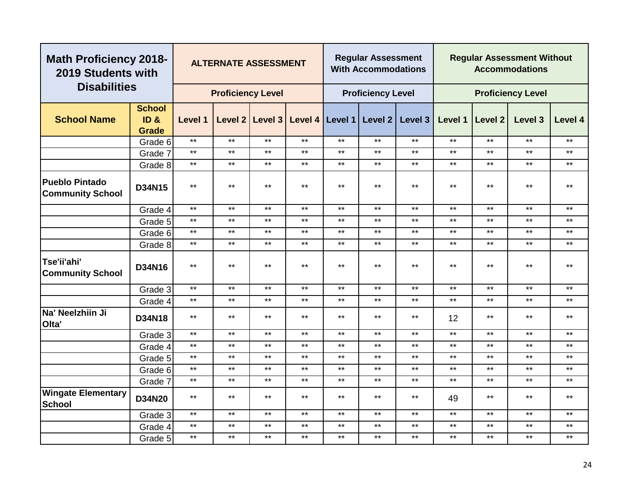| <b>Math Proficiency 2018-</b><br>2019 Students with |                                       |              | <b>ALTERNATE ASSESSMENT</b> |       |                                         |       | <b>Regular Assessment</b><br><b>With Accommodations</b> |         |         |                | <b>Regular Assessment Without</b><br><b>Accommodations</b> |              |
|-----------------------------------------------------|---------------------------------------|--------------|-----------------------------|-------|-----------------------------------------|-------|---------------------------------------------------------|---------|---------|----------------|------------------------------------------------------------|--------------|
| <b>Disabilities</b>                                 |                                       |              | <b>Proficiency Level</b>    |       |                                         |       | <b>Proficiency Level</b>                                |         |         |                | <b>Proficiency Level</b>                                   |              |
| <b>School Name</b>                                  | <b>School</b><br>ID &<br><b>Grade</b> | Level 1      |                             |       | Level 2 Level 3 Level 4 Level 1 Level 2 |       |                                                         | Level 3 | Level 1 | <b>Level 2</b> | Level 3                                                    | Level 4      |
|                                                     | Grade 6                               | $***$        | $***$                       | $***$ | $***$                                   | $***$ | $***$                                                   | $***$   | $***$   | $***$          | $***$                                                      | $\star\star$ |
|                                                     | Grade 7                               | $***$        | $***$                       | $***$ | $***$                                   | $***$ | $***$                                                   | $***$   | $***$   | $***$          | $***$                                                      | $***$        |
|                                                     | Grade 8                               | $***$        | $***$                       | $***$ | $***$                                   | $***$ | $***$                                                   | $***$   | $***$   | $***$          | $***$                                                      | $***$        |
| <b>Pueblo Pintado</b><br><b>Community School</b>    | D34N15                                | $***$        | $***$                       | $***$ | $***$                                   | $***$ | $***$                                                   | $***$   | $***$   | $***$          | $***$                                                      | $***$        |
|                                                     | Grade 4                               | $\star\star$ | $***$                       | $***$ | $***$                                   | $***$ | $\star\star$                                            | $***$   | $***$   | $***$          | $***$                                                      | $***$        |
|                                                     | Grade 5                               | $***$        | $***$                       | $***$ | $***$                                   | $***$ | $***$                                                   | $***$   | $***$   | $***$          | $***$                                                      | $***$        |
|                                                     | Grade 6                               | $***$        | $***$                       | $***$ | $***$                                   | $***$ | $***$                                                   | $***$   | $***$   | $***$          | $***$                                                      | $***$        |
|                                                     | Grade 8                               | $***$        | $***$                       | $***$ | $***$                                   | $***$ | $***$                                                   | $***$   | $***$   | $***$          | $***$                                                      | $***$        |
| Tse'ii'ahi'<br><b>Community School</b>              | D34N16                                | $***$        | $***$                       | $***$ | $***$                                   | $***$ | $***$                                                   | $***$   | $***$   | $***$          | $***$                                                      | $\star\star$ |
|                                                     | Grade 3                               | $***$        | $***$                       | $***$ | $***$                                   | $***$ | $***$                                                   | $***$   | $***$   | $***$          | $***$                                                      | $***$        |
|                                                     | Grade 4                               | $\star\star$ | $***$                       | $***$ | $***$                                   | $***$ | $***$                                                   | $***$   | $***$   | $***$          | $***$                                                      | $***$        |
| Na' Neelzhiin Ji<br>Olta'                           | D34N18                                | $***$        | $***$                       | $***$ | $***$                                   | $***$ | $***$                                                   | $***$   | 12      | $***$          | $***$                                                      | $***$        |
|                                                     | Grade 3                               | $***$        | $***$                       | $***$ | $***$                                   | $***$ | $***$                                                   | $***$   | $***$   | $***$          | $***$                                                      | $***$        |
|                                                     | Grade 4                               | $***$        | $***$                       | $***$ | $***$                                   | $***$ | $***$                                                   | $***$   | $***$   | $***$          | $***$                                                      | $***$        |
|                                                     | Grade 5                               | $***$        | $***$                       | $***$ | $***$                                   | $***$ | $***$                                                   | $***$   | $***$   | $***$          | $***$                                                      | $***$        |
|                                                     | Grade 6                               | $***$        | $***$                       | $***$ | $***$                                   | $***$ | $***$                                                   | $***$   | $***$   | $***$          | $***$                                                      | $***$        |
|                                                     | Grade 7                               | $***$        | $***$                       | $***$ | $***$                                   | $***$ | $***$                                                   | $***$   | $***$   | $***$          | $***$                                                      | $***$        |
| <b>Wingate Elementary</b><br><b>School</b>          | <b>D34N20</b>                         | $***$        | $***$                       | $***$ | $***$                                   | $***$ | $***$                                                   | $***$   | 49      | $***$          | $***$                                                      | $***$        |
|                                                     | Grade 3                               | $***$        | $***$                       | $***$ | $***$                                   | $***$ | $***$                                                   | $***$   | $***$   | $***$          | $***$                                                      | $***$        |
|                                                     | Grade 4                               | $***$        | $***$                       | $***$ | $***$                                   | $***$ | $***$                                                   | $***$   | $***$   | $***$          | $***$                                                      | $***$        |
|                                                     | Grade 5                               | $***$        | $***$                       | $***$ | $***$                                   | $***$ | $***$                                                   | $***$   | $***$   | $***$          | $***$                                                      | $***$        |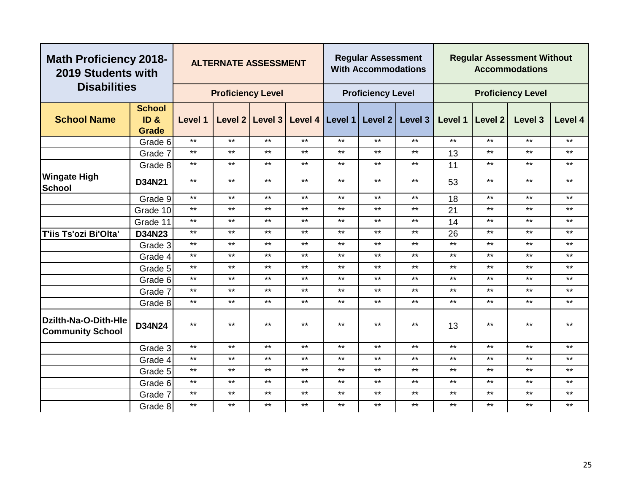|                                                 | <b>Math Proficiency 2018-</b><br>2019 Students with<br><b>Disabilities</b> |              | <b>ALTERNATE ASSESSMENT</b> |                 |       |                   | <b>Regular Assessment</b><br><b>With Accommodations</b> |                    |         |                | <b>Regular Assessment Without</b><br><b>Accommodations</b> |              |
|-------------------------------------------------|----------------------------------------------------------------------------|--------------|-----------------------------|-----------------|-------|-------------------|---------------------------------------------------------|--------------------|---------|----------------|------------------------------------------------------------|--------------|
|                                                 |                                                                            |              | <b>Proficiency Level</b>    |                 |       |                   | <b>Proficiency Level</b>                                |                    |         |                | <b>Proficiency Level</b>                                   |              |
| <b>School Name</b>                              | <b>School</b><br>ID <sub>8</sub><br><b>Grade</b>                           | Level 1      |                             | Level 2 Level 3 |       | Level 4   Level 1 | Level 2                                                 | Level <sub>3</sub> | Level 1 | <b>Level 2</b> | Level 3                                                    | Level 4      |
|                                                 | Grade 6                                                                    | $***$        | $***$                       | $***$           | $***$ | $***$             | $***$                                                   | $***$              | $***$   | $***$          | $***$                                                      | $***$        |
|                                                 | Grade 7                                                                    | $***$        | $***$                       | $***$           | $***$ | $***$             | $***$                                                   | $***$              | 13      | $***$          | $***$                                                      | $***$        |
|                                                 | Grade 8                                                                    | $***$        | $***$                       | $***$           | $***$ | $***$             | $***$                                                   | $***$              | 11      | $***$          | $***$                                                      | $***$        |
| <b>Wingate High</b><br><b>School</b>            | <b>D34N21</b>                                                              | $***$        | $***$                       | $***$           | $***$ | $***$             | $***$                                                   | $***$              | 53      | $***$          | $***$                                                      | $***$        |
|                                                 | Grade 9                                                                    | $***$        | $***$                       | $***$           | $***$ | $***$             | $***$                                                   | $***$              | 18      | $***$          | $***$                                                      | $***$        |
|                                                 | Grade 10                                                                   | $***$        | $***$                       | $***$           | $***$ | $***$             | $***$                                                   | $***$              | 21      | $***$          | $***$                                                      | $***$        |
|                                                 | Grade 11                                                                   | $***$        | $***$                       | $***$           | $***$ | $***$             | $***$                                                   | $***$              | 14      | $***$          | $***$                                                      | $***$        |
| T'iis Ts'ozi Bi'Olta'                           | D34N23                                                                     | $***$        | $***$                       | $***$           | $***$ | $***$             | $***$                                                   | $***$              | 26      | $***$          | $***$                                                      | $***$        |
|                                                 | Grade 3                                                                    | $***$        | $***$                       | $***$           | $***$ | $***$             | $***$                                                   | $***$              | $***$   | $***$          | $***$                                                      | $***$        |
|                                                 | Grade 4                                                                    | $***$        | $***$                       | $***$           | $***$ | $***$             | $***$                                                   | $***$              | $***$   | $***$          | $***$                                                      | $***$        |
|                                                 | Grade 5                                                                    | $***$        | $***$                       | $***$           | $***$ | $***$             | $***$                                                   | $***$              | $***$   | $***$          | $***$                                                      | $***$        |
|                                                 | Grade 6                                                                    | $***$        | $***$                       | $***$           | $***$ | $***$             | $***$                                                   | $***$              | $***$   | $***$          | $***$                                                      | $***$        |
|                                                 | Grade 7                                                                    | $***$        | $***$                       | $***$           | $***$ | $***$             | $***$                                                   | $***$              | $***$   | $***$          | $***$                                                      | $***$        |
|                                                 | Grade 8                                                                    | $\star\star$ | $***$                       | $***$           | $***$ | $***$             | $***$                                                   | $***$              | $***$   | $***$          | $***$                                                      | $***$        |
| Dzilth-Na-O-Dith-Hle<br><b>Community School</b> | D34N24                                                                     | $***$        | $***$                       | $\star\star$    | $***$ | $***$             | $***$                                                   | $***$              | 13      | $***$          | $\star\star$                                               | $***$        |
|                                                 | Grade 3                                                                    | $***$        | $***$                       | $***$           | $***$ | $***$             | $***$                                                   | $***$              | $***$   | $***$          | $***$                                                      | $***$        |
|                                                 | Grade 4                                                                    | $***$        | $***$                       | $***$           | $***$ | $***$             | $***$                                                   | $***$              | $***$   | $***$          | $***$                                                      | $***$        |
|                                                 | Grade 5                                                                    | $***$        | $***$                       | $***$           | $***$ | $***$             | $***$                                                   | $***$              | $***$   | $***$          | $***$                                                      | $\star\star$ |
|                                                 | Grade 6                                                                    | $***$        | $***$                       | $***$           | $***$ | $***$             | $***$                                                   | $***$              | $***$   | $***$          | $***$                                                      | $***$        |
|                                                 | Grade 7                                                                    | $***$        | $***$                       | $***$           | $***$ | $***$             | $***$                                                   | $***$              | $***$   | $***$          | $***$                                                      | $***$        |
|                                                 | Grade 8                                                                    | $***$        | $***$                       | $***$           | $***$ | $***$             | $***$                                                   | $***$              | $***$   | $***$          | $***$                                                      | $***$        |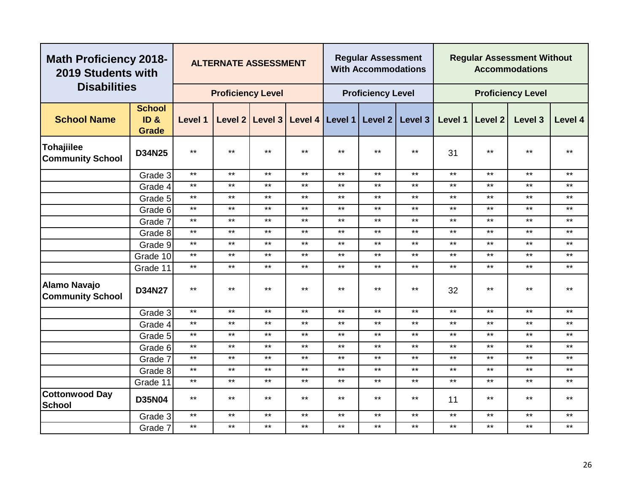| <b>Math Proficiency 2018-</b><br>2019 Students with |                                       |              | <b>ALTERNATE ASSESSMENT</b> |                   |         |              | <b>Regular Assessment</b><br><b>With Accommodations</b> |         |         |                    | <b>Regular Assessment Without</b><br><b>Accommodations</b> |         |
|-----------------------------------------------------|---------------------------------------|--------------|-----------------------------|-------------------|---------|--------------|---------------------------------------------------------|---------|---------|--------------------|------------------------------------------------------------|---------|
| <b>Disabilities</b>                                 |                                       |              | <b>Proficiency Level</b>    |                   |         |              | <b>Proficiency Level</b>                                |         |         |                    | <b>Proficiency Level</b>                                   |         |
| <b>School Name</b>                                  | <b>School</b><br>ID &<br><b>Grade</b> | Level 1      |                             | Level 2   Level 3 | Level 4 | Level 1      | Level 2                                                 | Level 3 | Level 1 | Level <sub>2</sub> | Level 3                                                    | Level 4 |
| <b>Tohajiilee</b><br><b>Community School</b>        | D34N25                                | $***$        | $***$                       | $***$             | $***$   | $***$        | $***$                                                   | $***$   | 31      | $***$              | $***$                                                      | $***$   |
|                                                     | Grade 3                               | $***$        | $***$                       | $***$             | $***$   | $***$        | $***$                                                   | $***$   | $***$   | $***$              | $***$                                                      | $***$   |
|                                                     | Grade 4                               | $***$        | $***$                       | $***$             | $***$   | $***$        | $***$                                                   | $***$   | $***$   | $***$              | $***$                                                      | $***$   |
|                                                     | Grade 5                               | $\star\star$ | $***$                       | $***$             | $***$   | $***$        | $***$                                                   | $***$   | $***$   | $***$              | $***$                                                      | $***$   |
|                                                     | Grade 6                               | $***$        | $***$                       | $***$             | $***$   | $***$        | $***$                                                   | $***$   | $***$   | $***$              | $***$                                                      | $***$   |
|                                                     | Grade 7                               | $***$        | $***$                       | $***$             | $***$   | $***$        | $***$                                                   | $***$   | $***$   | $***$              | $***$                                                      | $***$   |
|                                                     | Grade 8                               | $***$        | $***$                       | $***$             | $***$   | $***$        | $***$                                                   | $***$   | $***$   | $***$              | $***$                                                      | $***$   |
|                                                     | Grade 9                               | $***$        | $***$                       | $***$             | $***$   | $***$        | $***$                                                   | $***$   | $***$   | $***$              | $***$                                                      | $***$   |
|                                                     | Grade 10                              | $***$        | $***$                       | $***$             | $***$   | $***$        | $***$                                                   | $***$   | $***$   | $***$              | $***$                                                      | $***$   |
|                                                     | Grade 11                              | $***$        | $***$                       | $***$             | $***$   | $***$        | $***$                                                   | $***$   | $***$   | $***$              | $***$                                                      | $***$   |
| <b>Alamo Navajo</b><br><b>Community School</b>      | D34N27                                | $***$        | $***$                       | $***$             | $***$   | $***$        | $***$                                                   | $***$   | 32      | $***$              | $***$                                                      | $***$   |
|                                                     | Grade 3                               | $***$        | $***$                       | $***$             | $***$   | $***$        | $***$                                                   | $***$   | $***$   | $***$              | $***$                                                      | $***$   |
|                                                     | Grade 4                               | $***$        | $***$                       | $***$             | $***$   | $***$        | $***$                                                   | $***$   | $***$   | $\star\star$       | $***$                                                      | $***$   |
|                                                     | Grade 5                               | $***$        | $***$                       | $***$             | $***$   | $***$        | $***$                                                   | $***$   | $***$   | $***$              | $***$                                                      | $***$   |
|                                                     | Grade 6                               | $***$        | $***$                       | $***$             | $***$   | $***$        | $\star\star$                                            | $***$   | $***$   | $***$              | $***$                                                      | $***$   |
|                                                     | Grade 7                               | $***$        | $***$                       | $***$             | $***$   | $***$        | $***$                                                   | $***$   | $***$   | $***$              | $***$                                                      | $***$   |
|                                                     | Grade 8                               | $***$        | $***$                       | $***$             | $***$   | $***$        | $***$                                                   | $***$   | $***$   | $***$              | $***$                                                      | $***$   |
|                                                     | Grade 11                              | $\star\star$ | $***$                       | $***$             | $***$   | $\star\star$ | $***$                                                   | $***$   | $***$   | $***$              | $***$                                                      | $***$   |
| <b>Cottonwood Day</b><br><b>School</b>              | <b>D35N04</b>                         | $***$        | $***$                       | $***$             | $***$   | $***$        | $***$                                                   | $***$   | 11      | $***$              | $***$                                                      | $***$   |
|                                                     | Grade 3                               | $***$        | $***$                       | $***$             | $***$   | $***$        | $***$                                                   | $***$   | $***$   | $***$              | $***$                                                      | $***$   |
|                                                     | Grade 7                               | $***$        | $***$                       | $***$             | $***$   | $***$        | $***$                                                   | $***$   | $***$   | $***$              | $***$                                                      | $***$   |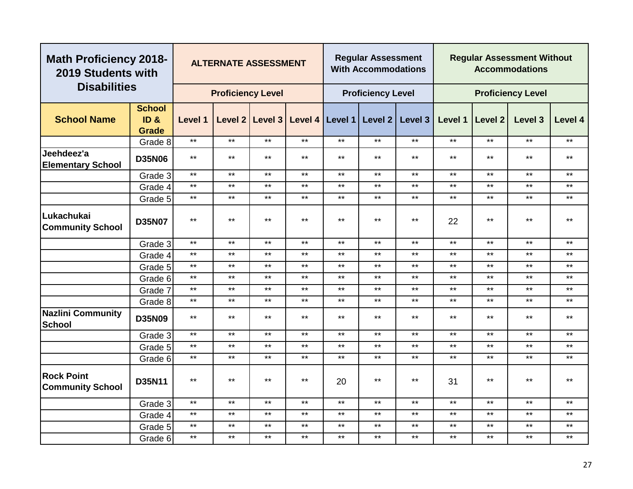|                                              | <b>Math Proficiency 2018-</b><br>2019 Students with<br><b>Disabilities</b> |              | <b>ALTERNATE ASSESSMENT</b> |              |              |       | <b>Regular Assessment</b><br><b>With Accommodations</b> |                                                 |              |              | <b>Regular Assessment Without</b><br><b>Accommodations</b> |              |
|----------------------------------------------|----------------------------------------------------------------------------|--------------|-----------------------------|--------------|--------------|-------|---------------------------------------------------------|-------------------------------------------------|--------------|--------------|------------------------------------------------------------|--------------|
|                                              |                                                                            |              | <b>Proficiency Level</b>    |              |              |       | <b>Proficiency Level</b>                                |                                                 |              |              | <b>Proficiency Level</b>                                   |              |
|                                              | <b>School</b>                                                              |              |                             |              |              |       |                                                         |                                                 |              |              |                                                            |              |
| <b>School Name</b>                           | ID &<br><b>Grade</b>                                                       | Level 1      |                             |              |              |       |                                                         | Level 2 Level 3 Level 4 Level 1 Level 2 Level 3 | Level 1      | Level 2      | Level 3                                                    | Level 4      |
|                                              | Grade 8                                                                    | $***$        | $***$                       | $***$        | $***$        | $***$ | $***$                                                   | $***$                                           | $***$        | $***$        | $***$                                                      | $***$        |
| Jeehdeez'a<br><b>Elementary School</b>       | <b>D35N06</b>                                                              | $***$        | $***$                       | $***$        | $***$        | $***$ | $***$                                                   | $***$                                           | $***$        | $***$        | $***$                                                      | $***$        |
|                                              | Grade 3                                                                    | $***$        | $***$                       | $***$        | $***$        | $***$ | $***$                                                   | $***$                                           | $***$        | $***$        | $***$                                                      | $***$        |
|                                              | Grade 4                                                                    | $\star\star$ | $***$                       | $***$        | $***$        | $***$ | $***$                                                   | $***$                                           | $***$        | $***$        | $***$                                                      | $***$        |
|                                              | Grade 5                                                                    | $***$        | $***$                       | $***$        | $***$        | $***$ | $***$                                                   | $***$                                           | $***$        | $***$        | $***$                                                      | $***$        |
| Lukachukai<br><b>Community School</b>        | <b>D35N07</b>                                                              | $***$        | $***$                       | $\star\star$ | $\star\star$ | $***$ | $\star\star$                                            | $***$                                           | 22           | $***$        | $***$                                                      | $\star\star$ |
|                                              | Grade 3                                                                    | $\star\star$ | $***$                       | $***$        | $***$        | $***$ | $***$                                                   | $***$                                           | $\star\star$ | $\star\star$ | $***$                                                      | $***$        |
|                                              | Grade 4                                                                    | $***$        | $***$                       | $***$        | $***$        | $***$ | $***$                                                   | $***$                                           | $***$        | $***$        | $***$                                                      | $***$        |
|                                              | Grade 5                                                                    | $***$        | $\star\star$                | $***$        | $\star\star$ | $***$ | $\star\star$                                            | $***$                                           | $***$        | $***$        | $***$                                                      | $***$        |
|                                              | Grade 6                                                                    | $\star\star$ | $\star\star$                | $***$        | $\star\star$ | $***$ | $\star\star$                                            | $***$                                           | $\star\star$ | $\star\star$ | $***$                                                      | $***$        |
|                                              | Grade 7                                                                    | $***$        | $***$                       | $***$        | $***$        | $***$ | $***$                                                   | $***$                                           | $***$        | $***$        | $***$                                                      | $***$        |
|                                              | Grade 8                                                                    | $***$        | $***$                       | $***$        | $***$        | $***$ | $***$                                                   | $***$                                           | $***$        | $***$        | $***$                                                      | $***$        |
| <b>Nazlini Community</b><br><b>School</b>    | <b>D35N09</b>                                                              | $***$        | $***$                       | $***$        | $***$        | $***$ | $***$                                                   | $***$                                           | $***$        | $***$        | $***$                                                      | $***$        |
|                                              | Grade 3                                                                    | $***$        | $***$                       | $***$        | $***$        | $***$ | $***$                                                   | $***$                                           | $***$        | $***$        | $***$                                                      | $***$        |
|                                              | Grade 5                                                                    | $***$        | $***$                       | $\star\star$ | $***$        | $***$ | $***$                                                   | $***$                                           | $***$        | $***$        | $***$                                                      | $\star\star$ |
|                                              | Grade 6                                                                    | $\star\star$ | $***$                       | $***$        | $***$        | $***$ | $***$                                                   | $\star\star$                                    | $***$        | $***$        | $***$                                                      | $\star\star$ |
| <b>Rock Point</b><br><b>Community School</b> | D35N11                                                                     | $***$        | $***$                       | $\star\star$ | $\star\star$ | 20    | $\star\star$                                            | $***$                                           | 31           | $***$        | $***$                                                      | $\star\star$ |
|                                              | Grade 3                                                                    | $***$        | $***$                       | $***$        | $***$        | $***$ | $\star\star$                                            | $***$                                           | $***$        | $***$        | $***$                                                      | $***$        |
|                                              | Grade 4                                                                    | $***$        | $***$                       | $***$        | $\star\star$ | $***$ | $\star\star$                                            | $***$                                           | $***$        | $***$        | $***$                                                      | $\star\star$ |
|                                              | Grade 5                                                                    | $***$        | $***$                       | $***$        | $***$        | $***$ | $***$                                                   | $***$                                           | $***$        | $***$        | $***$                                                      | $***$        |
|                                              | Grade 6                                                                    | $***$        | $***$                       | $***$        | $\star\star$ | $***$ | $***$                                                   | $***$                                           | $***$        | $***$        | $***$                                                      | $\star\star$ |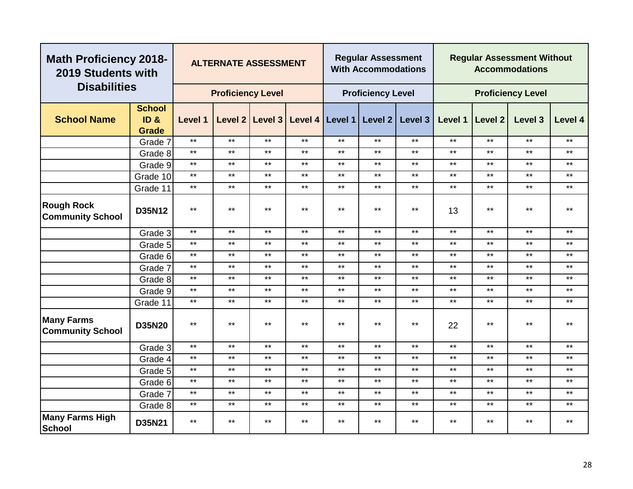| <b>Math Proficiency 2018-</b><br>2019 Students with |                                                      |                | <b>ALTERNATE ASSESSMENT</b> |              |              |         | <b>Regular Assessment</b><br><b>With Accommodations</b> |              |         |         | <b>Regular Assessment Without</b><br><b>Accommodations</b> |         |
|-----------------------------------------------------|------------------------------------------------------|----------------|-----------------------------|--------------|--------------|---------|---------------------------------------------------------|--------------|---------|---------|------------------------------------------------------------|---------|
| <b>Disabilities</b>                                 |                                                      |                | <b>Proficiency Level</b>    |              |              |         | <b>Proficiency Level</b>                                |              |         |         | <b>Proficiency Level</b>                                   |         |
| <b>School Name</b>                                  | <b>School</b><br>ID <sub>&amp;</sub><br><b>Grade</b> | <b>Level 1</b> | Level 2                     | Level 3      | Level 4      | Level 1 | Level 2                                                 | Level 3      | Level 1 | Level 2 | Level 3                                                    | Level 4 |
|                                                     | Grade 7                                              | $***$          | $***$                       | $***$        | $***$        | $***$   | $***$                                                   | $***$        | $***$   | $***$   | $***$                                                      | $***$   |
|                                                     | Grade 8                                              | $\star\star$   | $***$                       | $***$        | $***$        | $***$   | $\star\star$                                            | $***$        | $***$   | $***$   | $***$                                                      | $***$   |
|                                                     | Grade 9                                              | $***$          | $***$                       | $***$        | $***$        | $***$   | $***$                                                   | $***$        | $***$   | $***$   | $***$                                                      | $***$   |
|                                                     | Grade 10                                             | $***$          | $***$                       | $***$        | $***$        | $***$   | $***$                                                   | $***$        | $***$   | $***$   | $***$                                                      | $***$   |
|                                                     | Grade 11                                             | $***$          | $***$                       | $***$        | $***$        | $***$   | $***$                                                   | $***$        | $***$   | $***$   | $***$                                                      | $***$   |
| <b>Rough Rock</b><br><b>Community School</b>        | D35N12                                               | $***$          | $***$                       | $***$        | $***$        | $***$   | $***$                                                   | $***$        | 13      | $***$   | $***$                                                      | $***$   |
|                                                     | Grade 3                                              | $***$          | $***$                       | $***$        | $***$        | $***$   | $***$                                                   | $***$        | $***$   | $***$   | $***$                                                      | $***$   |
|                                                     | Grade 5                                              | $***$          | $***$                       | $***$        | $***$        | $***$   | $***$                                                   | $***$        | $***$   | $***$   | $***$                                                      | $***$   |
|                                                     | Grade 6                                              | $***$          | $***$                       | $***$        | $***$        | $***$   | $***$                                                   | $***$        | $***$   | $***$   | $***$                                                      | $***$   |
|                                                     | Grade 7                                              | $***$          | $***$                       | $***$        | $***$        | $***$   | $***$                                                   | $***$        | $***$   | $***$   | $***$                                                      | $***$   |
|                                                     | Grade 8                                              | $***$          | $***$                       | $***$        | $***$        | $***$   | $***$                                                   | $***$        | $***$   | $***$   | $***$                                                      | $***$   |
|                                                     | Grade 9                                              | $***$          | $***$                       | $\star\star$ | $***$        | $***$   | $***$                                                   | $***$        | $***$   | $***$   | $***$                                                      | $***$   |
|                                                     | Grade 11                                             | $***$          | $***$                       | $***$        | $***$        | $***$   | $***$                                                   | $***$        | $***$   | $***$   | $***$                                                      | $***$   |
| <b>Many Farms</b><br><b>Community School</b>        | <b>D35N20</b>                                        | $***$          | $***$                       | $***$        | $***$        | $***$   | $***$                                                   | $***$        | 22      | $***$   | $***$                                                      | $***$   |
|                                                     | Grade 3                                              | $***$          | $***$                       | $***$        | $***$        | $***$   | $***$                                                   | $***$        | $***$   | $***$   | $***$                                                      | $***$   |
|                                                     | Grade 4                                              | $***$          | $***$                       | $***$        | $***$        | $***$   | $***$                                                   | $***$        | $***$   | $***$   | $***$                                                      | $***$   |
|                                                     | Grade 5                                              | $***$          | $***$                       | $\star\star$ | $\star\star$ | $***$   | $***$                                                   | $\star\star$ | $***$   | $***$   | $***$                                                      | $***$   |
|                                                     | Grade 6                                              | $***$          | $***$                       | $***$        | $***$        | $***$   | $***$                                                   | $***$        | $***$   | $***$   | $***$                                                      | $***$   |
|                                                     | Grade 7                                              | $***$          | $***$                       | $***$        | $***$        | $***$   | $***$                                                   | $***$        | $***$   | $***$   | $***$                                                      | $***$   |
|                                                     | Grade 8                                              | $***$          | $***$                       | $***$        | $***$        | $***$   | $***$                                                   | $***$        | $***$   | $***$   | $***$                                                      | $***$   |
| <b>Many Farms High</b><br><b>School</b>             | D35N21                                               | $***$          | $***$                       | $***$        | $***$        | $***$   | $***$                                                   | $***$        | $***$   | $***$   | $***$                                                      | $***$   |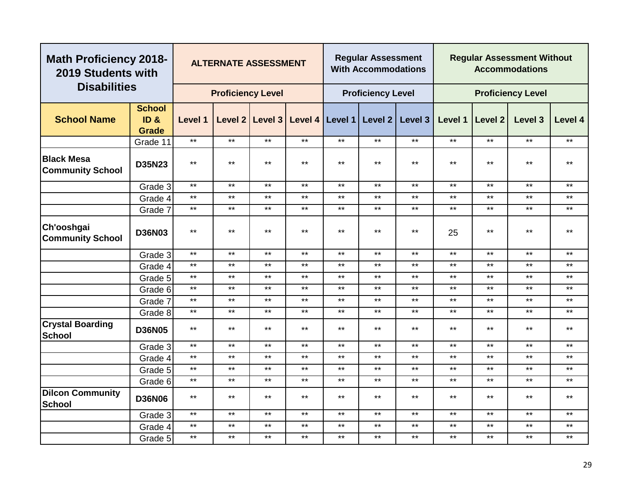| <b>Math Proficiency 2018-</b><br>2019 Students with<br><b>Disabilities</b> |                                      |              | <b>ALTERNATE ASSESSMENT</b> |              |                                                 |       | <b>Regular Assessment</b><br><b>With Accommodations</b> |         |         |                | <b>Regular Assessment Without</b><br><b>Accommodations</b> |              |
|----------------------------------------------------------------------------|--------------------------------------|--------------|-----------------------------|--------------|-------------------------------------------------|-------|---------------------------------------------------------|---------|---------|----------------|------------------------------------------------------------|--------------|
|                                                                            |                                      |              | <b>Proficiency Level</b>    |              |                                                 |       | <b>Proficiency Level</b>                                |         |         |                | <b>Proficiency Level</b>                                   |              |
| <b>School Name</b>                                                         | <b>School</b><br>ID&<br><b>Grade</b> | Level 1      |                             |              | Level 2   Level 3   Level 4   Level 1   Level 2 |       |                                                         | Level 3 | Level 1 | <b>Level 2</b> | Level 3                                                    | Level 4      |
|                                                                            | Grade 11                             | $\star\star$ | $***$                       | $***$        | $***$                                           | $***$ | $***$                                                   | $***$   | $***$   | $***$          | $***$                                                      | $***$        |
| <b>Black Mesa</b><br><b>Community School</b>                               | D35N23                               | $\star\star$ | $***$                       | $***$        | $***$                                           | $***$ | $***$                                                   | $***$   | $***$   | $***$          | $***$                                                      | $***$        |
|                                                                            | Grade 3                              | $***$        | $***$                       | $***$        | $***$                                           | $***$ | $***$                                                   | $***$   | $***$   | $***$          | $***$                                                      | $***$        |
|                                                                            | Grade 4                              | $\star\star$ | $***$                       | $***$        | $***$                                           | $***$ | $\star\star$                                            | $***$   | $***$   | $***$          | $***$                                                      | $***$        |
|                                                                            | Grade 7                              | $***$        | $***$                       | $***$        | $***$                                           | $***$ | $***$                                                   | $***$   | $***$   | $***$          | $***$                                                      | $***$        |
| Ch'ooshgai<br><b>Community School</b>                                      | <b>D36N03</b>                        | $***$        | $***$                       | $***$        | $***$                                           | $***$ | $***$                                                   | $***$   | 25      | $***$          | $***$                                                      | $***$        |
|                                                                            | Grade 3                              | $***$        | $***$                       | $***$        | $***$                                           | $***$ | $\star\star$                                            | $***$   | $***$   | $***$          | $***$                                                      | $***$        |
|                                                                            | Grade 4                              | $***$        | $***$                       | $***$        | $***$                                           | $***$ | $***$                                                   | $***$   | $***$   | $***$          | $***$                                                      | $***$        |
|                                                                            | Grade 5                              | $***$        | $***$                       | $***$        | $***$                                           | $***$ | $***$                                                   | $***$   | $***$   | $***$          | $***$                                                      | $***$        |
|                                                                            | Grade 6                              | $***$        | $***$                       | $***$        | $***$                                           | $***$ | $***$                                                   | $***$   | $***$   | $***$          | $***$                                                      | $***$        |
|                                                                            | Grade 7                              | $\star\star$ | $***$                       | $***$        | $***$                                           | $***$ | $***$                                                   | $***$   | $***$   | $***$          | $***$                                                      | $***$        |
|                                                                            | Grade 8                              | $***$        | $***$                       | $***$        | $***$                                           | $***$ | $***$                                                   | $***$   | $***$   | $***$          | $***$                                                      | $***$        |
| <b>Crystal Boarding</b><br><b>School</b>                                   | <b>D36N05</b>                        | $***$        | $***$                       | $***$        | $***$                                           | $***$ | $***$                                                   | $***$   | $***$   | $***$          | $***$                                                      | $***$        |
|                                                                            | Grade 3                              | $***$        | $***$                       | $***$        | $***$                                           | $***$ | $***$                                                   | $***$   | $***$   | $***$          | $***$                                                      | $***$        |
|                                                                            | Grade 4                              | $***$        | $***$                       | $***$        | $***$                                           | $***$ | $***$                                                   | $***$   | $***$   | $***$          | $***$                                                      | $***$        |
|                                                                            | Grade 5                              | $\star\star$ | $***$                       | $\star\star$ | $***$                                           | $***$ | $***$                                                   | $***$   | $***$   | $***$          | $***$                                                      | $***$        |
|                                                                            | Grade 6                              | $\star\star$ | $***$                       | $***$        | $***$                                           | $***$ | $***$                                                   | $***$   | $***$   | $***$          | $***$                                                      | $***$        |
| <b>Dilcon Community</b><br><b>School</b>                                   | <b>D36N06</b>                        | $***$        | $***$                       | $\star\star$ | $***$                                           | $***$ | $\star\star$                                            | $***$   | $***$   | $\star\star$   | $***$                                                      | $\star\star$ |
|                                                                            | Grade 3                              | $***$        | $***$                       | $***$        | $***$                                           | $***$ | $***$                                                   | $***$   | $***$   | $***$          | $***$                                                      | $***$        |
|                                                                            | Grade 4                              | $***$        | $***$                       | $***$        | $***$                                           | $***$ | $***$                                                   | $***$   | $***$   | $***$          | $***$                                                      | $***$        |
|                                                                            | Grade 5                              | $***$        | $***$                       | $***$        | $***$                                           | $***$ | $***$                                                   | $***$   | $***$   | $***$          | $***$                                                      | $***$        |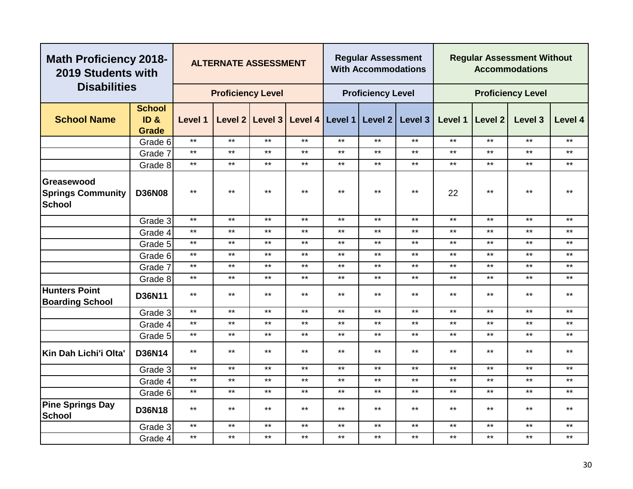| <b>Math Proficiency 2018-</b><br>2019 Students with     |                                |                | <b>ALTERNATE ASSESSMENT</b> |                   |       |              | <b>Regular Assessment</b><br><b>With Accommodations</b> |              |         |                | <b>Regular Assessment Without</b><br><b>Accommodations</b> |         |
|---------------------------------------------------------|--------------------------------|----------------|-----------------------------|-------------------|-------|--------------|---------------------------------------------------------|--------------|---------|----------------|------------------------------------------------------------|---------|
| <b>Disabilities</b>                                     |                                |                | <b>Proficiency Level</b>    |                   |       |              | <b>Proficiency Level</b>                                |              |         |                | <b>Proficiency Level</b>                                   |         |
| <b>School Name</b>                                      | <b>School</b><br>ID &<br>Grade | <b>Level 1</b> |                             | Level 2   Level 3 |       |              | Level 4   Level 1   Level 2                             | Level 3      | Level 1 | <b>Level 2</b> | Level 3                                                    | Level 4 |
|                                                         | Grade 6                        | $***$          | $***$                       | $***$             | $***$ | $***$        | $***$                                                   | $***$        | $***$   | $***$          | $***$                                                      | $***$   |
|                                                         | Grade 7                        | $***$          | $***$                       | $***$             | $***$ | $***$        | $***$                                                   | $***$        | $***$   | $***$          | $***$                                                      | $***$   |
|                                                         | Grade 8                        | $\star\star$   | $***$                       | $***$             | $***$ | $***$        | $\star\star$                                            | $***$        | $***$   | $***$          | $***$                                                      | $***$   |
| Greasewood<br><b>Springs Community</b><br><b>School</b> | <b>D36N08</b>                  | $***$          | $***$                       | $***$             | $***$ | $***$        | $***$                                                   | $\star\star$ | 22      | $***$          | $***$                                                      | $***$   |
|                                                         | Grade 3                        | $\star\star$   | $***$                       | $***$             | $***$ | $\star\star$ | $***$                                                   | $***$        | $***$   | $***$          | $***$                                                      | $***$   |
|                                                         | Grade 4                        | $***$          | $***$                       | $***$             | $***$ | $***$        | $***$                                                   | $***$        | $***$   | $***$          | $***$                                                      | $***$   |
|                                                         | Grade 5                        | $***$          | $***$                       | $***$             | $***$ | $***$        | $***$                                                   | $***$        | $***$   | $***$          | $***$                                                      | $***$   |
|                                                         | Grade 6                        | $***$          | $***$                       | $***$             | $***$ | $***$        | $***$                                                   | $***$        | $***$   | $***$          | $***$                                                      | $***$   |
|                                                         | Grade 7                        | $***$          | $***$                       | $***$             | $***$ | $***$        | $***$                                                   | $***$        | $***$   | $***$          | $***$                                                      | $***$   |
|                                                         | Grade 8                        | $***$          | $***$                       | $***$             | $***$ | $***$        | $***$                                                   | $***$        | $***$   | $***$          | $***$                                                      | $***$   |
| <b>Hunters Point</b><br><b>Boarding School</b>          | D36N11                         | $***$          | $***$                       | $***$             | $***$ | $***$        | $***$                                                   | $***$        | $***$   | $***$          | $***$                                                      | $***$   |
|                                                         | Grade 3                        | $***$          | $***$                       | $***$             | $***$ | $***$        | $***$                                                   | $***$        | $***$   | $***$          | $***$                                                      | $***$   |
|                                                         | Grade 4                        | $***$          | $***$                       | $\star\star$      | $***$ | $***$        | $***$                                                   | $***$        | $***$   | $***$          | $***$                                                      | $***$   |
|                                                         | Grade 5                        | $***$          | $***$                       | $***$             | $***$ | $***$        | $***$                                                   | $***$        | $***$   | $***$          | $***$                                                      | $***$   |
| Kin Dah Lichi'i Olta'                                   | <b>D36N14</b>                  | $***$          | $***$                       | $***$             | $***$ | $***$        | $***$                                                   | $***$        | $***$   | $***$          | $***$                                                      | $***$   |
|                                                         | Grade 3                        | $***$          | $***$                       | $***$             | $***$ | $***$        | $***$                                                   | $***$        | $***$   | $***$          | $***$                                                      | $***$   |
|                                                         | Grade 4                        | $***$          | $***$                       | $***$             | $***$ | $***$        | $***$                                                   | $***$        | $***$   | $***$          | $***$                                                      | $***$   |
|                                                         | Grade 6                        | $***$          | $***$                       | $***$             | $***$ | $***$        | $***$                                                   | $***$        | $***$   | $***$          | $***$                                                      | $***$   |
| <b>Pine Springs Day</b><br><b>School</b>                | <b>D36N18</b>                  | $***$          | $***$                       | $***$             | $***$ | $\star\star$ | $\star\star$                                            | $\star\star$ | $***$   | $***$          | $***$                                                      | $***$   |
|                                                         | Grade 3                        | $***$          | $***$                       | $***$             | $***$ | $***$        | $***$                                                   | $***$        | $***$   | $***$          | $***$                                                      | $***$   |
|                                                         | Grade 4                        | $***$          | $***$                       | $***$             | $***$ | $***$        | $\star\star$                                            | $***$        | $***$   | $***$          | $***$                                                      | $***$   |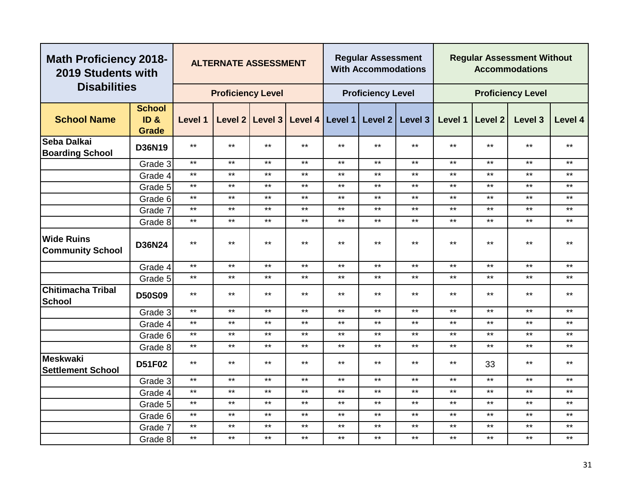|                                              | <b>Math Proficiency 2018-</b><br>2019 Students with<br><b>Disabilities</b> |              | <b>ALTERNATE ASSESSMENT</b> |                 |       |                   | <b>Regular Assessment</b><br><b>With Accommodations</b> |         |         |              | <b>Regular Assessment Without</b><br><b>Accommodations</b> |         |
|----------------------------------------------|----------------------------------------------------------------------------|--------------|-----------------------------|-----------------|-------|-------------------|---------------------------------------------------------|---------|---------|--------------|------------------------------------------------------------|---------|
|                                              |                                                                            |              | <b>Proficiency Level</b>    |                 |       |                   | <b>Proficiency Level</b>                                |         |         |              | <b>Proficiency Level</b>                                   |         |
| <b>School Name</b>                           | <b>School</b><br>ID <sub>&amp;</sub><br>Grade                              | Level 1      |                             | Level 2 Level 3 |       | Level 4   Level 1 | Level 2                                                 | Level 3 | Level 1 | Level 2      | Level 3                                                    | Level 4 |
| Seba Dalkai<br><b>Boarding School</b>        | D36N19                                                                     | $***$        | $***$                       | $***$           | $***$ | $***$             | $***$                                                   | $***$   | $***$   | $***$        | $***$                                                      | $***$   |
|                                              | Grade 3                                                                    | $***$        | $***$                       | $***$           | $***$ | $***$             | $***$                                                   | $***$   | $***$   | $***$        | $***$                                                      | $***$   |
|                                              | Grade 4                                                                    | $***$        | $***$                       | $\star\star$    | $***$ | $\star\star$      | $***$                                                   | $***$   | $***$   | $\star\star$ | $***$                                                      | $***$   |
|                                              | Grade 5                                                                    | $***$        | $***$                       | $***$           | $***$ | $***$             | $***$                                                   | $***$   | $***$   | $***$        | $***$                                                      | $***$   |
|                                              | Grade 6                                                                    | $***$        | $***$                       | $***$           | $***$ | $***$             | $***$                                                   | $***$   | $***$   | $***$        | $***$                                                      | $***$   |
|                                              | Grade 7                                                                    | $***$        | $***$                       | $***$           | $***$ | $***$             | $***$                                                   | $***$   | $***$   | $***$        | $***$                                                      | $***$   |
|                                              | Grade 8                                                                    | $***$        | $***$                       | $***$           | $***$ | $***$             | $***$                                                   | $***$   | $***$   | $***$        | $***$                                                      | $***$   |
| <b>Wide Ruins</b><br><b>Community School</b> | <b>D36N24</b>                                                              | $***$        | $***$                       | $\star\star$    | $***$ | $***$             | $***$                                                   | $***$   | $***$   | $\star\star$ | $***$                                                      | $***$   |
|                                              | Grade 4                                                                    | $\star\star$ | $***$                       | $***$           | $***$ | $***$             | $***$                                                   | $***$   | $***$   | $***$        | $***$                                                      | $***$   |
|                                              | Grade 5                                                                    | $***$        | $***$                       | $***$           | $***$ | $***$             | $***$                                                   | $***$   | $***$   | $***$        | $***$                                                      | $***$   |
| Chitimacha Tribal<br><b>School</b>           | <b>D50S09</b>                                                              | $***$        | $***$                       | $***$           | $***$ | $***$             | $***$                                                   | $***$   | $***$   | $***$        | $***$                                                      | $***$   |
|                                              | Grade 3                                                                    | $***$        | $***$                       | $***$           | $***$ | $***$             | $***$                                                   | $***$   | $***$   | $***$        | $***$                                                      | $***$   |
|                                              | Grade 4                                                                    | $***$        | $***$                       | $***$           | $***$ | $***$             | $***$                                                   | $***$   | $***$   | $***$        | $***$                                                      | $***$   |
|                                              | Grade 6                                                                    | $***$        | $***$                       | $***$           | $***$ | $***$             | $***$                                                   | $***$   | $***$   | $***$        | $***$                                                      | $***$   |
|                                              | Grade 8                                                                    | $***$        | $***$                       | $***$           | $***$ | $***$             | $***$                                                   | $***$   | $***$   | $***$        | $***$                                                      | $***$   |
| Meskwaki<br><b>Settlement School</b>         | D51F02                                                                     | $***$        | $***$                       | $***$           | $***$ | $***$             | $***$                                                   | $***$   | $***$   | 33           | $***$                                                      | $***$   |
|                                              | Grade 3                                                                    | $***$        | $***$                       | $***$           | $***$ | $***$             | $***$                                                   | $***$   | $***$   | $***$        | $***$                                                      | $***$   |
|                                              | Grade 4                                                                    | $***$        | $***$                       | $***$           | $***$ | $***$             | $***$                                                   | $***$   | $***$   | $***$        | $***$                                                      | $***$   |
|                                              | Grade 5                                                                    | $***$        | $***$                       | $***$           | $***$ | $***$             | $***$                                                   | $***$   | $***$   | $\star\star$ | $***$                                                      | $***$   |
|                                              | Grade 6                                                                    | $***$        | $***$                       | $***$           | $***$ | $***$             | $***$                                                   | $***$   | $***$   | $***$        | $***$                                                      | $***$   |
|                                              | Grade 7                                                                    | $***$        | $***$                       | $***$           | $***$ | $***$             | $***$                                                   | $***$   | $***$   | $***$        | $\star\star$                                               | $***$   |
|                                              | Grade 8                                                                    | $***$        | $***$                       | $\star\star$    | $***$ | $***$             | $***$                                                   | $***$   | $***$   | $***$        | $***$                                                      | $***$   |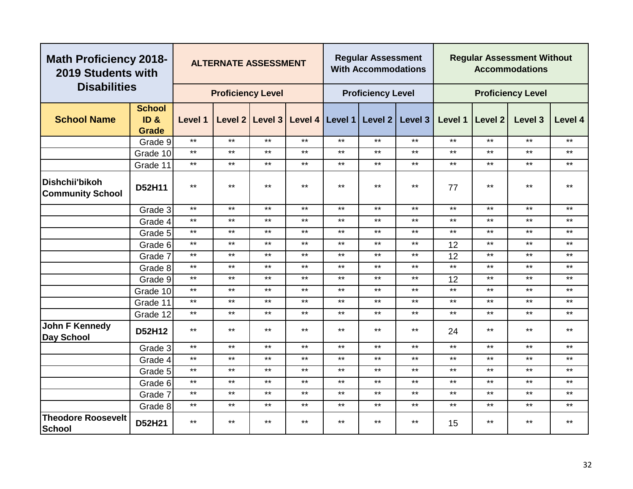| <b>Math Proficiency 2018-</b><br>2019 Students with |                       |              | <b>ALTERNATE ASSESSMENT</b> |              |         |         | <b>Regular Assessment</b><br><b>With Accommodations</b> |                    |              |         | <b>Regular Assessment Without</b><br><b>Accommodations</b> |              |
|-----------------------------------------------------|-----------------------|--------------|-----------------------------|--------------|---------|---------|---------------------------------------------------------|--------------------|--------------|---------|------------------------------------------------------------|--------------|
| <b>Disabilities</b>                                 |                       |              | <b>Proficiency Level</b>    |              |         |         | <b>Proficiency Level</b>                                |                    |              |         | <b>Proficiency Level</b>                                   |              |
| <b>School Name</b>                                  | <b>School</b><br>ID & | Level 1      | Level 2                     | Level 3      | Level 4 | Level 1 | Level 2                                                 | Level <sub>3</sub> | Level 1      | Level 2 | Level <sub>3</sub>                                         | Level 4      |
|                                                     | <b>Grade</b>          |              |                             |              |         |         |                                                         |                    |              |         |                                                            |              |
|                                                     | Grade 9               | $***$        | $***$                       | $***$        | $***$   | $***$   | $***$                                                   | $***$              | $***$        | $***$   | $***$                                                      | $\star\star$ |
|                                                     | Grade 10              | $***$        | $***$                       | $***$        | $***$   | $***$   | $***$                                                   | $***$              | $***$        | $***$   | $***$                                                      | $***$        |
|                                                     | Grade 11              | $***$        | $***$                       | $***$        | $***$   | $***$   | $***$                                                   | $***$              | $***$        | $***$   | $***$                                                      | $***$        |
| Dishchii'bikoh<br><b>Community School</b>           | D52H11                | $***$        | $***$                       | $***$        | $***$   | $***$   | $***$                                                   | $***$              | 77           | $***$   | $***$                                                      | $***$        |
|                                                     | Grade 3               | $\star\star$ | $***$                       | $\star\star$ | $***$   | $***$   | $***$                                                   | $***$              | $\star\star$ | $***$   | $***$                                                      | $***$        |
|                                                     | Grade 4               | $\star\star$ | $***$                       | $***$        | $***$   | $***$   | $***$                                                   | $***$              | $***$        | $***$   | $***$                                                      | $***$        |
|                                                     | Grade 5               | $***$        | $***$                       | $***$        | $***$   | $***$   | $***$                                                   | $***$              | $***$        | $***$   | $***$                                                      | $***$        |
|                                                     | Grade 6               | $***$        | $***$                       | $***$        | $***$   | $***$   | $***$                                                   | $***$              | 12           | $***$   | $***$                                                      | $***$        |
|                                                     | Grade 7               | $\star\star$ | $***$                       | $\star\star$ | $***$   | $***$   | $\star\star$                                            | $***$              | 12           | $***$   | $***$                                                      | $\star\star$ |
|                                                     | Grade 8               | $***$        | $***$                       | $***$        | $***$   | $***$   | $***$                                                   | $***$              | $***$        | $***$   | $***$                                                      | $***$        |
|                                                     | Grade 9               | $***$        | $***$                       | $***$        | $***$   | $***$   | $***$                                                   | $***$              | 12           | $***$   | $***$                                                      | $***$        |
|                                                     | Grade 10              | $***$        | $***$                       | $***$        | $***$   | $***$   | $***$                                                   | $***$              | $***$        | $***$   | $***$                                                      | $***$        |
|                                                     | Grade 11              | $\star\star$ | $***$                       | $***$        | $***$   | $***$   | $***$                                                   | $***$              | $***$        | $***$   | $***$                                                      | $***$        |
|                                                     | Grade 12              | $\star\star$ | $***$                       | $\star\star$ | $***$   | $***$   | $***$                                                   | $***$              | $***$        | $***$   | $***$                                                      | $\star\star$ |
| <b>John F Kennedy</b><br><b>Day School</b>          | D52H12                | $***$        | $***$                       | $***$        | $***$   | $***$   | $***$                                                   | $***$              | 24           | $***$   | $***$                                                      | $***$        |
|                                                     | Grade 3               | $***$        | $***$                       | $***$        | $***$   | $***$   | $***$                                                   | $***$              | $***$        | $***$   | $***$                                                      | $***$        |
|                                                     | Grade 4               | $***$        | $***$                       | $***$        | $***$   | $***$   | $***$                                                   | $***$              | $***$        | $***$   | $***$                                                      | $***$        |
|                                                     | Grade 5               | $***$        | $***$                       | $\star\star$ | $***$   | $***$   | $\star\star$                                            | $***$              | $***$        | $***$   | $***$                                                      | $\star\star$ |
|                                                     | Grade 6               | $***$        | $***$                       | $***$        | $***$   | $***$   | $***$                                                   | $***$              | $***$        | $***$   | $***$                                                      | $***$        |
|                                                     | Grade 7               | $***$        | $***$                       | $***$        | $***$   | $***$   | $***$                                                   | $***$              | $***$        | $***$   | $***$                                                      | $***$        |
|                                                     | Grade 8               | $***$        | $***$                       | $***$        | $***$   | $***$   | $***$                                                   | $***$              | $***$        | $***$   | $***$                                                      | $***$        |
| <b>Theodore Roosevelt</b><br><b>School</b>          | D52H21                | $***$        | $***$                       | $***$        | $***$   | $***$   | $***$                                                   | $***$              | 15           | $***$   | $***$                                                      | $***$        |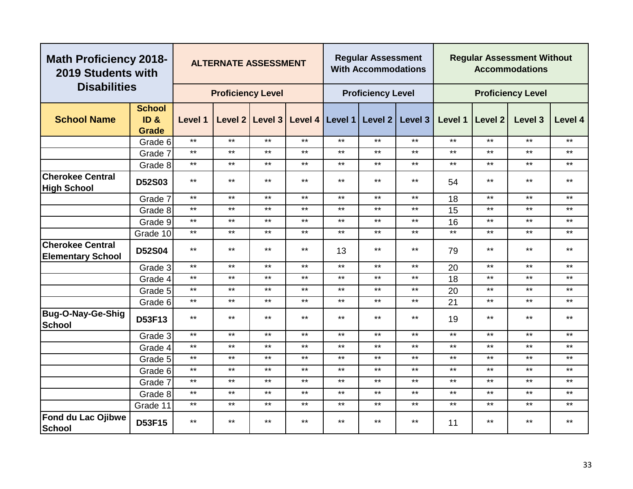| <b>Math Proficiency 2018-</b><br>2019 Students with |                     |              | <b>ALTERNATE ASSESSMENT</b> |              |         |         | <b>Regular Assessment</b><br><b>With Accommodations</b> |              |         |                    | <b>Regular Assessment Without</b><br><b>Accommodations</b> |         |
|-----------------------------------------------------|---------------------|--------------|-----------------------------|--------------|---------|---------|---------------------------------------------------------|--------------|---------|--------------------|------------------------------------------------------------|---------|
| <b>Disabilities</b>                                 |                     |              | <b>Proficiency Level</b>    |              |         |         | <b>Proficiency Level</b>                                |              |         |                    | <b>Proficiency Level</b>                                   |         |
|                                                     | <b>School</b>       |              |                             |              |         |         |                                                         |              |         |                    |                                                            |         |
| <b>School Name</b>                                  | ID <sub>&amp;</sub> | Level 1      | Level 2                     | Level 3      | Level 4 | Level 1 | Level 2                                                 | Level 3      | Level 1 | Level <sub>2</sub> | Level 3                                                    | Level 4 |
|                                                     | <b>Grade</b>        | $***$        | $***$                       | $***$        | $***$   | $***$   | $***$                                                   | $***$        | $***$   | $***$              | $***$                                                      | $***$   |
|                                                     | Grade 6             | $***$        | $***$                       | $***$        | $***$   | $***$   | $***$                                                   | $***$        | $***$   | $***$              | $***$                                                      | $***$   |
|                                                     | Grade 7             |              |                             |              |         |         |                                                         |              |         |                    |                                                            |         |
|                                                     | Grade 8             | $***$        | $***$                       | $***$        | $***$   | $***$   | $***$                                                   | $***$        | $***$   | $***$              | $***$                                                      | $***$   |
| <b>Cherokee Central</b><br><b>High School</b>       | <b>D52S03</b>       | $***$        | $***$                       | $***$        | $***$   | $***$   | $***$                                                   | $***$        | 54      | $***$              | $***$                                                      | $***$   |
|                                                     | Grade 7             | $***$        | $***$                       | $***$        | $***$   | $***$   | $***$                                                   | $***$        | 18      | $***$              | $***$                                                      | $***$   |
|                                                     | Grade 8             | $***$        | $***$                       | $***$        | $***$   | $***$   | $***$                                                   | $***$        | 15      | $***$              | $***$                                                      | $***$   |
|                                                     | Grade 9             | $***$        | $***$                       | $***$        | $***$   | $***$   | $***$                                                   | $***$        | 16      | $\star\star$       | $***$                                                      | $***$   |
|                                                     | Grade 10            | $***$        | $***$                       | $\star\star$ | $***$   | $***$   | $***$                                                   | $\star\star$ | $***$   | $\star\star$       | $***$                                                      | $***$   |
| <b>Cherokee Central</b><br><b>Elementary School</b> | D52S04              | $***$        | $***$                       | $***$        | $***$   | 13      | $***$                                                   | $***$        | 79      | $***$              | $***$                                                      | $***$   |
|                                                     | Grade 3             | $***$        | $***$                       | $***$        | $***$   | $***$   | $***$                                                   | $***$        | 20      | $***$              | $***$                                                      | $***$   |
|                                                     | Grade 4             | $\star\star$ | $***$                       | $***$        | $***$   | $***$   | $***$                                                   | $***$        | 18      | $***$              | $***$                                                      | $***$   |
|                                                     | Grade 5             | $***$        | $***$                       | $\star\star$ | $***$   | $***$   | $***$                                                   | $***$        | 20      | $***$              | $***$                                                      | $***$   |
|                                                     | Grade 6             | $***$        | $***$                       | $***$        | $***$   | $***$   | $***$                                                   | $\star\star$ | 21      | $***$              | $***$                                                      | $***$   |
| <b>Bug-O-Nay-Ge-Shig</b><br><b>School</b>           | D53F13              | $***$        | $***$                       | $***$        | $***$   | $***$   | $***$                                                   | $***$        | 19      | $***$              | $***$                                                      | $***$   |
|                                                     | Grade 3             | $***$        | $***$                       | $***$        | $***$   | $***$   | $***$                                                   | $***$        | $***$   | $***$              | $***$                                                      | $***$   |
|                                                     | Grade 4             | $***$        | $***$                       | $***$        | $***$   | $***$   | $***$                                                   | $***$        | $***$   | $***$              | $***$                                                      | $***$   |
|                                                     | Grade 5             | $***$        | $***$                       | $***$        | $***$   | $***$   | $***$                                                   | $***$        | $***$   | $***$              | $***$                                                      | $***$   |
|                                                     | Grade 6             | $***$        | $***$                       | $***$        | $***$   | $***$   | $***$                                                   | $***$        | $***$   | $***$              | $***$                                                      | $***$   |
|                                                     | Grade 7             | $***$        | $***$                       | $***$        | $***$   | $***$   | $***$                                                   | $\star\star$ | $***$   | $\star\star$       | $***$                                                      | $***$   |
|                                                     | Grade 8             | $***$        | $***$                       | $***$        | $***$   | $***$   | $***$                                                   | $***$        | $***$   | $\star\star$       | $***$                                                      | $***$   |
|                                                     | Grade 11            | $***$        | $***$                       | $***$        | $***$   | $***$   | $***$                                                   | $***$        | $***$   | $***$              | $***$                                                      | $***$   |
| Fond du Lac Ojibwe<br><b>School</b>                 | D53F15              | $***$        | $***$                       | $***$        | $***$   | $***$   | $***$                                                   | $***$        | 11      | $***$              | $***$                                                      | $***$   |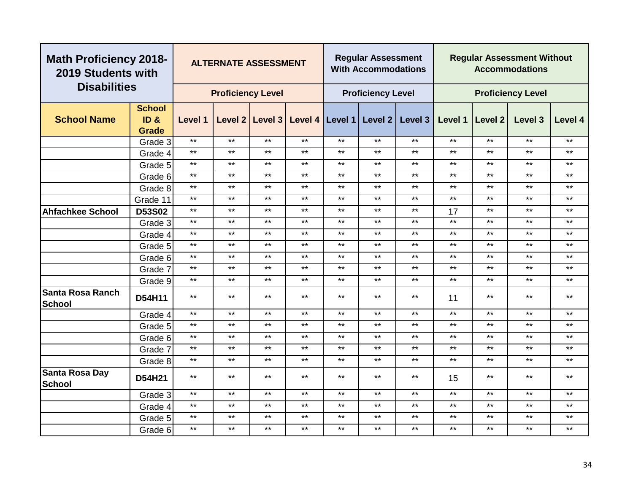| <b>Math Proficiency 2018-</b><br>2019 Students with |                                      |              | <b>ALTERNATE ASSESSMENT</b> |       |       |              | <b>Regular Assessment</b><br><b>With Accommodations</b> |                                                 |         |              | <b>Regular Assessment Without</b><br><b>Accommodations</b> |              |
|-----------------------------------------------------|--------------------------------------|--------------|-----------------------------|-------|-------|--------------|---------------------------------------------------------|-------------------------------------------------|---------|--------------|------------------------------------------------------------|--------------|
| <b>Disabilities</b>                                 |                                      |              | <b>Proficiency Level</b>    |       |       |              | <b>Proficiency Level</b>                                |                                                 |         |              | <b>Proficiency Level</b>                                   |              |
| <b>School Name</b>                                  | <b>School</b><br>ID <sub>&amp;</sub> | Level 1      |                             |       |       |              |                                                         | Level 2 Level 3 Level 4 Level 1 Level 2 Level 3 | Level 1 | Level 2      | Level 3                                                    | Level 4      |
|                                                     | <b>Grade</b><br>Grade 3              | $***$        | $***$                       | $***$ | $***$ | $***$        | $***$                                                   | $***$                                           | $***$   | $***$        | $***$                                                      | $***$        |
|                                                     | Grade 4                              | $\star\star$ | $***$                       | $***$ | $***$ | $***$        | $***$                                                   | $***$                                           | $***$   | $***$        | $***$                                                      | $***$        |
|                                                     | Grade 5                              | $***$        | $***$                       | $***$ | $***$ | $***$        | $***$                                                   | $***$                                           | $***$   | $***$        | $***$                                                      | $***$        |
|                                                     | Grade 6                              | $***$        | $***$                       | $***$ | $***$ | $***$        | $***$                                                   | $***$                                           | $***$   | $***$        | $***$                                                      | $***$        |
|                                                     | Grade 8                              | $***$        | $***$                       | $***$ | $***$ | $***$        | $***$                                                   | $***$                                           | $***$   | $***$        | $***$                                                      | $***$        |
|                                                     | Grade 11                             | $***$        | $***$                       | $***$ | $***$ | $***$        | $***$                                                   | $***$                                           | $***$   | $***$        | $***$                                                      | $***$        |
| <b>Ahfachkee School</b>                             | D53S02                               | $***$        | $***$                       | $***$ | $***$ | $***$        | $***$                                                   | $***$                                           | 17      | $***$        | $***$                                                      | $***$        |
|                                                     | Grade 3                              | $***$        | $***$                       | $***$ | $***$ | $***$        | $***$                                                   | $***$                                           | $***$   | $***$        | $***$                                                      | $***$        |
|                                                     | Grade 4                              | $***$        | $***$                       | $***$ | $***$ | $***$        | $***$                                                   | $***$                                           | $***$   | $***$        | $***$                                                      | $\star\star$ |
|                                                     | Grade 5                              | $\star\star$ | $***$                       | $***$ | $***$ | $\star\star$ | $***$                                                   | $***$                                           | $***$   | $***$        | $***$                                                      | $***$        |
|                                                     | Grade 6                              | $\star\star$ | $***$                       | $***$ | $***$ | $***$        | $***$                                                   | $***$                                           | $***$   | $\star\star$ | $***$                                                      | $***$        |
|                                                     | Grade 7                              | $***$        | $***$                       | $***$ | $***$ | $***$        | $***$                                                   | $***$                                           | $***$   | $***$        | $***$                                                      | $***$        |
|                                                     | Grade 9                              | $***$        | $***$                       | $***$ | $***$ | $***$        | $***$                                                   | $***$                                           | $***$   | $***$        | $***$                                                      | $***$        |
| <b>Santa Rosa Ranch</b><br><b>School</b>            | D54H11                               | $***$        | $***$                       | $***$ | $***$ | $***$        | $***$                                                   | $***$                                           | 11      | $***$        | $***$                                                      | $***$        |
|                                                     | Grade 4                              | $\star\star$ | $***$                       | $***$ | $***$ | $\star\star$ | $***$                                                   | $***$                                           | $***$   | $\star\star$ | $***$                                                      | $\star\star$ |
|                                                     | Grade 5                              | $***$        | $***$                       | $***$ | $***$ | $***$        | $***$                                                   | $***$                                           | $***$   | $***$        | $***$                                                      | $***$        |
|                                                     | Grade 6                              | $***$        | $***$                       | $***$ | $***$ | $***$        | $***$                                                   | $***$                                           | $***$   | $***$        | $***$                                                      | $***$        |
|                                                     | Grade 7                              | $***$        | $***$                       | $***$ | $***$ | $***$        | $***$                                                   | $***$                                           | $***$   | $***$        | $***$                                                      | $***$        |
|                                                     | Grade 8                              | $***$        | $***$                       | $***$ | $***$ | $***$        | $***$                                                   | $***$                                           | $***$   | $***$        | $***$                                                      | $***$        |
| Santa Rosa Day<br><b>School</b>                     | D54H21                               | $***$        | $***$                       | $***$ | $***$ | $***$        | $***$                                                   | $***$                                           | 15      | $***$        | $\star\star$                                               | $***$        |
|                                                     | Grade 3                              | $***$        | $***$                       | $***$ | $***$ | $***$        | $***$                                                   | $***$                                           | $***$   | $***$        | $***$                                                      | $***$        |
|                                                     | Grade 4                              | $***$        | $***$                       | $***$ | $***$ | $***$        | $***$                                                   | $***$                                           | $***$   | $***$        | $***$                                                      | $\star\star$ |
|                                                     | Grade 5                              | $***$        | $***$                       | $***$ | $***$ | $***$        | $***$                                                   | $***$                                           | $***$   | $\star\star$ | $***$                                                      | $\star\star$ |
|                                                     | Grade 6                              | $***$        | $***$                       | $***$ | $***$ | $***$        | $***$                                                   | $***$                                           | $***$   | $***$        | $***$                                                      | $***$        |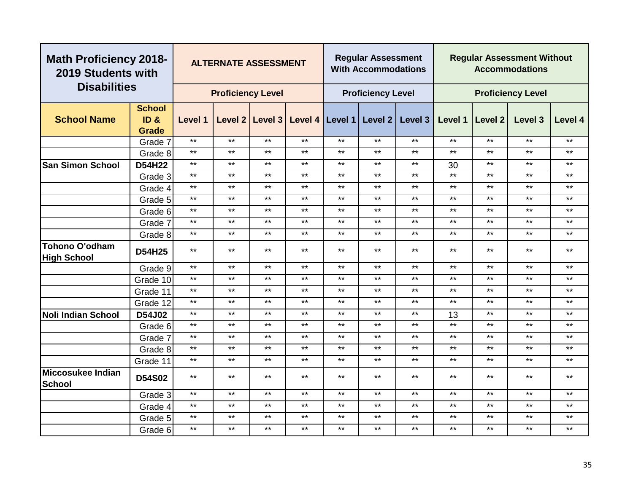|                                      | <b>Math Proficiency 2018-</b><br>2019 Students with<br><b>Disabilities</b> |         | <b>ALTERNATE ASSESSMENT</b> |                 |       |                   | <b>Regular Assessment</b><br><b>With Accommodations</b> |         |         |              | <b>Regular Assessment Without</b><br><b>Accommodations</b> |         |
|--------------------------------------|----------------------------------------------------------------------------|---------|-----------------------------|-----------------|-------|-------------------|---------------------------------------------------------|---------|---------|--------------|------------------------------------------------------------|---------|
|                                      |                                                                            |         | <b>Proficiency Level</b>    |                 |       |                   | <b>Proficiency Level</b>                                |         |         |              | <b>Proficiency Level</b>                                   |         |
|                                      | <b>School</b>                                                              |         |                             |                 |       |                   |                                                         |         |         |              |                                                            |         |
| <b>School Name</b>                   | ID <sub>&amp;</sub>                                                        | Level 1 |                             | Level 2 Level 3 |       | Level 4   Level 1 | Level 2                                                 | Level 3 | Level 1 | Level 2      | Level 3                                                    | Level 4 |
|                                      | <b>Grade</b>                                                               |         |                             |                 |       |                   |                                                         |         |         |              |                                                            |         |
|                                      | Grade 7                                                                    | $***$   | $***$                       | $***$           | $***$ | $***$             | $***$                                                   | $***$   | $***$   | $\star\star$ | $***$                                                      | $***$   |
|                                      | Grade 8                                                                    | $***$   | $***$                       | $***$           | $***$ | $***$             | $***$                                                   | $***$   | $***$   | $***$        | $***$                                                      | $***$   |
| <b>San Simon School</b>              | D54H22                                                                     | $***$   | $***$                       | $***$           | $***$ | $***$             | $***$                                                   | $***$   | 30      | $***$        | $***$                                                      | $***$   |
|                                      | Grade 3                                                                    | $***$   | $***$                       | $***$           | $***$ | $***$             | $***$                                                   | $***$   | $***$   | $***$        | $***$                                                      | $***$   |
|                                      | Grade 4                                                                    | $***$   | $***$                       | $***$           | $***$ | $***$             | $***$                                                   | $***$   | $***$   | $***$        | $***$                                                      | $***$   |
|                                      | Grade 5                                                                    | $***$   | $***$                       | $***$           | $***$ | $***$             | $***$                                                   | $***$   | $***$   | $***$        | $***$                                                      | $***$   |
|                                      | Grade 6                                                                    | $***$   | $***$                       | $***$           | $***$ | $***$             | $***$                                                   | $***$   | $***$   | $***$        | $***$                                                      | $***$   |
|                                      | Grade 7                                                                    | $***$   | $***$                       | $***$           | $***$ | $***$             | $***$                                                   | $***$   | $***$   | $***$        | $***$                                                      | $***$   |
|                                      | Grade 8                                                                    | $***$   | $***$                       | $***$           | $***$ | $***$             | $***$                                                   | $***$   | $***$   | $***$        | $\star\star$                                               | $***$   |
| Tohono O'odham<br><b>High School</b> | <b>D54H25</b>                                                              | $***$   | $***$                       | $***$           | $***$ | $***$             | $***$                                                   | $***$   | $***$   | $***$        | $***$                                                      | $***$   |
|                                      | Grade 9                                                                    | $***$   | $***$                       | $\star\star$    | $***$ | $***$             | $***$                                                   | $***$   | $***$   | $***$        | $***$                                                      | $***$   |
|                                      | Grade 10                                                                   | $***$   | $***$                       | $***$           | $***$ | $***$             | $***$                                                   | $***$   | $***$   | $***$        | $\star\star$                                               | $***$   |
|                                      | Grade 11                                                                   | $***$   | $***$                       | $***$           | $***$ | $***$             | $***$                                                   | $***$   | $***$   | $***$        | $***$                                                      | $***$   |
|                                      | Grade 12                                                                   | $***$   | $***$                       | $***$           | $***$ | $***$             | $***$                                                   | $***$   | $***$   | $***$        | $\star\star$                                               | $***$   |
| <b>Noli Indian School</b>            | D54J02                                                                     | $***$   | $***$                       | $***$           | $***$ | $***$             | $***$                                                   | $***$   | 13      | $***$        | $***$                                                      | $***$   |
|                                      | Grade 6                                                                    | $***$   | $***$                       | $\star\star$    | $***$ | $***$             | $***$                                                   | $***$   | $***$   | $***$        | $***$                                                      | $***$   |
|                                      | Grade 7                                                                    | $***$   | $***$                       | $***$           | $***$ | $***$             | $***$                                                   | $***$   | $***$   | $***$        | $***$                                                      | $***$   |
|                                      | Grade 8                                                                    | $***$   | $***$                       | $***$           | $***$ | $***$             | $***$                                                   | $***$   | $***$   | $***$        | $***$                                                      | $***$   |
|                                      | Grade 11                                                                   | $***$   | $***$                       | $***$           | $***$ | $***$             | $***$                                                   | $***$   | $***$   | $***$        | $***$                                                      | $***$   |
| Miccosukee Indian<br><b>School</b>   | <b>D54S02</b>                                                              | $***$   | $***$                       | $***$           | $***$ | $***$             | $***$                                                   | $***$   | $***$   | $***$        | $\star\star$                                               | $***$   |
|                                      | Grade 3                                                                    | $***$   | $***$                       | $***$           | $***$ | $***$             | $***$                                                   | $***$   | $***$   | $***$        | $\star\star$                                               | $***$   |
|                                      | Grade 4                                                                    | $***$   | $***$                       | $***$           | $***$ | $***$             | $***$                                                   | $***$   | $***$   | $***$        | $\star\star$                                               | $***$   |
|                                      | Grade 5                                                                    | $***$   | $***$                       | $***$           | $***$ | $***$             | $***$                                                   | $***$   | $***$   | $***$        | $***$                                                      | $***$   |
|                                      | Grade 6                                                                    | $***$   | $***$                       | $***$           | $***$ | $***$             | $***$                                                   | $***$   | $***$   | $***$        | $***$                                                      | $***$   |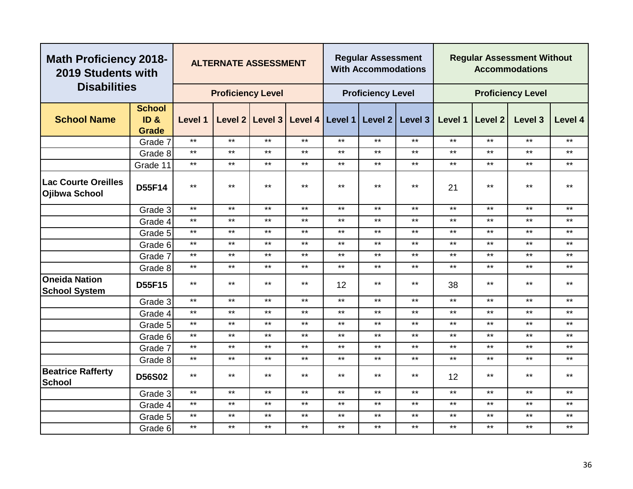| <b>Math Proficiency 2018-</b><br>2019 Students with |                                                      |              | <b>ALTERNATE ASSESSMENT</b> |                 |                 |       | <b>Regular Assessment</b><br><b>With Accommodations</b> |         |         |                | <b>Regular Assessment Without</b><br><b>Accommodations</b> |         |
|-----------------------------------------------------|------------------------------------------------------|--------------|-----------------------------|-----------------|-----------------|-------|---------------------------------------------------------|---------|---------|----------------|------------------------------------------------------------|---------|
| <b>Disabilities</b>                                 |                                                      |              | <b>Proficiency Level</b>    |                 |                 |       | <b>Proficiency Level</b>                                |         |         |                | <b>Proficiency Level</b>                                   |         |
| <b>School Name</b>                                  | <b>School</b><br>ID <sub>&amp;</sub><br><b>Grade</b> | Level 1      |                             | Level 2 Level 3 | Level 4 Level 1 |       | Level 2                                                 | Level 3 | Level 1 | <b>Level 2</b> | Level 3                                                    | Level 4 |
|                                                     | Grade 7                                              | $***$        | $***$                       | $***$           | $***$           | $***$ | $***$                                                   | $***$   | $***$   | $***$          | $\star\star$                                               | $***$   |
|                                                     | Grade 8                                              | $***$        | $\star\star$                | $***$           | $***$           | $***$ | $***$                                                   | $***$   | $***$   | $***$          | $***$                                                      | $***$   |
|                                                     | Grade 11                                             | $***$        | $***$                       | $***$           | $***$           | $***$ | $***$                                                   | $***$   | $***$   | $***$          | $***$                                                      | $***$   |
| <b>Lac Courte Oreilles</b><br>Ojibwa School         | <b>D55F14</b>                                        | $***$        | $***$                       | $***$           | $***$           | $***$ | $***$                                                   | $***$   | 21      | $***$          | $***$                                                      | $***$   |
|                                                     | Grade 3                                              | $\star\star$ | $***$                       | $***$           | $***$           | $***$ | $***$                                                   | $***$   | $***$   | $***$          | $***$                                                      | $***$   |
|                                                     | Grade 4                                              | $***$        | $***$                       | $***$           | $***$           | $***$ | $***$                                                   | $***$   | $***$   | $***$          | $***$                                                      | $***$   |
|                                                     | Grade 5                                              | $***$        | $***$                       | $***$           | $***$           | $***$ | $***$                                                   | $***$   | $***$   | $***$          | $***$                                                      | $***$   |
|                                                     | Grade 6                                              | $***$        | $***$                       | $***$           | $***$           | $***$ | $\star\star$                                            | $***$   | $***$   | $***$          | $***$                                                      | $***$   |
|                                                     | Grade 7                                              | $***$        | $***$                       | $***$           | $\star\star$    | $***$ | $***$                                                   | $***$   | $***$   | $***$          | $***$                                                      | $***$   |
|                                                     | Grade 8                                              | $\star\star$ | $***$                       | $***$           | $***$           | $***$ | $***$                                                   | $***$   | $***$   | $***$          | $***$                                                      | $***$   |
| <b>Oneida Nation</b><br><b>School System</b>        | <b>D55F15</b>                                        | $***$        | $***$                       | $***$           | $***$           | 12    | $***$                                                   | $***$   | 38      | $***$          | $***$                                                      | $***$   |
|                                                     | Grade 3                                              | $***$        | $***$                       | $***$           | $***$           | $***$ | $***$                                                   | $***$   | $***$   | $***$          | $***$                                                      | $***$   |
|                                                     | Grade 4                                              | $***$        | $***$                       | $***$           | $***$           | $***$ | $***$                                                   | $***$   | $***$   | $***$          | $***$                                                      | $***$   |
|                                                     | Grade 5                                              | $***$        | $***$                       | $***$           | $***$           | $***$ | $***$                                                   | $***$   | $***$   | $***$          | $***$                                                      | $***$   |
|                                                     | Grade 6                                              | $***$        | $***$                       | $***$           | $***$           | $***$ | $***$                                                   | $***$   | $***$   | $***$          | $***$                                                      | $***$   |
|                                                     | Grade 7                                              | $***$        | $***$                       | $***$           | $***$           | $***$ | $***$                                                   | $***$   | $***$   | $***$          | $***$                                                      | $***$   |
|                                                     | Grade 8                                              | $\star\star$ | $***$                       | $***$           | $***$           | $***$ | $***$                                                   | $***$   | $***$   | $***$          | $\star\star$                                               | $***$   |
| <b>Beatrice Rafferty</b><br><b>School</b>           | <b>D56S02</b>                                        | $***$        | $***$                       | $***$           | $\star\star$    | $***$ | $***$                                                   | $***$   | 12      | $***$          | $***$                                                      | $***$   |
|                                                     | Grade 3                                              | $***$        | $***$                       | $***$           | $***$           | $***$ | $***$                                                   | $***$   | $***$   | $***$          | $***$                                                      | $***$   |
|                                                     | Grade 4                                              | $\star\star$ | $***$                       | $***$           | $***$           | $***$ | $***$                                                   | $***$   | $***$   | $***$          | $***$                                                      | $***$   |
|                                                     | Grade 5                                              | $***$        | $***$                       | $***$           | $***$           | $***$ | $***$                                                   | $***$   | $***$   | $***$          | $\star\star$                                               | $***$   |
|                                                     | Grade 6                                              | $***$        | $***$                       | $***$           | $***$           | $***$ | $***$                                                   | $***$   | $***$   | $***$          | $***$                                                      | $***$   |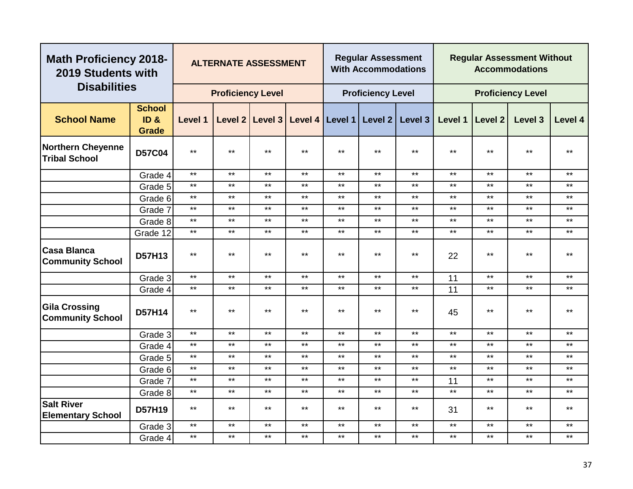| <b>Math Proficiency 2018-</b><br>2019 Students with |                                       |              | <b>ALTERNATE ASSESSMENT</b> |                 |       |                   | <b>Regular Assessment</b><br><b>With Accommodations</b> |              |         |                | <b>Regular Assessment Without</b><br><b>Accommodations</b> |              |
|-----------------------------------------------------|---------------------------------------|--------------|-----------------------------|-----------------|-------|-------------------|---------------------------------------------------------|--------------|---------|----------------|------------------------------------------------------------|--------------|
| <b>Disabilities</b>                                 |                                       |              | <b>Proficiency Level</b>    |                 |       |                   | <b>Proficiency Level</b>                                |              |         |                | <b>Proficiency Level</b>                                   |              |
| <b>School Name</b>                                  | <b>School</b><br>ID &<br><b>Grade</b> | Level 1      |                             | Level 2 Level 3 |       | Level 4   Level 1 | Level 2                                                 | Level 3      | Level 1 | <b>Level 2</b> | Level 3                                                    | Level 4      |
| <b>Northern Cheyenne</b><br><b>Tribal School</b>    | <b>D57C04</b>                         | $***$        | $***$                       | $\star\star$    | $***$ | $***$             | $***$                                                   | $\star\star$ | $***$   | $\star\star$   | $***$                                                      | $***$        |
|                                                     | Grade 4                               | $***$        | $***$                       | $***$           | $***$ | $***$             | $***$                                                   | $***$        | $***$   | $\star\star$   | $***$                                                      | $***$        |
|                                                     | Grade 5                               | $***$        | $***$                       | $***$           | $***$ | $***$             | $***$                                                   | $***$        | $***$   | $***$          | $***$                                                      | $***$        |
|                                                     | Grade 6                               | $***$        | $***$                       | $***$           | $***$ | $***$             | $***$                                                   | $\star\star$ | $***$   | $***$          | $***$                                                      | $***$        |
|                                                     | Grade 7                               | $\star\star$ | $***$                       | $***$           | $***$ | $***$             | $***$                                                   | $***$        | $***$   | $***$          | $***$                                                      | $***$        |
|                                                     | Grade 8                               | $***$        | $***$                       | $***$           | $***$ | $***$             | $***$                                                   | $***$        | $***$   | $***$          | $***$                                                      | $***$        |
|                                                     | Grade 12                              | $***$        | $***$                       | $\star\star$    | $***$ | $***$             | $***$                                                   | $***$        | $***$   | $***$          | $***$                                                      | $***$        |
| <b>Casa Blanca</b><br><b>Community School</b>       | <b>D57H13</b>                         | $***$        | $***$                       | $***$           | $***$ | $***$             | $***$                                                   | $***$        | 22      | $***$          | $***$                                                      | $***$        |
|                                                     | Grade 3                               | $***$        | $***$                       | $***$           | $***$ | $***$             | $***$                                                   | $***$        | 11      | $***$          | $***$                                                      | $***$        |
|                                                     | Grade 4                               | $***$        | $***$                       | $***$           | $***$ | $***$             | $***$                                                   | $***$        | 11      | $***$          | $***$                                                      | $***$        |
| <b>Gila Crossing</b><br><b>Community School</b>     | <b>D57H14</b>                         | $***$        | $***$                       | $***$           | $***$ | $***$             | $***$                                                   | $***$        | 45      | $***$          | $***$                                                      | $***$        |
|                                                     | Grade 3                               | $***$        | $***$                       | $***$           | $***$ | $***$             | $***$                                                   | $***$        | $***$   | $***$          | $***$                                                      | $***$        |
|                                                     | Grade 4                               | $***$        | $***$                       | $***$           | $***$ | $***$             | $***$                                                   | $***$        | $***$   | $***$          | $***$                                                      | $***$        |
|                                                     | Grade 5                               | $\star\star$ | $***$                       | $\star\star$    | $***$ | $\star\star$      | $***$                                                   | $\star\star$ | $***$   | $\star\star$   | $***$                                                      | $***$        |
|                                                     | Grade 6                               | $***$        | $***$                       | $***$           | $***$ | $***$             | $***$                                                   | $***$        | $***$   | $***$          | $***$                                                      | $***$        |
|                                                     | Grade 7                               | $***$        | $***$                       | $***$           | $***$ | $***$             | $***$                                                   | $***$        | 11      | $***$          | $***$                                                      | $***$        |
|                                                     | Grade 8                               | $***$        | $***$                       | $***$           | $***$ | $***$             | $***$                                                   | $***$        | $***$   | $***$          | $***$                                                      | $***$        |
| <b>Salt River</b><br><b>Elementary School</b>       | D57H19                                | $***$        | $***$                       | $***$           | $***$ | $***$             | $***$                                                   | $***$        | 31      | $***$          | $***$                                                      | $***$        |
|                                                     | Grade 3                               | $***$        | $***$                       | $***$           | $***$ | $***$             | $***$                                                   | $***$        | $***$   | $***$          | $***$                                                      | $***$        |
|                                                     | Grade 4                               | $***$        | $***$                       | $\star\star$    | $***$ | $***$             | $***$                                                   | $***$        | $***$   | $***$          | $***$                                                      | $\star\star$ |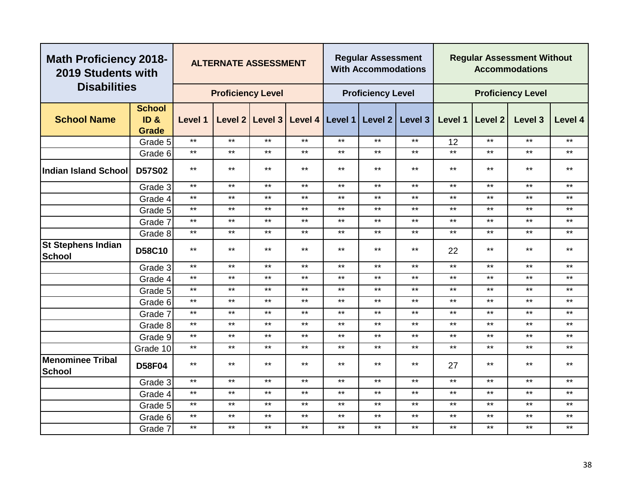| <b>Disabilities</b><br><b>Proficiency Level</b><br><b>Proficiency Level</b><br><b>Proficiency Level</b>                                                 |              |
|---------------------------------------------------------------------------------------------------------------------------------------------------------|--------------|
| <b>School</b><br><b>School Name</b><br>ID &<br>Level 2 Level 3<br>Level 4   Level 1  <br>Level 2<br>Level 3<br>Level 1<br>Level 1<br>Level 2<br>Level 3 | Level 4      |
| Grade<br>$***$<br>$***$<br>$***$<br>$***$<br>$***$<br>$***$<br>$***$<br>$***$<br>$***$                                                                  | $***$        |
| Grade 5<br>12<br>$***$<br>$***$<br>$***$<br>$***$<br>$***$<br>$***$<br>$***$<br>$***$<br>$***$<br>$***$                                                 | $***$        |
| Grade 6<br>$***$<br>$***$<br>$***$<br>$***$<br>$***$<br>$***$<br>$***$<br>$***$<br>$***$<br>$***$<br><b>D57S02</b><br><b>Indian Island School</b>       | $***$        |
| $***$<br>$***$<br>$***$<br>$***$<br>$***$<br>$***$<br>$***$<br>$***$<br>$***$<br>$***$<br>Grade 3                                                       | $\star\star$ |
| $***$<br>$***$<br>$***$<br>$***$<br>$***$<br>$***$<br>$***$<br>$***$<br>$***$<br>$***$<br>Grade 4                                                       | $\star\star$ |
| $\star\star$<br>$***$<br>$\star\star$<br>$***$<br>$***$<br>$***$<br>$***$<br>$***$<br>$***$<br>$***$<br>Grade 5                                         | $***$        |
| $***$<br>$***$<br>$***$<br>$***$<br>$***$<br>$***$<br>$***$<br>$***$<br>$***$<br>$***$<br>Grade 7                                                       | $***$        |
| $\star\star$<br>$***$<br>$***$<br>$***$<br>$***$<br>$***$<br>$***$<br>$***$<br>$***$<br>$***$<br>Grade 8                                                | $***$        |
| <b>St Stephens Indian</b><br>$***$<br>$***$<br>$***$<br>$***$<br>$***$<br>$***$<br>$***$<br>$***$<br>$***$<br>D58C10<br>22<br><b>School</b>             | $\star\star$ |
| $***$<br>$***$<br>$***$<br>$***$<br>$***$<br>$***$<br>$***$<br>$***$<br>$***$<br>$***$<br>Grade 3                                                       | $***$        |
| $***$<br>$***$<br>$***$<br>$***$<br>$***$<br>$***$<br>$***$<br>$***$<br>$***$<br>$\star\star$<br>Grade 4                                                | $***$        |
| $***$<br>$***$<br>$***$<br>$***$<br>$***$<br>$***$<br>$***$<br>$***$<br>$***$<br>$***$<br>Grade 5                                                       | $***$        |
| $***$<br>$***$<br>$\star\star$<br>$***$<br>$***$<br>$***$<br>$***$<br>$***$<br>$***$<br>$***$<br>Grade 6                                                | $***$        |
| $***$<br>$***$<br>$***$<br>$***$<br>$***$<br>$***$<br>$***$<br>$***$<br>$***$<br>$***$<br>Grade 7                                                       | $***$        |
| $***$<br>$***$<br>$\star\star$<br>$***$<br>$***$<br>$***$<br>$***$<br>$***$<br>$***$<br>$***$<br>Grade 8                                                | $***$        |
| $***$<br>$***$<br>$***$<br>$***$<br>$***$<br>$***$<br>$***$<br>$***$<br>$***$<br>$***$<br>Grade 9                                                       | $***$        |
| $***$<br>$***$<br>$***$<br>$***$<br>$***$<br>$***$<br>$***$<br>$***$<br>$***$<br>$***$<br>Grade 10                                                      | $***$        |
| <b>Menominee Tribal</b><br>$***$<br>$***$<br>$***$<br>$***$<br>$***$<br>$***$<br>$***$<br>$***$<br>$***$<br><b>D58F04</b><br>27<br><b>School</b>        | $***$        |
| $\star\star$<br>$***$<br>$***$<br>$***$<br>$***$<br>$***$<br>$***$<br>$***$<br>$***$<br>$***$<br>Grade 3                                                | $\star\star$ |
| $\star\star$<br>$***$<br>$\star\star$<br>$***$<br>$***$<br>$***$<br>$***$<br>$***$<br>$***$<br>$\star\star$<br>Grade 4                                  | $\star\star$ |
| $***$<br>$***$<br>$***$<br>$***$<br>$***$<br>$***$<br>$***$<br>$***$<br>$***$<br>$***$<br>Grade 5                                                       | $***$        |
| $***$<br>$***$<br>$***$<br>$***$<br>$***$<br>$***$<br>$***$<br>$***$<br>$***$<br>$***$<br>Grade 6                                                       | $***$        |
| $***$<br>$***$<br>$***$<br>$***$<br>$***$<br>$***$<br>$***$<br>$***$<br>$***$<br>$***$<br>Grade 7                                                       | $***$        |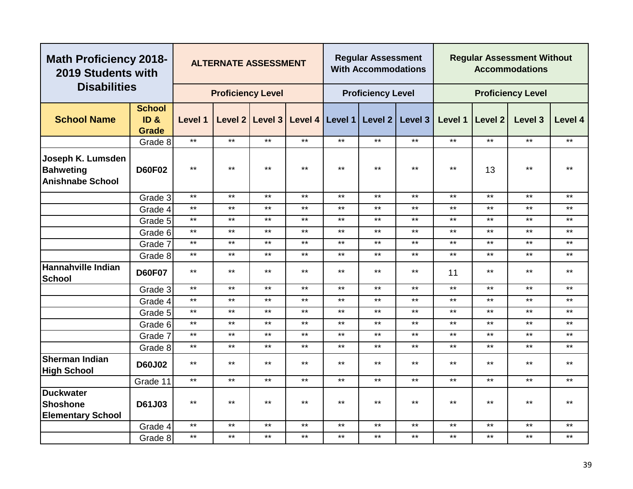| <b>Math Proficiency 2018-</b><br>2019 Students with              |                                       |              | <b>ALTERNATE ASSESSMENT</b> |                   |       |              | <b>Regular Assessment</b><br><b>With Accommodations</b> |              | <b>Regular Assessment Without</b><br><b>Accommodations</b> |              |                          |         |
|------------------------------------------------------------------|---------------------------------------|--------------|-----------------------------|-------------------|-------|--------------|---------------------------------------------------------|--------------|------------------------------------------------------------|--------------|--------------------------|---------|
| <b>Disabilities</b>                                              |                                       |              | <b>Proficiency Level</b>    |                   |       |              | <b>Proficiency Level</b>                                |              |                                                            |              | <b>Proficiency Level</b> |         |
| <b>School Name</b>                                               | <b>School</b><br>ID &<br><b>Grade</b> | Level 1      |                             | Level 2   Level 3 |       |              | Level 4   Level 1   Level 2                             | Level 3      | Level 1                                                    | Level 2      | Level 3                  | Level 4 |
|                                                                  | Grade 8                               | $***$        | $***$                       | $***$             | $***$ | $***$        | $***$                                                   | $***$        | $***$                                                      | $***$        | $***$                    | $***$   |
| Joseph K. Lumsden<br><b>Bahweting</b><br><b>Anishnabe School</b> | <b>D60F02</b>                         | $***$        | $***$                       | $***$             | $***$ | $***$        | $***$                                                   | $***$        | $***$                                                      | 13           | $\star\star$             | $***$   |
|                                                                  | Grade 3                               | $***$        | $***$                       | $***$             | $***$ | $***$        | $***$                                                   | $***$        | $***$                                                      | $***$        | $***$                    | $***$   |
|                                                                  | Grade 4                               | $***$        | $***$                       | $***$             | $***$ | $***$        | $***$                                                   | $***$        | $***$                                                      | $***$        | $***$                    | $***$   |
|                                                                  | Grade 5                               | $\star\star$ | $***$                       | $***$             | $***$ | $\star\star$ | $***$                                                   | $\star\star$ | $***$                                                      | $\star\star$ | $***$                    | $***$   |
|                                                                  | Grade 6                               | $***$        | $***$                       | $\star\star$      | $***$ | $***$        | $***$                                                   | $***$        | $***$                                                      | $***$        | $***$                    | $***$   |
|                                                                  | Grade 7                               | $***$        | $***$                       | $\star\star$      | $***$ | $***$        | $***$                                                   | $***$        | $***$                                                      | $***$        | $***$                    | $***$   |
|                                                                  | Grade 8                               | $***$        | $***$                       | $***$             | $***$ | $***$        | $\star\star$                                            | $***$        | $***$                                                      | $***$        | $***$                    | $***$   |
| <b>Hannahville Indian</b><br><b>School</b>                       | <b>D60F07</b>                         | $***$        | $**$                        | $***$             | $***$ | $***$        | $\star\star$                                            | $***$        | 11                                                         | $***$        | $***$                    | $***$   |
|                                                                  | Grade 3                               | $***$        | $***$                       | $***$             | $***$ | $\star\star$ | $***$                                                   | $***$        | $***$                                                      | $***$        | $***$                    | $***$   |
|                                                                  | Grade 4                               | $***$        | $***$                       | $\star\star$      | $***$ | $***$        | $***$                                                   | $***$        | $***$                                                      | $***$        | $***$                    | $***$   |
|                                                                  | Grade 5                               | $***$        | $***$                       | $\star\star$      | $***$ | $***$        | $***$                                                   | $***$        | $***$                                                      | $***$        | $***$                    | $***$   |
|                                                                  | Grade 6                               | $***$        | $***$                       | $***$             | $***$ | $***$        | $***$                                                   | $***$        | $***$                                                      | $***$        | $***$                    | $***$   |
|                                                                  | Grade 7                               | $***$        | $***$                       | $***$             | $***$ | $***$        | $***$                                                   | $***$        | $***$                                                      | $***$        | $***$                    | $***$   |
|                                                                  | Grade 8                               | $\star\star$ | $***$                       | $***$             | $***$ | $***$        | $\star\star$                                            | $***$        | $***$                                                      | $***$        | $***$                    | $***$   |
| <b>Sherman Indian</b><br><b>High School</b>                      | <b>D60J02</b>                         | $***$        | $***$                       | $***$             | $***$ | $***$        | $***$                                                   | $***$        | $***$                                                      | $\star\star$ | $***$                    | $***$   |
|                                                                  | Grade 11                              | $\star\star$ | $***$                       | $***$             | $***$ | $***$        | $***$                                                   | $***$        | $***$                                                      | $***$        | $***$                    | $***$   |
| <b>Duckwater</b><br><b>Shoshone</b><br><b>Elementary School</b>  | D61J03                                | $***$        | $***$                       | $***$             | $***$ | $\star\star$ | $***$                                                   | $\star\star$ | $***$                                                      | $\star\star$ | $\star\star$             | $***$   |
|                                                                  | Grade 4                               | $***$        | $***$                       | $***$             | $***$ | $***$        | $***$                                                   | $***$        | $***$                                                      | $***$        | $***$                    | $***$   |
|                                                                  | Grade 8                               | $***$        | $***$                       | $***$             | $***$ | $\star\star$ | $***$                                                   | $\star\star$ | $***$                                                      | $\star\star$ | $\star\star$             | $***$   |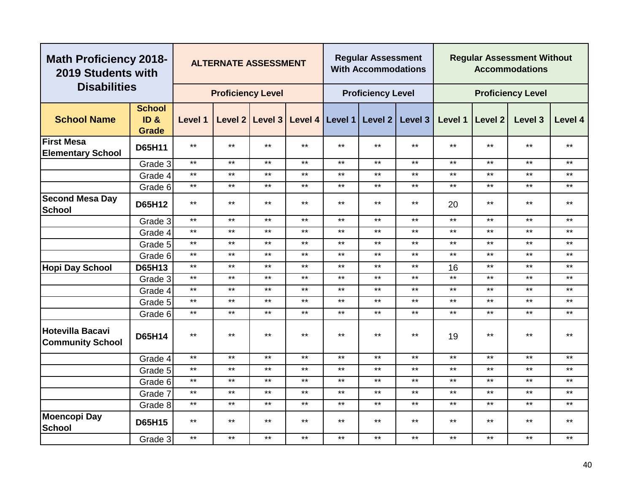| <b>Math Proficiency 2018-</b><br>2019 Students with |                                       |         | <b>ALTERNATE ASSESSMENT</b> |                 |       |              | <b>Regular Assessment</b><br><b>With Accommodations</b> |              |         |              | <b>Regular Assessment Without</b><br><b>Accommodations</b> |         |
|-----------------------------------------------------|---------------------------------------|---------|-----------------------------|-----------------|-------|--------------|---------------------------------------------------------|--------------|---------|--------------|------------------------------------------------------------|---------|
| <b>Disabilities</b>                                 |                                       |         | <b>Proficiency Level</b>    |                 |       |              | <b>Proficiency Level</b>                                |              |         |              | <b>Proficiency Level</b>                                   |         |
| <b>School Name</b>                                  | <b>School</b><br>ID &<br><b>Grade</b> | Level 1 |                             | Level 2 Level 3 |       |              | Level 4   Level 1   Level 2                             | Level 3      | Level 1 | Level 2      | Level 3                                                    | Level 4 |
| <b>First Mesa</b><br><b>Elementary School</b>       | D65H11                                | $***$   | $***$                       | $***$           | $***$ | $***$        | $***$                                                   | $\star\star$ | $***$   | $***$        | $***$                                                      | $***$   |
|                                                     | Grade 3                               | $***$   | $***$                       | $***$           | $***$ | $***$        | $***$                                                   | $***$        | $***$   | $***$        | $***$                                                      | $***$   |
|                                                     | Grade 4                               | $***$   | $***$                       | $***$           | $***$ | $***$        | $***$                                                   | $***$        | $***$   | $***$        | $***$                                                      | $***$   |
|                                                     | Grade 6                               | $***$   | $***$                       | $***$           | $***$ | $***$        | $***$                                                   | $***$        | $***$   | $***$        | $***$                                                      | $***$   |
| <b>Second Mesa Day</b><br><b>School</b>             | D65H12                                | $***$   | $***$                       | $***$           | $***$ | $***$        | $***$                                                   | $***$        | 20      | $***$        | $***$                                                      | $***$   |
|                                                     | Grade 3                               | $***$   | $***$                       | $***$           | $***$ | $***$        | $***$                                                   | $***$        | $***$   | $***$        | $***$                                                      | $***$   |
|                                                     | Grade 4                               | $***$   | $***$                       | $***$           | $***$ | $***$        | $***$                                                   | $***$        | $***$   | $***$        | $***$                                                      | $***$   |
|                                                     | Grade 5                               | $***$   | $***$                       | $***$           | $***$ | $***$        | $***$                                                   | $***$        | $***$   | $***$        | $***$                                                      | $***$   |
|                                                     | Grade 6                               | $***$   | $***$                       | $***$           | $***$ | $***$        | $***$                                                   | $***$        | $***$   | $\star\star$ | $\star\star$                                               | $***$   |
| <b>Hopi Day School</b>                              | D65H13                                | $***$   | $***$                       | $***$           | $***$ | $***$        | $***$                                                   | $***$        | 16      | $***$        | $***$                                                      | $***$   |
|                                                     | Grade 3                               | $***$   | $***$                       | $***$           | $***$ | $***$        | $***$                                                   | $***$        | $***$   | $***$        | $***$                                                      | $***$   |
|                                                     | Grade 4                               | $***$   | $***$                       | $***$           | $***$ | $***$        | $***$                                                   | $***$        | $***$   | $\star\star$ | $***$                                                      | $***$   |
|                                                     | Grade 5                               | $***$   | $***$                       | $***$           | $***$ | $***$        | $***$                                                   | $***$        | $***$   | $***$        | $***$                                                      | $***$   |
|                                                     | Grade 6                               | $***$   | $***$                       | $***$           | $***$ | $***$        | $***$                                                   | $***$        | $***$   | $***$        | $***$                                                      | $***$   |
| <b>Hotevilla Bacavi</b><br><b>Community School</b>  | <b>D65H14</b>                         | $***$   | $***$                       | $***$           | $***$ | $***$        | $***$                                                   | $***$        | 19      | $***$        | $***$                                                      | $***$   |
|                                                     | Grade 4                               | $***$   | $***$                       | $***$           | $***$ | $\star\star$ | $***$                                                   | $***$        | $***$   | $***$        | $***$                                                      | $***$   |
|                                                     | Grade 5                               | $***$   | $***$                       | $***$           | $***$ | $***$        | $***$                                                   | $***$        | $***$   | $***$        | $***$                                                      | $***$   |
|                                                     | Grade 6                               | $***$   | $***$                       | $***$           | $***$ | $***$        | $***$                                                   | $***$        | $***$   | $***$        | $***$                                                      | $***$   |
|                                                     | Grade 7                               | $***$   | $***$                       | $***$           | $***$ | $***$        | $***$                                                   | $***$        | $***$   | $***$        | $***$                                                      | $***$   |
|                                                     | Grade 8                               | $***$   | $***$                       | $***$           | $***$ | $***$        | $***$                                                   | $***$        | $***$   | $***$        | $***$                                                      | $***$   |
| <b>Moencopi Day</b><br><b>School</b>                | <b>D65H15</b>                         | $***$   | $***$                       | $***$           | $***$ | $***$        | $***$                                                   | $***$        | $***$   | $\star\star$ | $***$                                                      | $***$   |
|                                                     | Grade 3                               | $***$   | $***$                       | $***$           | $***$ | $***$        | $***$                                                   | $***$        | $***$   | $***$        | $***$                                                      | $***$   |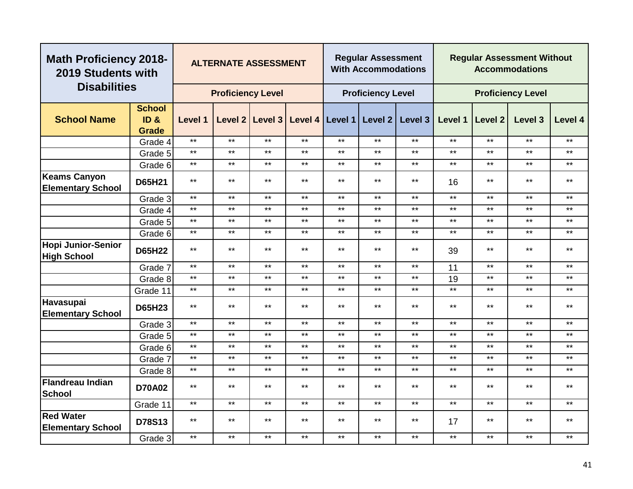| <b>Math Proficiency 2018-</b><br>2019 Students with |                                                      |         | <b>ALTERNATE ASSESSMENT</b> |                 |       |                   | <b>Regular Assessment</b><br><b>With Accommodations</b> |              |         |              | <b>Regular Assessment Without</b><br><b>Accommodations</b> |         |
|-----------------------------------------------------|------------------------------------------------------|---------|-----------------------------|-----------------|-------|-------------------|---------------------------------------------------------|--------------|---------|--------------|------------------------------------------------------------|---------|
| <b>Disabilities</b>                                 |                                                      |         | <b>Proficiency Level</b>    |                 |       |                   | <b>Proficiency Level</b>                                |              |         |              | <b>Proficiency Level</b>                                   |         |
| <b>School Name</b>                                  | <b>School</b><br>ID <sub>&amp;</sub><br><b>Grade</b> | Level 1 |                             | Level 2 Level 3 |       | Level 4   Level 1 | Level 2                                                 | Level 3      | Level 1 | Level 2      | Level 3                                                    | Level 4 |
|                                                     | Grade 4                                              | $***$   | $***$                       | $***$           | $***$ | $***$             | $***$                                                   | $***$        | $***$   | $***$        | $***$                                                      | $***$   |
|                                                     | Grade 5                                              | $***$   | $***$                       | $***$           | $***$ | $***$             | $***$                                                   | $***$        | $***$   | $***$        | $***$                                                      | $***$   |
|                                                     | Grade 6                                              | $***$   | $***$                       | $***$           | $***$ | $***$             | $***$                                                   | $***$        | $***$   | $***$        | $***$                                                      | $***$   |
| Keams Canyon<br><b>Elementary School</b>            | D65H21                                               | $***$   | $***$                       | $***$           | $***$ | $***$             | $***$                                                   | $***$        | 16      | $\star\star$ | $***$                                                      | $***$   |
|                                                     | Grade 3                                              | $***$   | $***$                       | $***$           | $***$ | $***$             | $***$                                                   | $***$        | $***$   | $***$        | $***$                                                      | $***$   |
|                                                     | Grade 4                                              | $***$   | $***$                       | $***$           | $***$ | $***$             | $***$                                                   | $***$        | $***$   | $\star\star$ | $***$                                                      | **      |
|                                                     | Grade 5                                              | $***$   | $***$                       | $***$           | $***$ | $***$             | $***$                                                   | $***$        | $***$   | $***$        | $***$                                                      | $***$   |
|                                                     | Grade 6                                              | $***$   | $***$                       | $***$           | $***$ | $***$             | $***$                                                   | $***$        | $***$   | $***$        | $***$                                                      | $***$   |
| Hopi Junior-Senior<br><b>High School</b>            | <b>D65H22</b>                                        | $***$   | $***$                       | $***$           | $***$ | $***$             | $***$                                                   | $***$        | 39      | $***$        | $***$                                                      | $***$   |
|                                                     | Grade 7                                              | $***$   | $***$                       | $***$           | $***$ | $***$             | $***$                                                   | $***$        | 11      | $***$        | $***$                                                      | $***$   |
|                                                     | Grade 8                                              | $***$   | $***$                       | $***$           | $***$ | $***$             | $***$                                                   | $\star\star$ | 19      | $\star\star$ | $***$                                                      | $***$   |
|                                                     | Grade 11                                             | $***$   | $***$                       | $***$           | $***$ | $***$             | $***$                                                   | $***$        | $***$   | $***$        | $***$                                                      | $***$   |
| Havasupai<br><b>Elementary School</b>               | <b>D65H23</b>                                        | $***$   | $***$                       | $***$           | $***$ | $***$             | $***$                                                   | $***$        | $***$   | $***$        | $***$                                                      | $***$   |
|                                                     | Grade 3                                              | $***$   | $***$                       | $***$           | $***$ | $***$             | $***$                                                   | $***$        | $***$   | $***$        | $***$                                                      | $***$   |
|                                                     | Grade 5                                              | $***$   | $***$                       | $***$           | $***$ | $***$             | $***$                                                   | $***$        | $***$   | $***$        | $***$                                                      | $***$   |
|                                                     | Grade 6                                              | $***$   | $***$                       | $***$           | $***$ | $***$             | $***$                                                   | $***$        | $***$   | $***$        | $***$                                                      | $***$   |
|                                                     | Grade 7                                              | $***$   | $***$                       | $***$           | $***$ | $***$             | $***$                                                   | $***$        | $***$   | $***$        | $***$                                                      | $***$   |
|                                                     | Grade 8                                              | $***$   | $***$                       | $***$           | $***$ | $***$             | $***$                                                   | $***$        | $***$   | $***$        | $***$                                                      | $***$   |
| Flandreau Indian<br><b>School</b>                   | <b>D70A02</b>                                        | $***$   | $***$                       | $***$           | $***$ | $***$             | $***$                                                   | $***$        | $***$   | $\star\star$ | $***$                                                      | $***$   |
|                                                     | Grade 11                                             | $***$   | $***$                       | $***$           | $***$ | $***$             | $***$                                                   | $***$        | $***$   | $***$        | $***$                                                      | $***$   |
| <b>Red Water</b><br><b>Elementary School</b>        | D78S13                                               | $***$   | $***$                       | $***$           | $***$ | $***$             | $***$                                                   | $***$        | 17      | $***$        | $***$                                                      | $***$   |
|                                                     | Grade 3                                              | $***$   | $***$                       | $***$           | $***$ | $***$             | $***$                                                   | $***$        | $***$   | $\star\star$ | $***$                                                      | $***$   |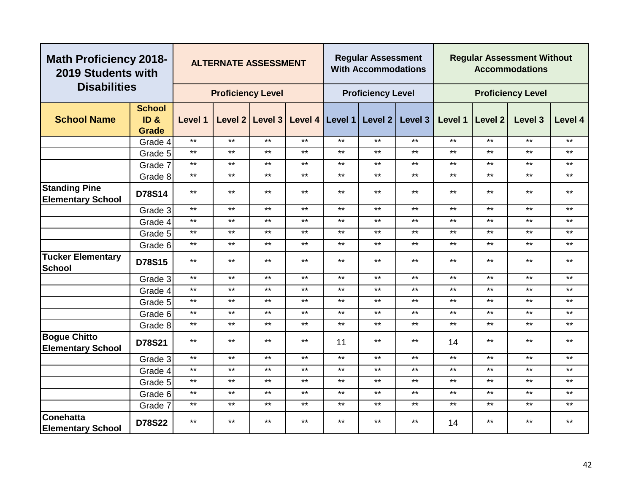| <b>Math Proficiency 2018-</b><br>2019 Students with |                                      |              | <b>ALTERNATE ASSESSMENT</b> |              |       |                   | <b>Regular Assessment</b><br><b>With Accommodations</b> |         | <b>Regular Assessment Without</b><br><b>Accommodations</b> |              |                          |         |
|-----------------------------------------------------|--------------------------------------|--------------|-----------------------------|--------------|-------|-------------------|---------------------------------------------------------|---------|------------------------------------------------------------|--------------|--------------------------|---------|
| <b>Disabilities</b>                                 |                                      |              | <b>Proficiency Level</b>    |              |       |                   | <b>Proficiency Level</b>                                |         |                                                            |              | <b>Proficiency Level</b> |         |
| <b>School Name</b>                                  | <b>School</b><br>ID <sub>&amp;</sub> | Level 1      | Level 2                     | Level 3      |       | Level 4   Level 1 | Level 2                                                 | Level 3 | Level 1                                                    | Level 2      | Level 3                  | Level 4 |
|                                                     | <b>Grade</b>                         |              |                             |              |       |                   |                                                         |         |                                                            |              |                          |         |
|                                                     | Grade 4                              | $***$        | $***$                       | $***$        | $***$ | $\star\star$      | $***$                                                   | $***$   | $***$                                                      | $***$        | $***$                    | $***$   |
|                                                     | Grade 5                              | $***$        | $***$                       | $***$        | $***$ | $***$             | $***$                                                   | $***$   | $***$                                                      | $***$        | $***$                    | $***$   |
|                                                     | Grade 7                              | $***$        | $***$                       | $***$        | $***$ | $***$             | $***$                                                   | $***$   | $***$                                                      | $***$        | $***$                    | $***$   |
|                                                     | Grade 8                              | $\star\star$ | $***$                       | $***$        | $***$ | $***$             | $***$                                                   | $***$   | $***$                                                      | $***$        | $***$                    | $***$   |
| <b>Standing Pine</b><br><b>Elementary School</b>    | D78S14                               | $***$        | $***$                       | $***$        | $***$ | $***$             | $***$                                                   | $***$   | $***$                                                      | $***$        | $***$                    | $***$   |
|                                                     | Grade 3                              | $***$        | $***$                       | $***$        | $***$ | $***$             | $***$                                                   | $***$   | $***$                                                      | $***$        | $***$                    | $***$   |
|                                                     | Grade 4                              | $***$        | $***$                       | $***$        | $***$ | $***$             | $***$                                                   | $***$   | $***$                                                      | $***$        | $***$                    | $***$   |
|                                                     | Grade 5                              | $***$        | $***$                       | $***$        | $***$ | $***$             | $***$                                                   | $***$   | $***$                                                      | $***$        | $***$                    | $***$   |
|                                                     | Grade 6                              | $***$        | $***$                       | $***$        | $***$ | $\star\star$      | $***$                                                   | $***$   | $***$                                                      | $***$        | $***$                    | $***$   |
| <b>Tucker Elementary</b><br><b>School</b>           | D78S15                               | $***$        | $***$                       | $***$        | $***$ | $***$             | $***$                                                   | $***$   | $***$                                                      | $***$        | $***$                    | $***$   |
|                                                     | Grade 3                              | $***$        | $***$                       | $***$        | $***$ | $***$             | $***$                                                   | $***$   | $***$                                                      | $***$        | $***$                    | $***$   |
|                                                     | Grade 4                              | $***$        | $***$                       | $***$        | $***$ | $***$             | $***$                                                   | $***$   | $***$                                                      | $***$        | $***$                    | $***$   |
|                                                     | Grade 5                              | $***$        | $***$                       | $***$        | $***$ | $***$             | $***$                                                   | $***$   | $***$                                                      | $***$        | $***$                    | $***$   |
|                                                     | Grade 6                              | $***$        | $***$                       | $***$        | $***$ | $***$             | $***$                                                   | $***$   | $***$                                                      | $***$        | $***$                    | $***$   |
|                                                     | Grade 8                              | $***$        | $***$                       | $***$        | $***$ | $***$             | $***$                                                   | $***$   | $***$                                                      | $***$        | $***$                    | $***$   |
| <b>Bogue Chitto</b><br><b>Elementary School</b>     | D78S21                               | $***$        | $***$                       | $***$        | $***$ | 11                | $***$                                                   | $***$   | 14                                                         | $***$        | $***$                    | $***$   |
|                                                     | Grade 3                              | $***$        | $***$                       | $***$        | $***$ | $***$             | $***$                                                   | $***$   | $***$                                                      | $***$        | $***$                    | $***$   |
|                                                     | Grade 4                              | $***$        | $***$                       | $***$        | $***$ | $\star\star$      | $***$                                                   | $***$   | $***$                                                      | $***$        | $***$                    | $***$   |
|                                                     | Grade 5                              | $***$        | $***$                       | $\star\star$ | $***$ | $***$             | $\star\star$                                            | $***$   | $***$                                                      | $\star\star$ | $***$                    | $***$   |
|                                                     | Grade 6                              | $***$        | $***$                       | $***$        | $***$ | $***$             | $***$                                                   | $***$   | $***$                                                      | $***$        | $***$                    | $***$   |
|                                                     | Grade 7                              | $***$        | $***$                       | $***$        | $***$ | $\star\star$      | $***$                                                   | $***$   | $***$                                                      | $***$        | $***$                    | $***$   |
| Conehatta<br><b>Elementary School</b>               | <b>D78S22</b>                        | $***$        | $***$                       | $***$        | $***$ | $***$             | $***$                                                   | $***$   | 14                                                         | $***$        | $***$                    | $***$   |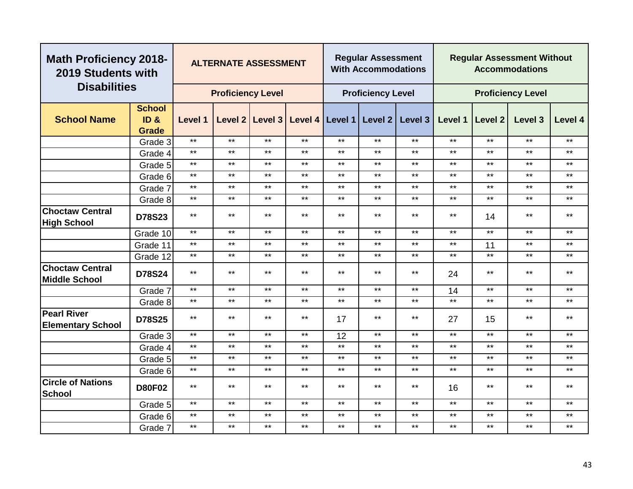| <b>Math Proficiency 2018-</b><br>2019 Students with |                                                  |              | <b>ALTERNATE ASSESSMENT</b> |                 |                 |              | <b>Regular Assessment</b><br><b>With Accommodations</b> |         |         |                | <b>Regular Assessment Without</b><br><b>Accommodations</b> |              |
|-----------------------------------------------------|--------------------------------------------------|--------------|-----------------------------|-----------------|-----------------|--------------|---------------------------------------------------------|---------|---------|----------------|------------------------------------------------------------|--------------|
| <b>Disabilities</b>                                 |                                                  |              | <b>Proficiency Level</b>    |                 |                 |              | <b>Proficiency Level</b>                                |         |         |                | <b>Proficiency Level</b>                                   |              |
| <b>School Name</b>                                  | <b>School</b><br>ID <sub>8</sub><br><b>Grade</b> | Level 1      |                             | Level 2 Level 3 | Level 4 Level 1 |              | Level 2                                                 | Level 3 | Level 1 | <b>Level 2</b> | Level 3                                                    | Level 4      |
|                                                     | Grade 3                                          | $***$        | $***$                       | $***$           | $***$           | $***$        | $***$                                                   | $***$   | $***$   | $***$          | $***$                                                      | $***$        |
|                                                     | Grade 4                                          | $***$        | $***$                       | $***$           | $***$           | $***$        | $***$                                                   | $***$   | $***$   | $***$          | $***$                                                      | $***$        |
|                                                     | Grade 5                                          | $***$        | $***$                       | $***$           | $***$           | $***$        | $***$                                                   | $***$   | $***$   | $***$          | $***$                                                      | $***$        |
|                                                     | Grade 6                                          | $***$        | $***$                       | $***$           | $***$           | $***$        | $***$                                                   | $***$   | $***$   | $***$          | $***$                                                      | $***$        |
|                                                     | Grade 7                                          | $***$        | $***$                       | $***$           | $***$           | $***$        | $***$                                                   | $***$   | $***$   | $***$          | $***$                                                      | $\star\star$ |
|                                                     | Grade 8                                          | $***$        | $***$                       | $***$           | $***$           | $***$        | $***$                                                   | $***$   | $***$   | $***$          | $***$                                                      | $***$        |
| <b>Choctaw Central</b><br><b>High School</b>        | D78S23                                           | $\star\star$ | $***$                       | $***$           | $***$           | $***$        | $***$                                                   | $***$   | $***$   | 14             | $***$                                                      | $***$        |
|                                                     | Grade 10                                         | $***$        | $***$                       | $***$           | $***$           | $***$        | $***$                                                   | $***$   | $***$   | $***$          | $***$                                                      | $***$        |
|                                                     | Grade 11                                         | $\star\star$ | $***$                       | $***$           | $***$           | $***$        | $***$                                                   | $***$   | $***$   | 11             | $***$                                                      | $***$        |
|                                                     | Grade 12                                         | $***$        | $***$                       | $***$           | $***$           | $***$        | $***$                                                   | $***$   | $***$   | $***$          | $***$                                                      | $***$        |
| <b>Choctaw Central</b><br><b>Middle School</b>      | D78S24                                           | $***$        | $***$                       | $***$           | $***$           | $***$        | $***$                                                   | $***$   | 24      | $\star\star$   | $***$                                                      | $***$        |
|                                                     | Grade 7                                          | $***$        | $***$                       | $***$           | $***$           | $***$        | $***$                                                   | $***$   | 14      | $***$          | $***$                                                      | $***$        |
|                                                     | Grade 8                                          | $***$        | $***$                       | $***$           | $***$           | $\star\star$ | $***$                                                   | $***$   | $***$   | $***$          | $***$                                                      | $\star\star$ |
| <b>Pearl River</b><br><b>Elementary School</b>      | <b>D78S25</b>                                    | $***$        | $***$                       | $***$           | $***$           | 17           | $***$                                                   | $***$   | 27      | 15             | $***$                                                      | $***$        |
|                                                     | Grade 3                                          | $***$        | $***$                       | $***$           | $***$           | 12           | $***$                                                   | $***$   | $***$   | $***$          | $***$                                                      | $***$        |
|                                                     | Grade 4                                          | $\star\star$ | $***$                       | $***$           | $***$           | $***$        | $***$                                                   | $***$   | $***$   | $***$          | $***$                                                      | $***$        |
|                                                     | Grade 5                                          | $***$        | $***$                       | $***$           | $***$           | $***$        | $***$                                                   | $***$   | $***$   | $***$          | $***$                                                      | $***$        |
|                                                     | Grade 6                                          | $***$        | $***$                       | $***$           | $***$           | $\star\star$ | $***$                                                   | $***$   | $***$   | $\star\star$   | $***$                                                      | $***$        |
| <b>Circle of Nations</b><br><b>School</b>           | <b>D80F02</b>                                    | $***$        | $***$                       | $***$           | $***$           | $***$        | $***$                                                   | $***$   | 16      | $***$          | $***$                                                      | $***$        |
|                                                     | Grade 5                                          | $***$        | $***$                       | $***$           | $***$           | $***$        | $***$                                                   | $***$   | $***$   | $***$          | $***$                                                      | $\star\star$ |
|                                                     | Grade 6                                          | $***$        | $***$                       | $***$           | $***$           | $***$        | $***$                                                   | $***$   | $***$   | $***$          | $***$                                                      | $***$        |
|                                                     | Grade 7                                          | $***$        | $***$                       | $***$           | $***$           | $***$        | $***$                                                   | $***$   | $***$   | $***$          | $***$                                                      | $***$        |